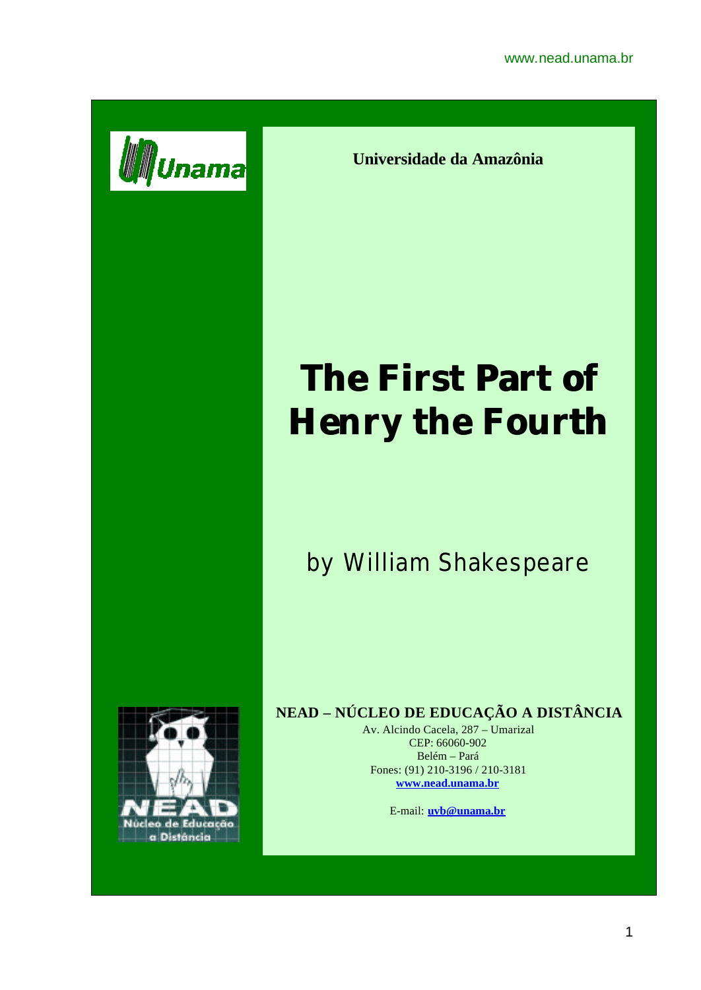

**Universidade da Amazônia**

## **The First Part of Henry the Fourth**

## by William Shakespeare



## **NEAD – NÚCLEO DE EDUCAÇÃO A DISTÂNCIA**

Av. Alcindo Cacela, 287 – Umarizal CEP: 66060-902 Belém – Pará Fones: (91) 210-3196 / 210-3181 **www.nead.unama.br**

E-mail: **uvb@unama.br**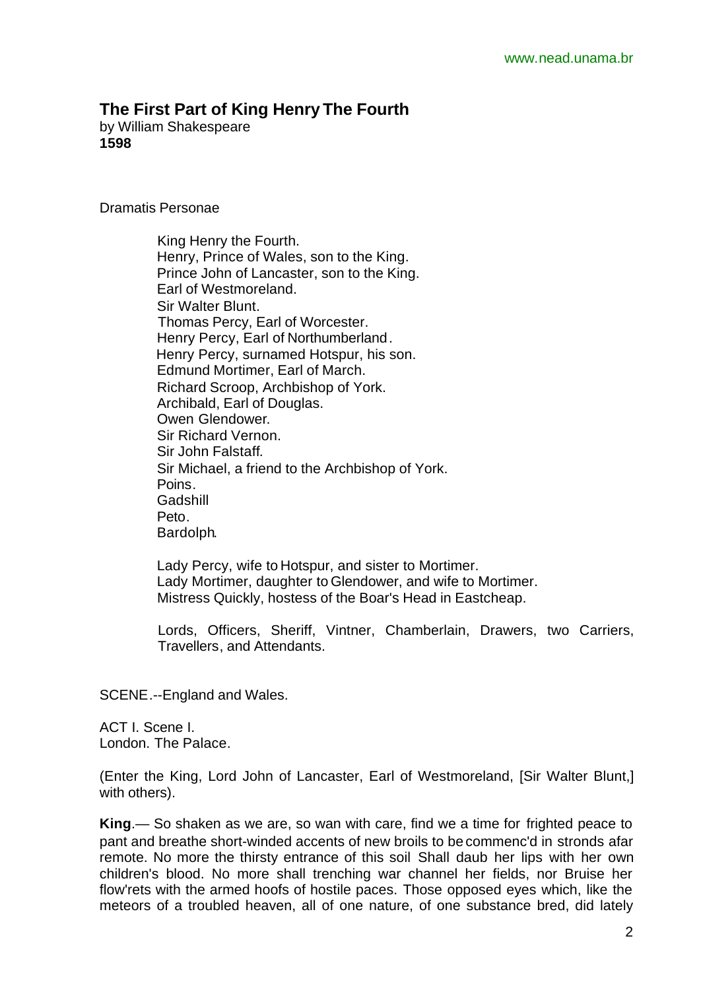## **The First Part of King Henry The Fourth**

by William Shakespeare **1598**

Dramatis Personae

 King Henry the Fourth. Henry, Prince of Wales, son to the King. Prince John of Lancaster, son to the King. Earl of Westmoreland. Sir Walter Blunt. Thomas Percy, Earl of Worcester. Henry Percy, Earl of Northumberland. Henry Percy, surnamed Hotspur, his son. Edmund Mortimer, Earl of March. Richard Scroop, Archbishop of York. Archibald, Earl of Douglas. Owen Glendower. Sir Richard Vernon. Sir John Falstaff. Sir Michael, a friend to the Archbishop of York. Poins. **Gadshill**  Peto. Bardolph.

 Lady Percy, wife to Hotspur, and sister to Mortimer. Lady Mortimer, daughter to Glendower, and wife to Mortimer. Mistress Quickly, hostess of the Boar's Head in Eastcheap.

Lords, Officers, Sheriff, Vintner, Chamberlain, Drawers, two Carriers, Travellers, and Attendants.

SCENE.--England and Wales.

ACT I. Scene I. London. The Palace.

(Enter the King, Lord John of Lancaster, Earl of Westmoreland, [Sir Walter Blunt,] with others).

**King**.— So shaken as we are, so wan with care, find we a time for frighted peace to pant and breathe short-winded accents of new broils to be commenc'd in stronds afar remote. No more the thirsty entrance of this soil Shall daub her lips with her own children's blood. No more shall trenching war channel her fields, nor Bruise her flow'rets with the armed hoofs of hostile paces. Those opposed eyes which, like the meteors of a troubled heaven, all of one nature, of one substance bred, did lately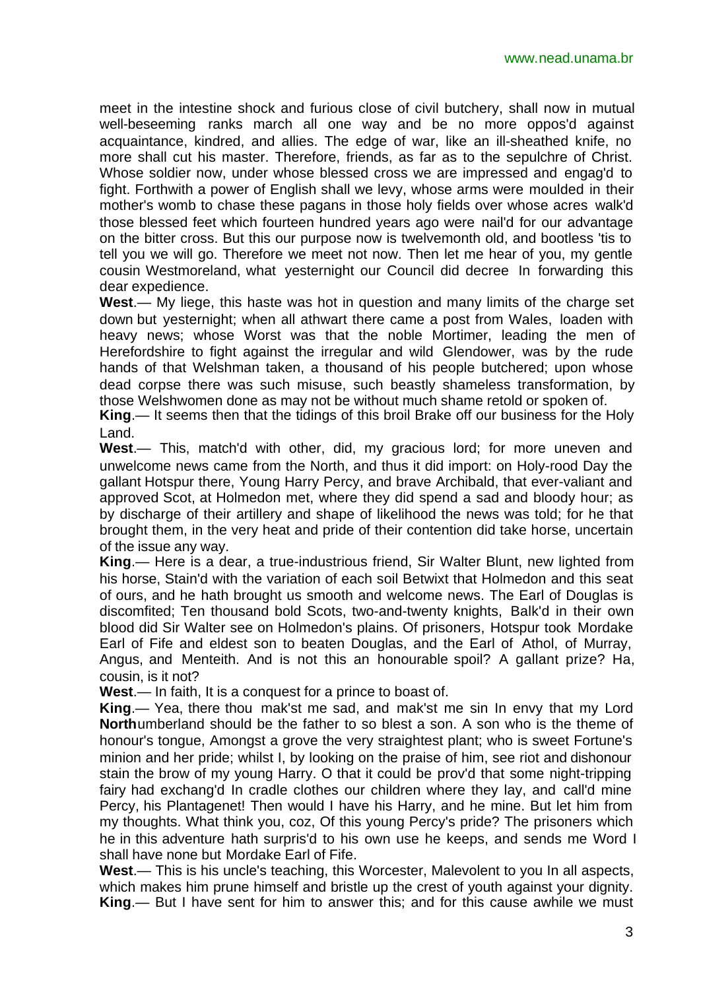meet in the intestine shock and furious close of civil butchery, shall now in mutual well-beseeming ranks march all one way and be no more oppos'd against acquaintance, kindred, and allies. The edge of war, like an ill-sheathed knife, no more shall cut his master. Therefore, friends, as far as to the sepulchre of Christ. Whose soldier now, under whose blessed cross we are impressed and engag'd to fight. Forthwith a power of English shall we levy, whose arms were moulded in their mother's womb to chase these pagans in those holy fields over whose acres walk'd those blessed feet which fourteen hundred years ago were nail'd for our advantage on the bitter cross. But this our purpose now is twelvemonth old, and bootless 'tis to tell you we will go. Therefore we meet not now. Then let me hear of you, my gentle cousin Westmoreland, what yesternight our Council did decree In forwarding this dear expedience.

**West**.— My liege, this haste was hot in question and many limits of the charge set down but yesternight; when all athwart there came a post from Wales, loaden with heavy news; whose Worst was that the noble Mortimer, leading the men of Herefordshire to fight against the irregular and wild Glendower, was by the rude hands of that Welshman taken, a thousand of his people butchered; upon whose dead corpse there was such misuse, such beastly shameless transformation, by those Welshwomen done as may not be without much shame retold or spoken of.

**King**.— It seems then that the tidings of this broil Brake off our business for the Holy Land.

**West**.— This, match'd with other, did, my gracious lord; for more uneven and unwelcome news came from the North, and thus it did import: on Holy-rood Day the gallant Hotspur there, Young Harry Percy, and brave Archibald, that ever-valiant and approved Scot, at Holmedon met, where they did spend a sad and bloody hour; as by discharge of their artillery and shape of likelihood the news was told; for he that brought them, in the very heat and pride of their contention did take horse, uncertain of the issue any way.

**King**.— Here is a dear, a true-industrious friend, Sir Walter Blunt, new lighted from his horse, Stain'd with the variation of each soil Betwixt that Holmedon and this seat of ours, and he hath brought us smooth and welcome news. The Earl of Douglas is discomfited; Ten thousand bold Scots, two-and-twenty knights, Balk'd in their own blood did Sir Walter see on Holmedon's plains. Of prisoners, Hotspur took Mordake Earl of Fife and eldest son to beaten Douglas, and the Earl of Athol, of Murray, Angus, and Menteith. And is not this an honourable spoil? A gallant prize? Ha, cousin, is it not?

**West**.— In faith, It is a conquest for a prince to boast of.

**King**.— Yea, there thou mak'st me sad, and mak'st me sin In envy that my Lord **North**umberland should be the father to so blest a son. A son who is the theme of honour's tongue, Amongst a grove the very straightest plant; who is sweet Fortune's minion and her pride; whilst I, by looking on the praise of him, see riot and dishonour stain the brow of my young Harry. O that it could be prov'd that some night-tripping fairy had exchang'd In cradle clothes our children where they lay, and call'd mine Percy, his Plantagenet! Then would I have his Harry, and he mine. But let him from my thoughts. What think you, coz, Of this young Percy's pride? The prisoners which he in this adventure hath surpris'd to his own use he keeps, and sends me Word I shall have none but Mordake Earl of Fife.

**West**.— This is his uncle's teaching, this Worcester, Malevolent to you In all aspects, which makes him prune himself and bristle up the crest of youth against your dignity. **King**.— But I have sent for him to answer this; and for this cause awhile we must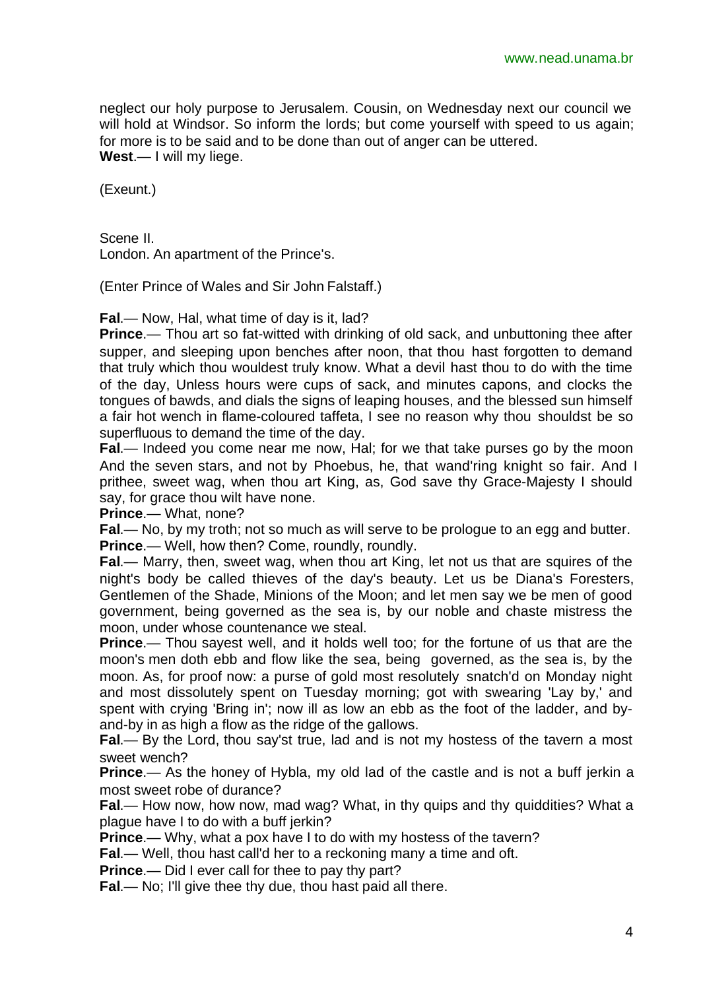neglect our holy purpose to Jerusalem. Cousin, on Wednesday next our council we will hold at Windsor. So inform the lords; but come yourself with speed to us again; for more is to be said and to be done than out of anger can be uttered. **West**.— I will my liege.

(Exeunt.)

Scene II. London. An apartment of the Prince's.

(Enter Prince of Wales and Sir John Falstaff.)

**Fal**.— Now, Hal, what time of day is it, lad?

**Prince**.— Thou art so fat-witted with drinking of old sack, and unbuttoning thee after supper, and sleeping upon benches after noon, that thou hast forgotten to demand that truly which thou wouldest truly know. What a devil hast thou to do with the time of the day, Unless hours were cups of sack, and minutes capons, and clocks the tongues of bawds, and dials the signs of leaping houses, and the blessed sun himself a fair hot wench in flame-coloured taffeta, I see no reason why thou shouldst be so superfluous to demand the time of the day.

**Fal**.— Indeed you come near me now, Hal; for we that take purses go by the moon And the seven stars, and not by Phoebus, he, that wand'ring knight so fair. And I prithee, sweet wag, when thou art King, as, God save thy Grace-Majesty I should say, for grace thou wilt have none.

**Prince**.— What, none?

**Fal**.— No, by my troth; not so much as will serve to be prologue to an egg and butter. **Prince**.— Well, how then? Come, roundly, roundly.

**Fal**.— Marry, then, sweet wag, when thou art King, let not us that are squires of the night's body be called thieves of the day's beauty. Let us be Diana's Foresters, Gentlemen of the Shade, Minions of the Moon; and let men say we be men of good government, being governed as the sea is, by our noble and chaste mistress the moon, under whose countenance we steal.

**Prince.**— Thou sayest well, and it holds well too; for the fortune of us that are the moon's men doth ebb and flow like the sea, being governed, as the sea is, by the moon. As, for proof now: a purse of gold most resolutely snatch'd on Monday night and most dissolutely spent on Tuesday morning; got with swearing 'Lay by,' and spent with crying 'Bring in'; now ill as low an ebb as the foot of the ladder, and byand-by in as high a flow as the ridge of the gallows.

**Fal**.— By the Lord, thou say'st true, lad and is not my hostess of the tavern a most sweet wench?

**Prince**.— As the honey of Hybla, my old lad of the castle and is not a buff jerkin a most sweet robe of durance?

**Fal**.— How now, how now, mad wag? What, in thy quips and thy quiddities? What a plague have I to do with a buff jerkin?

**Prince**.— Why, what a pox have I to do with my hostess of the tavern?

**Fal**.— Well, thou hast call'd her to a reckoning many a time and oft.

**Prince**.— Did I ever call for thee to pay thy part?

**Fal**.— No; I'll give thee thy due, thou hast paid all there.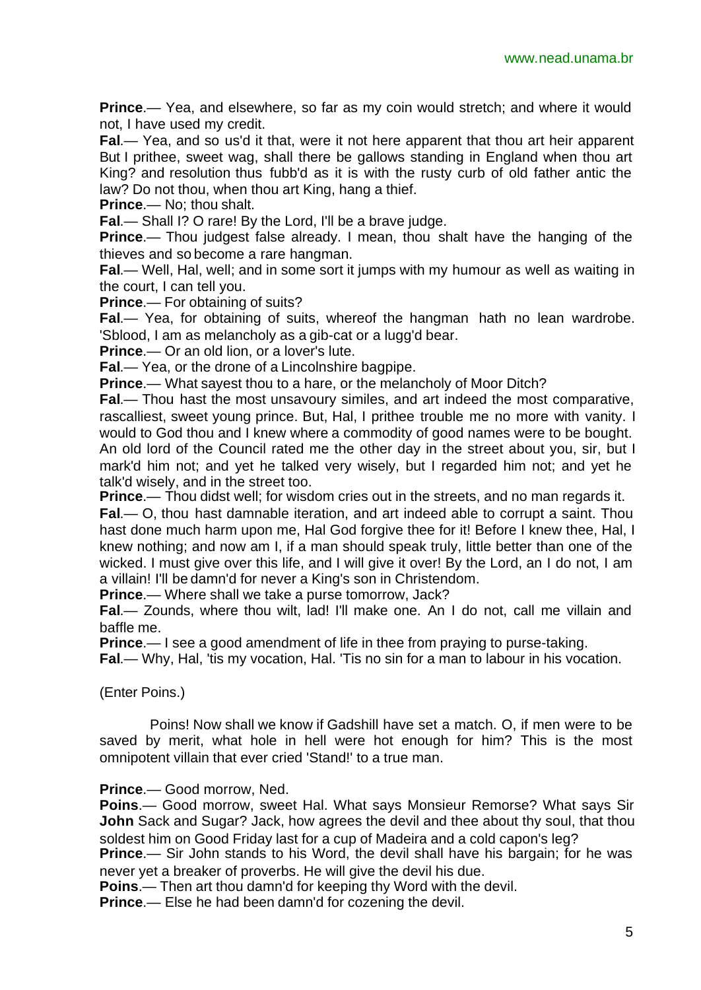**Prince.**— Yea, and elsewhere, so far as my coin would stretch; and where it would not, I have used my credit.

**Fal**.— Yea, and so us'd it that, were it not here apparent that thou art heir apparent But I prithee, sweet wag, shall there be gallows standing in England when thou art King? and resolution thus fubb'd as it is with the rusty curb of old father antic the law? Do not thou, when thou art King, hang a thief.

**Prince**.— No; thou shalt.

**Fal**.— Shall I? O rare! By the Lord, I'll be a brave judge.

**Prince.**— Thou judgest false already. I mean, thou shalt have the hanging of the thieves and so become a rare hangman.

**Fal**.— Well, Hal, well; and in some sort it jumps with my humour as well as waiting in the court, I can tell you.

**Prince**.— For obtaining of suits?

**Fal**.— Yea, for obtaining of suits, whereof the hangman hath no lean wardrobe. 'Sblood, I am as melancholy as a gib-cat or a lugg'd bear.

**Prince**.— Or an old lion, or a lover's lute.

**Fal**.— Yea, or the drone of a Lincolnshire bagpipe.

**Prince**.— What sayest thou to a hare, or the melancholy of Moor Ditch?

**Fal**.— Thou hast the most unsavoury similes, and art indeed the most comparative, rascalliest, sweet young prince. But, Hal, I prithee trouble me no more with vanity. I would to God thou and I knew where a commodity of good names were to be bought. An old lord of the Council rated me the other day in the street about you, sir, but I mark'd him not; and yet he talked very wisely, but I regarded him not; and yet he talk'd wisely, and in the street too.

**Prince**.— Thou didst well; for wisdom cries out in the streets, and no man regards it.

**Fal**.— O, thou hast damnable iteration, and art indeed able to corrupt a saint. Thou hast done much harm upon me, Hal God forgive thee for it! Before I knew thee, Hal, I knew nothing; and now am I, if a man should speak truly, little better than one of the wicked. I must give over this life, and I will give it over! By the Lord, an I do not, I am a villain! I'll be damn'd for never a King's son in Christendom.

**Prince**.— Where shall we take a purse tomorrow, Jack?

**Fal**.— Zounds, where thou wilt, lad! I'll make one. An I do not, call me villain and baffle me.

**Prince**.— I see a good amendment of life in thee from praying to purse-taking.

**Fal**.— Why, Hal, 'tis my vocation, Hal. 'Tis no sin for a man to labour in his vocation.

(Enter Poins.)

Poins! Now shall we know if Gadshill have set a match. O, if men were to be saved by merit, what hole in hell were hot enough for him? This is the most omnipotent villain that ever cried 'Stand!' to a true man.

**Prince**.— Good morrow, Ned.

**Poins**.— Good morrow, sweet Hal. What says Monsieur Remorse? What says Sir **John** Sack and Sugar? Jack, how agrees the devil and thee about thy soul, that thou soldest him on Good Friday last for a cup of Madeira and a cold capon's leg?

**Prince**.— Sir John stands to his Word, the devil shall have his bargain; for he was never yet a breaker of proverbs. He will give the devil his due.

**Poins**.— Then art thou damn'd for keeping thy Word with the devil.

**Prince**.— Else he had been damn'd for cozening the devil.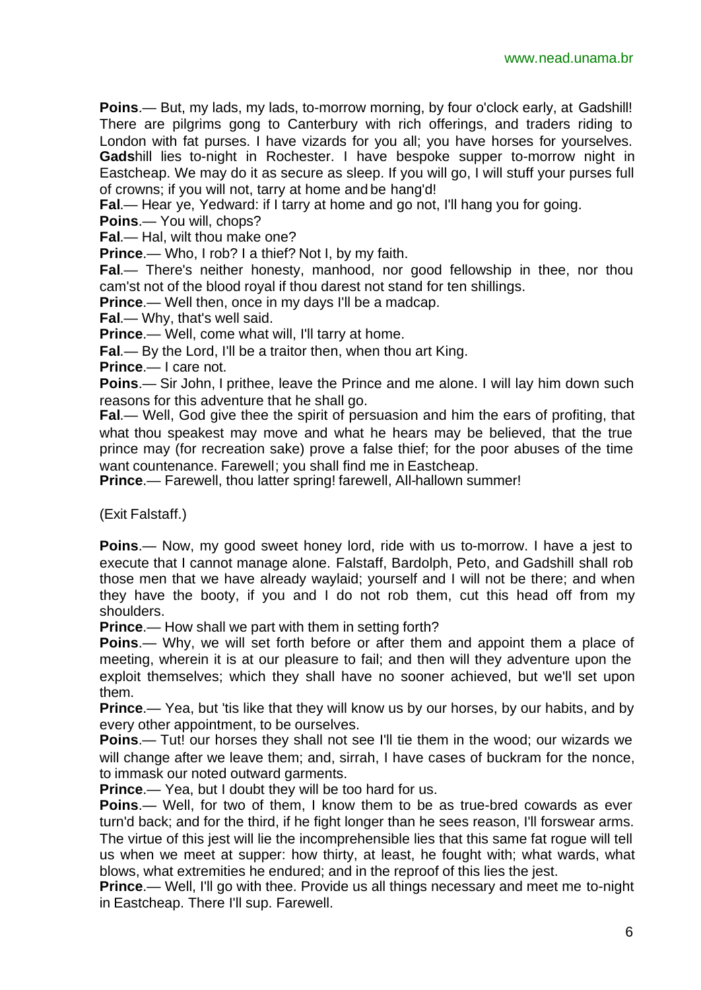**Poins**.— But, my lads, my lads, to-morrow morning, by four o'clock early, at Gadshill! There are pilgrims gong to Canterbury with rich offerings, and traders riding to London with fat purses. I have vizards for you all; you have horses for yourselves. **Gads**hill lies to-night in Rochester. I have bespoke supper to-morrow night in Eastcheap. We may do it as secure as sleep. If you will go, I will stuff your purses full of crowns; if you will not, tarry at home and be hang'd!

**Fal**.— Hear ye, Yedward: if I tarry at home and go not, I'll hang you for going.

**Poins**.— You will, chops?

**Fal**.— Hal, wilt thou make one?

**Prince**.— Who, I rob? I a thief? Not I, by my faith.

**Fal**.— There's neither honesty, manhood, nor good fellowship in thee, nor thou cam'st not of the blood royal if thou darest not stand for ten shillings.

**Prince.**— Well then, once in my days I'll be a madcap.

**Fal**.— Why, that's well said.

**Prince.**— Well, come what will, I'll tarry at home.

**Fal**.— By the Lord, I'll be a traitor then, when thou art King.

**Prince**.— I care not.

**Poins**.— Sir John, I prithee, leave the Prince and me alone. I will lay him down such reasons for this adventure that he shall go.

**Fal**.— Well, God give thee the spirit of persuasion and him the ears of profiting, that what thou speakest may move and what he hears may be believed, that the true prince may (for recreation sake) prove a false thief; for the poor abuses of the time want countenance. Farewell; you shall find me in Eastcheap.

**Prince**.— Farewell, thou latter spring! farewell, All-hallown summer!

(Exit Falstaff.)

**Poins**.— Now, my good sweet honey lord, ride with us to-morrow. I have a jest to execute that I cannot manage alone. Falstaff, Bardolph, Peto, and Gadshill shall rob those men that we have already waylaid; yourself and I will not be there; and when they have the booty, if you and I do not rob them, cut this head off from my shoulders.

**Prince**.— How shall we part with them in setting forth?

**Poins**.— Why, we will set forth before or after them and appoint them a place of meeting, wherein it is at our pleasure to fail; and then will they adventure upon the exploit themselves; which they shall have no sooner achieved, but we'll set upon them.

**Prince.**— Yea, but 'tis like that they will know us by our horses, by our habits, and by every other appointment, to be ourselves.

**Poins.**— Tut! our horses they shall not see I'll tie them in the wood; our wizards we will change after we leave them; and, sirrah, I have cases of buckram for the nonce, to immask our noted outward garments.

**Prince.**— Yea, but I doubt they will be too hard for us.

**Poins**.— Well, for two of them, I know them to be as true-bred cowards as ever turn'd back; and for the third, if he fight longer than he sees reason, I'll forswear arms. The virtue of this jest will lie the incomprehensible lies that this same fat rogue will tell us when we meet at supper: how thirty, at least, he fought with; what wards, what blows, what extremities he endured; and in the reproof of this lies the jest.

**Prince.**— Well, I'll go with thee. Provide us all things necessary and meet me to-night in Eastcheap. There I'll sup. Farewell.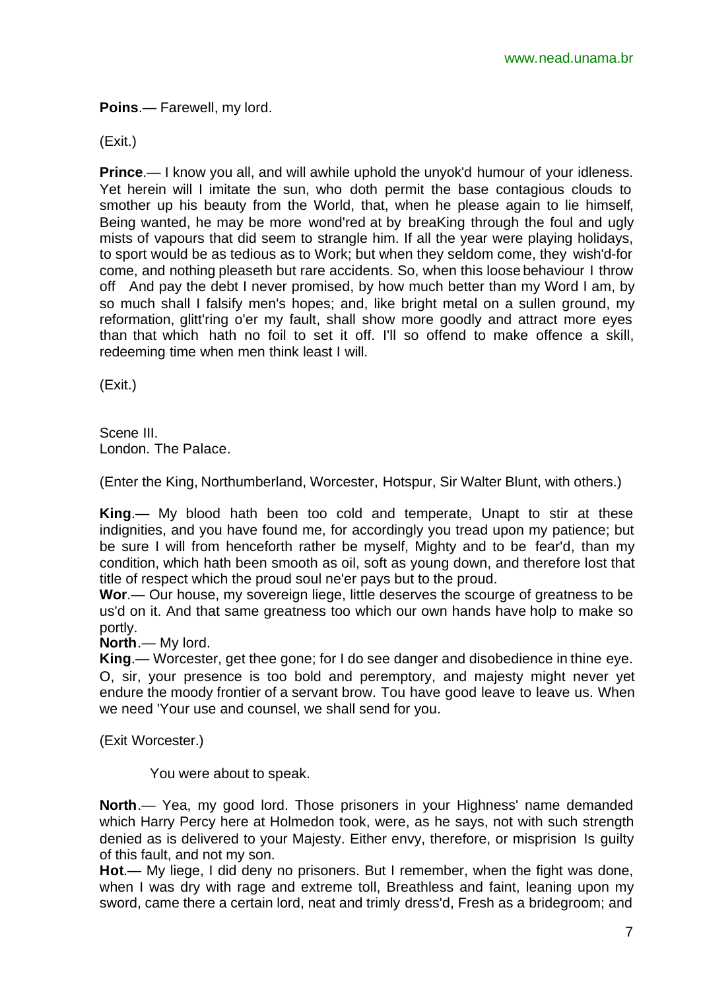**Poins**.— Farewell, my lord.

(Exit.)

**Prince.**— I know you all, and will awhile uphold the unyok'd humour of your idleness. Yet herein will I imitate the sun, who doth permit the base contagious clouds to smother up his beauty from the World, that, when he please again to lie himself, Being wanted, he may be more wond'red at by breaKing through the foul and ugly mists of vapours that did seem to strangle him. If all the year were playing holidays, to sport would be as tedious as to Work; but when they seldom come, they wish'd-for come, and nothing pleaseth but rare accidents. So, when this loose behaviour I throw off And pay the debt I never promised, by how much better than my Word I am, by so much shall I falsify men's hopes; and, like bright metal on a sullen ground, my reformation, glitt'ring o'er my fault, shall show more goodly and attract more eyes than that which hath no foil to set it off. I'll so offend to make offence a skill, redeeming time when men think least I will.

(Exit.)

Scene III. London. The Palace.

(Enter the King, Northumberland, Worcester, Hotspur, Sir Walter Blunt, with others.)

**King**.— My blood hath been too cold and temperate, Unapt to stir at these indignities, and you have found me, for accordingly you tread upon my patience; but be sure I will from henceforth rather be myself, Mighty and to be fear'd, than my condition, which hath been smooth as oil, soft as young down, and therefore lost that title of respect which the proud soul ne'er pays but to the proud.

**Wor**.— Our house, my sovereign liege, little deserves the scourge of greatness to be us'd on it. And that same greatness too which our own hands have holp to make so portly.

**North**.— My lord.

**King**.— Worcester, get thee gone; for I do see danger and disobedience in thine eye. O, sir, your presence is too bold and peremptory, and majesty might never yet endure the moody frontier of a servant brow. Tou have good leave to leave us. When we need 'Your use and counsel, we shall send for you.

(Exit Worcester.)

You were about to speak.

**North**.— Yea, my good lord. Those prisoners in your Highness' name demanded which Harry Percy here at Holmedon took, were, as he says, not with such strength denied as is delivered to your Majesty. Either envy, therefore, or misprision Is guilty of this fault, and not my son.

**Hot**.— My liege, I did deny no prisoners. But I remember, when the fight was done, when I was dry with rage and extreme toll, Breathless and faint, leaning upon my sword, came there a certain lord, neat and trimly dress'd, Fresh as a bridegroom; and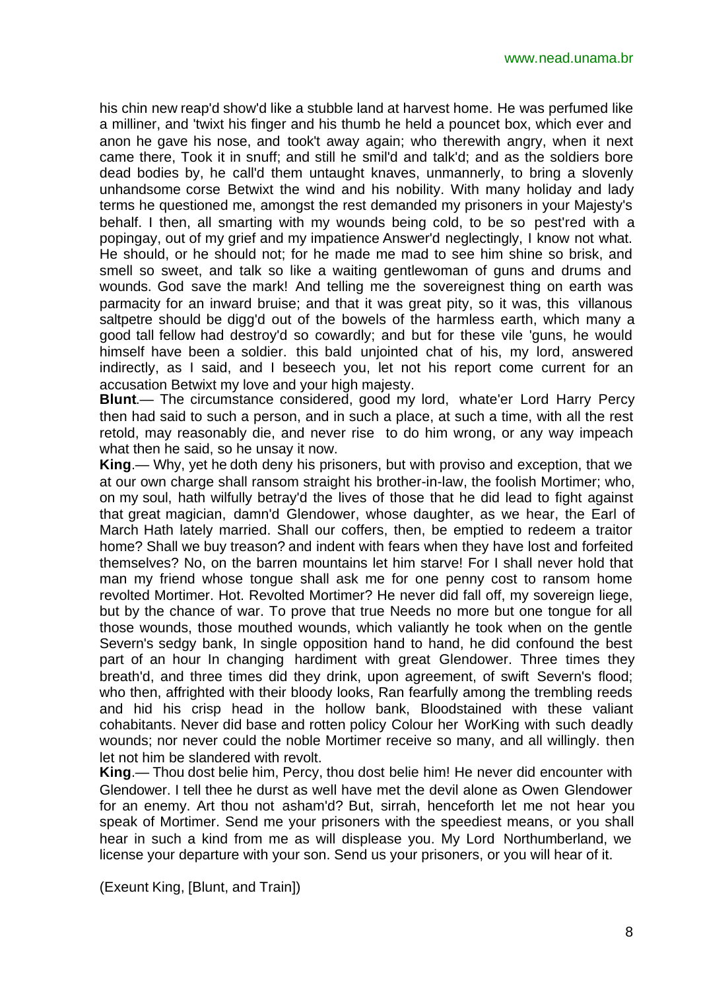his chin new reap'd show'd like a stubble land at harvest home. He was perfumed like a milliner, and 'twixt his finger and his thumb he held a pouncet box, which ever and anon he gave his nose, and took't away again; who therewith angry, when it next came there, Took it in snuff; and still he smil'd and talk'd; and as the soldiers bore dead bodies by, he call'd them untaught knaves, unmannerly, to bring a slovenly unhandsome corse Betwixt the wind and his nobility. With many holiday and lady terms he questioned me, amongst the rest demanded my prisoners in your Majesty's behalf. I then, all smarting with my wounds being cold, to be so pest'red with a popingay, out of my grief and my impatience Answer'd neglectingly, I know not what. He should, or he should not; for he made me mad to see him shine so brisk, and smell so sweet, and talk so like a waiting gentlewoman of guns and drums and wounds. God save the mark! And telling me the sovereignest thing on earth was parmacity for an inward bruise; and that it was great pity, so it was, this villanous saltpetre should be digg'd out of the bowels of the harmless earth, which many a good tall fellow had destroy'd so cowardly; and but for these vile 'guns, he would himself have been a soldier. this bald unjointed chat of his, my lord, answered indirectly, as I said, and I beseech you, let not his report come current for an accusation Betwixt my love and your high majesty.

**Blunt**.— The circumstance considered, good my lord, whate'er Lord Harry Percy then had said to such a person, and in such a place, at such a time, with all the rest retold, may reasonably die, and never rise to do him wrong, or any way impeach what then he said, so he unsay it now.

**King**.— Why, yet he doth deny his prisoners, but with proviso and exception, that we at our own charge shall ransom straight his brother-in-law, the foolish Mortimer; who, on my soul, hath wilfully betray'd the lives of those that he did lead to fight against that great magician, damn'd Glendower, whose daughter, as we hear, the Earl of March Hath lately married. Shall our coffers, then, be emptied to redeem a traitor home? Shall we buy treason? and indent with fears when they have lost and forfeited themselves? No, on the barren mountains let him starve! For I shall never hold that man my friend whose tongue shall ask me for one penny cost to ransom home revolted Mortimer. Hot. Revolted Mortimer? He never did fall off, my sovereign liege, but by the chance of war. To prove that true Needs no more but one tongue for all those wounds, those mouthed wounds, which valiantly he took when on the gentle Severn's sedgy bank, In single opposition hand to hand, he did confound the best part of an hour In changing hardiment with great Glendower. Three times they breath'd, and three times did they drink, upon agreement, of swift Severn's flood; who then, affrighted with their bloody looks, Ran fearfully among the trembling reeds and hid his crisp head in the hollow bank, Bloodstained with these valiant cohabitants. Never did base and rotten policy Colour her WorKing with such deadly wounds; nor never could the noble Mortimer receive so many, and all willingly. then let not him be slandered with revolt.

**King**.— Thou dost belie him, Percy, thou dost belie him! He never did encounter with Glendower. I tell thee he durst as well have met the devil alone as Owen Glendower for an enemy. Art thou not asham'd? But, sirrah, henceforth let me not hear you speak of Mortimer. Send me your prisoners with the speediest means, or you shall hear in such a kind from me as will displease you. My Lord Northumberland, we license your departure with your son. Send us your prisoners, or you will hear of it.

(Exeunt King, [Blunt, and Train])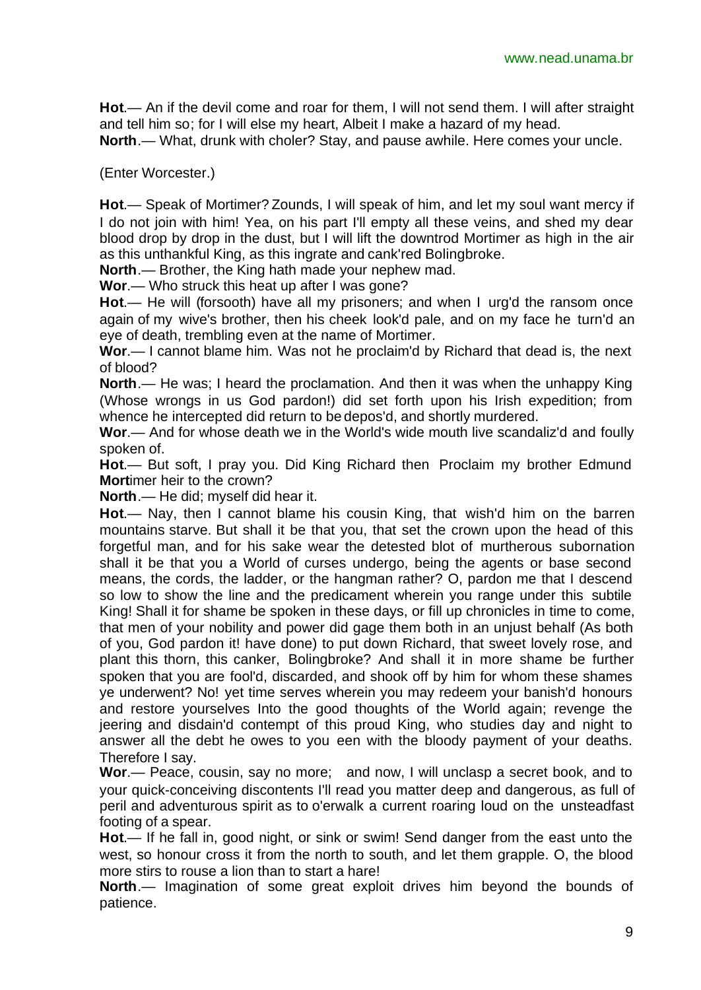**Hot**.— An if the devil come and roar for them, I will not send them. I will after straight and tell him so; for I will else my heart, Albeit I make a hazard of my head.

**North**.— What, drunk with choler? Stay, and pause awhile. Here comes your uncle.

(Enter Worcester.)

**Hot**.— Speak of Mortimer? Zounds, I will speak of him, and let my soul want mercy if I do not join with him! Yea, on his part I'll empty all these veins, and shed my dear blood drop by drop in the dust, but I will lift the downtrod Mortimer as high in the air as this unthankful King, as this ingrate and cank'red Bolingbroke.

**North**.— Brother, the King hath made your nephew mad.

**Wor**.— Who struck this heat up after I was gone?

**Hot**.— He will (forsooth) have all my prisoners; and when I urg'd the ransom once again of my wive's brother, then his cheek look'd pale, and on my face he turn'd an eye of death, trembling even at the name of Mortimer.

**Wor**.— I cannot blame him. Was not he proclaim'd by Richard that dead is, the next of blood?

**North**.— He was; I heard the proclamation. And then it was when the unhappy King (Whose wrongs in us God pardon!) did set forth upon his Irish expedition; from whence he intercepted did return to be depos'd, and shortly murdered.

**Wor**.— And for whose death we in the World's wide mouth live scandaliz'd and foully spoken of.

**Hot**.— But soft, I pray you. Did King Richard then Proclaim my brother Edmund **Mort**imer heir to the crown?

**North**.— He did; myself did hear it.

**Hot**.— Nay, then I cannot blame his cousin King, that wish'd him on the barren mountains starve. But shall it be that you, that set the crown upon the head of this forgetful man, and for his sake wear the detested blot of murtherous subornation shall it be that you a World of curses undergo, being the agents or base second means, the cords, the ladder, or the hangman rather? O, pardon me that I descend so low to show the line and the predicament wherein you range under this subtile King! Shall it for shame be spoken in these days, or fill up chronicles in time to come, that men of your nobility and power did gage them both in an unjust behalf (As both of you, God pardon it! have done) to put down Richard, that sweet lovely rose, and plant this thorn, this canker, Bolingbroke? And shall it in more shame be further spoken that you are fool'd, discarded, and shook off by him for whom these shames ye underwent? No! yet time serves wherein you may redeem your banish'd honours and restore yourselves Into the good thoughts of the World again; revenge the jeering and disdain'd contempt of this proud King, who studies day and night to answer all the debt he owes to you een with the bloody payment of your deaths. Therefore I say.

**Wor**.— Peace, cousin, say no more; and now, I will unclasp a secret book, and to your quick-conceiving discontents I'll read you matter deep and dangerous, as full of peril and adventurous spirit as to o'erwalk a current roaring loud on the unsteadfast footing of a spear.

**Hot**.— If he fall in, good night, or sink or swim! Send danger from the east unto the west, so honour cross it from the north to south, and let them grapple. O, the blood more stirs to rouse a lion than to start a hare!

**North**.— Imagination of some great exploit drives him beyond the bounds of patience.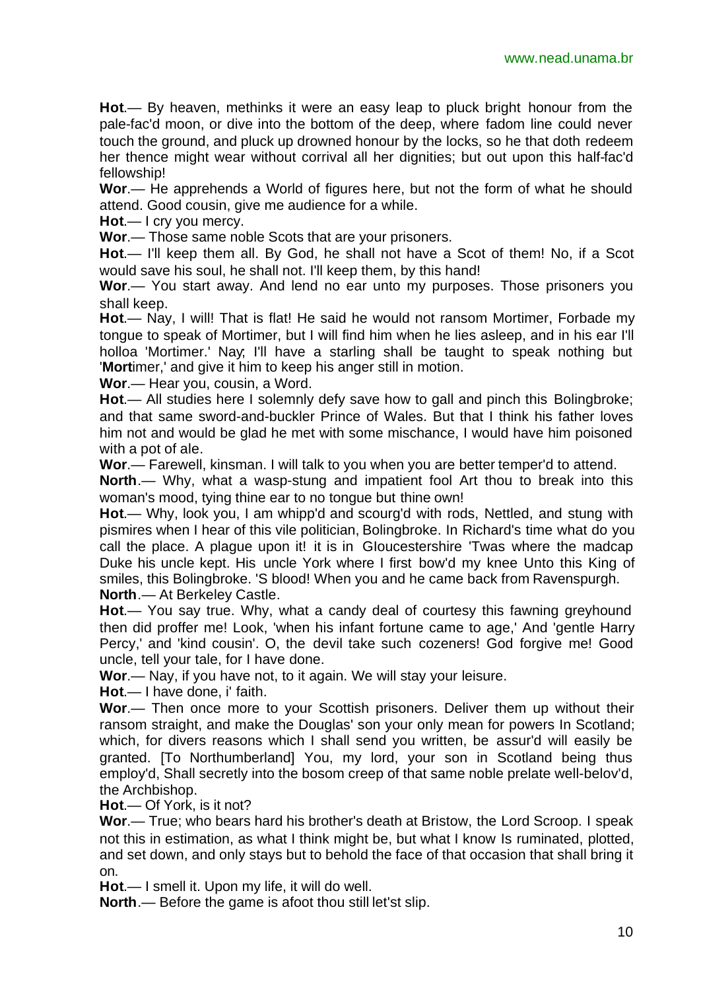**Hot**.— By heaven, methinks it were an easy leap to pluck bright honour from the pale-fac'd moon, or dive into the bottom of the deep, where fadom line could never touch the ground, and pluck up drowned honour by the locks, so he that doth redeem her thence might wear without corrival all her dignities; but out upon this half-fac'd fellowship!

**Wor**.— He apprehends a World of figures here, but not the form of what he should attend. Good cousin, give me audience for a while.

**Hot**.— I cry you mercy.

**Wor**.— Those same noble Scots that are your prisoners.

**Hot**.— I'll keep them all. By God, he shall not have a Scot of them! No, if a Scot would save his soul, he shall not. I'll keep them, by this hand!

**Wor**.— You start away. And lend no ear unto my purposes. Those prisoners you shall keep.

**Hot**.— Nay, I will! That is flat! He said he would not ransom Mortimer, Forbade my tongue to speak of Mortimer, but I will find him when he lies asleep, and in his ear I'll holloa 'Mortimer.' Nay; I'll have a starling shall be taught to speak nothing but '**Mort**imer,' and give it him to keep his anger still in motion.

**Wor**.— Hear you, cousin, a Word.

**Hot**.— All studies here I solemnly defy save how to gall and pinch this Bolingbroke; and that same sword-and-buckler Prince of Wales. But that I think his father loves him not and would be glad he met with some mischance, I would have him poisoned with a pot of ale.

**Wor**.— Farewell, kinsman. I will talk to you when you are better temper'd to attend.

**North**.— Why, what a wasp-stung and impatient fool Art thou to break into this woman's mood, tying thine ear to no tongue but thine own!

**Hot**.— Why, look you, I am whipp'd and scourg'd with rods, Nettled, and stung with pismires when I hear of this vile politician, Bolingbroke. In Richard's time what do you call the place. A plague upon it! it is in GIoucestershire 'Twas where the madcap Duke his uncle kept. His uncle York where I first bow'd my knee Unto this King of smiles, this Bolingbroke. 'S blood! When you and he came back from Ravenspurgh. **North**.— At Berkeley Castle.

**Hot**.— You say true. Why, what a candy deal of courtesy this fawning greyhound then did proffer me! Look, 'when his infant fortune came to age,' And 'gentle Harry Percy,' and 'kind cousin'. O, the devil take such cozeners! God forgive me! Good uncle, tell your tale, for I have done.

**Wor**.— Nay, if you have not, to it again. We will stay your leisure.

**Hot**.— I have done, i' faith.

**Wor**.— Then once more to your Scottish prisoners. Deliver them up without their ransom straight, and make the Douglas' son your only mean for powers In Scotland; which, for divers reasons which I shall send you written, be assur'd will easily be granted. [To Northumberland] You, my lord, your son in Scotland being thus employ'd, Shall secretly into the bosom creep of that same noble prelate well-belov'd, the Archbishop.

**Hot**.— Of York, is it not?

**Wor**.— True; who bears hard his brother's death at Bristow, the Lord Scroop. I speak not this in estimation, as what I think might be, but what I know Is ruminated, plotted, and set down, and only stays but to behold the face of that occasion that shall bring it on.

**Hot**.— I smell it. Upon my life, it will do well.

**North**.— Before the game is afoot thou still let'st slip.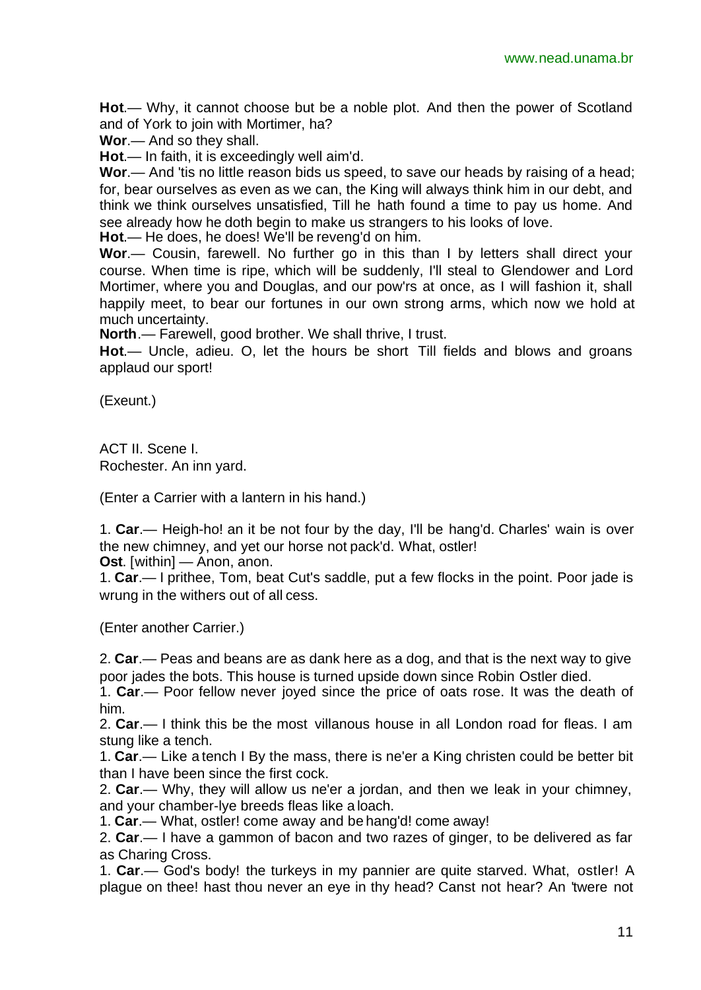**Hot**.— Why, it cannot choose but be a noble plot. And then the power of Scotland and of York to join with Mortimer, ha?

**Wor**.— And so they shall.

**Hot**.— In faith, it is exceedingly well aim'd.

**Wor**.— And 'tis no little reason bids us speed, to save our heads by raising of a head; for, bear ourselves as even as we can, the King will always think him in our debt, and think we think ourselves unsatisfied, Till he hath found a time to pay us home. And see already how he doth begin to make us strangers to his looks of love.

**Hot**.— He does, he does! We'll be reveng'd on him.

**Wor**.— Cousin, farewell. No further go in this than I by letters shall direct your course. When time is ripe, which will be suddenly, I'll steal to Glendower and Lord Mortimer, where you and Douglas, and our pow'rs at once, as I will fashion it, shall happily meet, to bear our fortunes in our own strong arms, which now we hold at much uncertainty.

**North**.— Farewell, good brother. We shall thrive, I trust.

**Hot**.— Uncle, adieu. O, let the hours be short Till fields and blows and groans applaud our sport!

(Exeunt.)

ACT II. Scene I. Rochester. An inn yard.

(Enter a Carrier with a lantern in his hand.)

1. **Car**.— Heigh-ho! an it be not four by the day, I'll be hang'd. Charles' wain is over the new chimney, and yet our horse not pack'd. What, ostler!

**Ost**. [within] — Anon, anon.

1. **Car**.— I prithee, Tom, beat Cut's saddle, put a few flocks in the point. Poor jade is wrung in the withers out of all cess.

(Enter another Carrier.)

2. **Car**.— Peas and beans are as dank here as a dog, and that is the next way to give poor jades the bots. This house is turned upside down since Robin Ostler died.

1. **Car**.— Poor fellow never joyed since the price of oats rose. It was the death of him.

2. **Car**.— I think this be the most villanous house in all London road for fleas. I am stung like a tench.

1. **Car**.— Like a tench I By the mass, there is ne'er a King christen could be better bit than I have been since the first cock.

2. **Car**.— Why, they will allow us ne'er a jordan, and then we leak in your chimney, and your chamber-lye breeds fleas like a loach.

1. **Car**.— What, ostler! come away and be hang'd! come away!

2. **Car**.— I have a gammon of bacon and two razes of ginger, to be delivered as far as Charing Cross.

1. **Car**.— God's body! the turkeys in my pannier are quite starved. What, ostler! A plague on thee! hast thou never an eye in thy head? Canst not hear? An 'twere not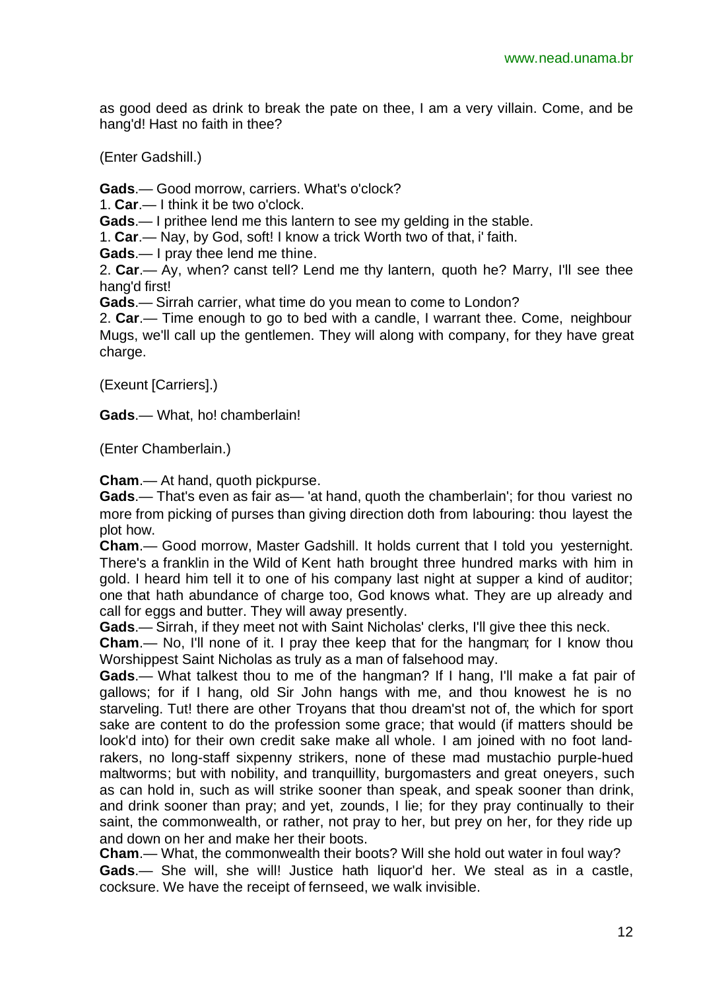as good deed as drink to break the pate on thee, I am a very villain. Come, and be hang'd! Hast no faith in thee?

(Enter Gadshill.)

**Gads**.— Good morrow, carriers. What's o'clock?

1. **Car**.— I think it be two o'clock.

**Gads**.— I prithee lend me this lantern to see my gelding in the stable.

1. **Car**.— Nay, by God, soft! I know a trick Worth two of that, i' faith.

**Gads**.— I pray thee lend me thine.

2. **Car**.— Ay, when? canst tell? Lend me thy lantern, quoth he? Marry, I'll see thee hang'd first!

**Gads**.— Sirrah carrier, what time do you mean to come to London?

2. **Car**.— Time enough to go to bed with a candle, I warrant thee. Come, neighbour Mugs, we'll call up the gentlemen. They will along with company, for they have great charge.

(Exeunt [Carriers].)

**Gads**.— What, ho! chamberlain!

(Enter Chamberlain.)

**Cham**.— At hand, quoth pickpurse.

**Gads**.— That's even as fair as— 'at hand, quoth the chamberlain'; for thou variest no more from picking of purses than giving direction doth from labouring: thou layest the plot how.

**Cham**.— Good morrow, Master Gadshill. It holds current that I told you yesternight. There's a franklin in the Wild of Kent hath brought three hundred marks with him in gold. I heard him tell it to one of his company last night at supper a kind of auditor; one that hath abundance of charge too, God knows what. They are up already and call for eggs and butter. They will away presently.

**Gads**.— Sirrah, if they meet not with Saint Nicholas' clerks, I'll give thee this neck.

**Cham**.— No, I'll none of it. I pray thee keep that for the hangman; for I know thou Worshippest Saint Nicholas as truly as a man of falsehood may.

**Gads**.— What talkest thou to me of the hangman? If I hang, I'll make a fat pair of gallows; for if I hang, old Sir John hangs with me, and thou knowest he is no starveling. Tut! there are other Troyans that thou dream'st not of, the which for sport sake are content to do the profession some grace; that would (if matters should be look'd into) for their own credit sake make all whole. I am joined with no foot landrakers, no long-staff sixpenny strikers, none of these mad mustachio purple-hued maltworms; but with nobility, and tranquillity, burgomasters and great oneyers, such as can hold in, such as will strike sooner than speak, and speak sooner than drink, and drink sooner than pray; and yet, zounds, I lie; for they pray continually to their saint, the commonwealth, or rather, not pray to her, but prey on her, for they ride up and down on her and make her their boots.

**Cham**.— What, the commonwealth their boots? Will she hold out water in foul way?

**Gads**.— She will, she will! Justice hath liquor'd her. We steal as in a castle, cocksure. We have the receipt of fernseed, we walk invisible.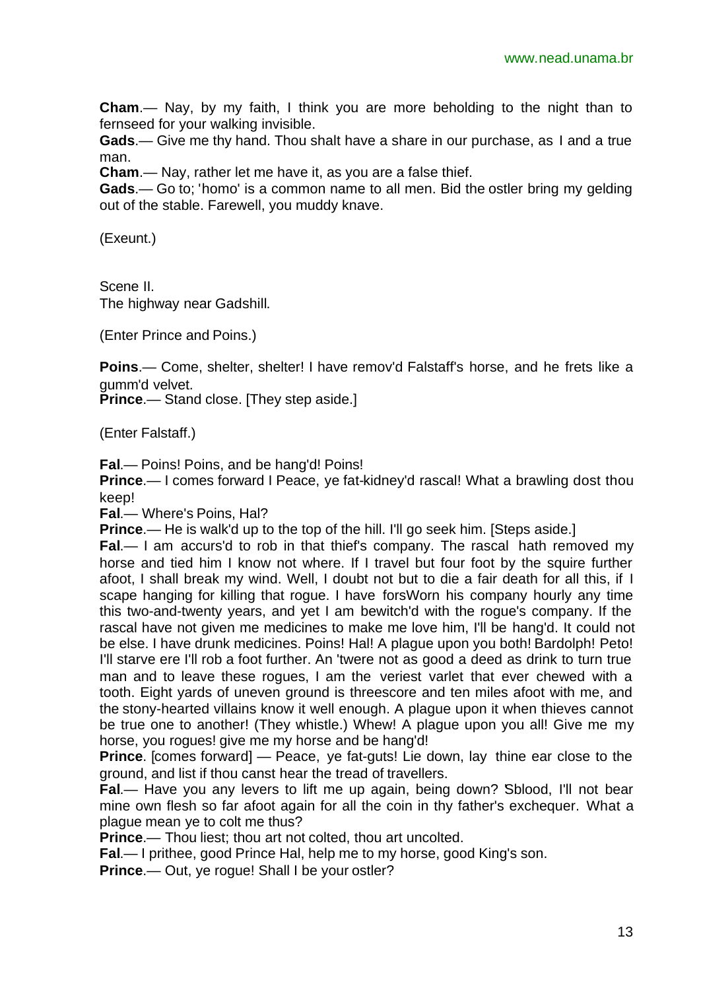**Cham**.— Nay, by my faith, I think you are more beholding to the night than to fernseed for your walking invisible.

**Gads**.— Give me thy hand. Thou shalt have a share in our purchase, as I and a true man.

**Cham**.— Nay, rather let me have it, as you are a false thief.

**Gads**.— Go to; 'homo' is a common name to all men. Bid the ostler bring my gelding out of the stable. Farewell, you muddy knave.

(Exeunt.)

Scene II. The highway near Gadshill.

(Enter Prince and Poins.)

**Poins**.— Come, shelter, shelter! I have remov'd Falstaff's horse, and he frets like a gumm'd velvet.

**Prince.**— Stand close. [They step aside.]

(Enter Falstaff.)

**Fal**.— Poins! Poins, and be hang'd! Poins!

**Prince.**— I comes forward I Peace, ye fat-kidney'd rascal! What a brawling dost thou keep!

**Fal**.— Where's Poins, Hal?

**Prince.**— He is walk'd up to the top of the hill. I'll go seek him. [Steps aside.]

**Fal.**— I am accurs'd to rob in that thief's company. The rascal hath removed my horse and tied him I know not where. If I travel but four foot by the squire further afoot, I shall break my wind. Well, I doubt not but to die a fair death for all this, if I scape hanging for killing that rogue. I have forsWorn his company hourly any time this two-and-twenty years, and yet I am bewitch'd with the rogue's company. If the rascal have not given me medicines to make me love him, I'll be hang'd. It could not be else. I have drunk medicines. Poins! Hal! A plague upon you both! Bardolph! Peto! I'll starve ere I'll rob a foot further. An 'twere not as good a deed as drink to turn true man and to leave these rogues, I am the veriest varlet that ever chewed with a tooth. Eight yards of uneven ground is threescore and ten miles afoot with me, and the stony-hearted villains know it well enough. A plague upon it when thieves cannot be true one to another! (They whistle.) Whew! A plague upon you all! Give me my horse, you rogues! give me my horse and be hang'd!

**Prince**. [comes forward] — Peace, ye fat-guts! Lie down, lay thine ear close to the ground, and list if thou canst hear the tread of travellers.

**Fal.**— Have you any levers to lift me up again, being down? Sblood, I'll not bear mine own flesh so far afoot again for all the coin in thy father's exchequer. What a plague mean ye to colt me thus?

**Prince**.— Thou liest; thou art not colted, thou art uncolted.

**Fal**.— I prithee, good Prince Hal, help me to my horse, good King's son.

**Prince.**— Out, ye roque! Shall I be your ostler?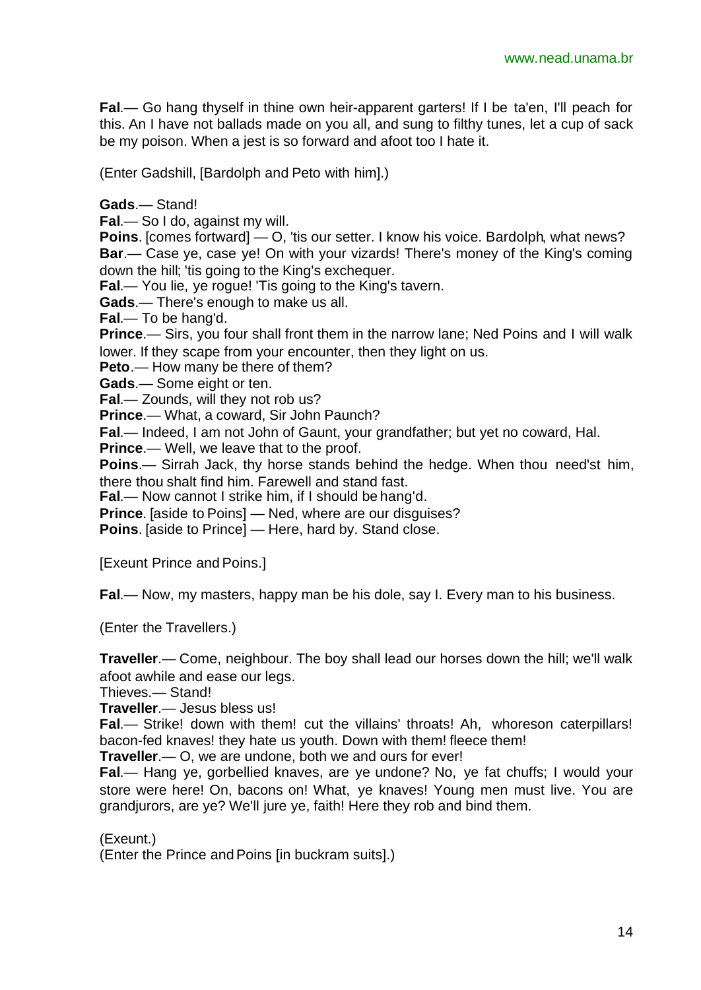**Fal**.— Go hang thyself in thine own heir-apparent garters! If I be ta'en, I'll peach for this. An I have not ballads made on you all, and sung to filthy tunes, let a cup of sack be my poison. When a jest is so forward and afoot too I hate it.

(Enter Gadshill, [Bardolph and Peto with him].)

**Gads**.— Stand!

**Fal**.— So I do, against my will.

**Poins**. [comes fortward] — O, 'tis our setter. I know his voice. Bardolph, what news? **Bar**.— Case ye, case ye! On with your vizards! There's money of the King's coming down the hill; 'tis going to the King's exchequer.

**Fal.**— You lie, ye rogue! 'Tis going to the King's tavern.

**Gads**.— There's enough to make us all.

**Fal**.— To be hang'd.

**Prince**.— Sirs, you four shall front them in the narrow lane; Ned Poins and I will walk lower. If they scape from your encounter, then they light on us.

**Peto**.— How many be there of them?

**Gads**.— Some eight or ten.

**Fal**.— Zounds, will they not rob us?

**Prince**.— What, a coward, Sir John Paunch?

**Fal**.— Indeed, I am not John of Gaunt, your grandfather; but yet no coward, Hal.

**Prince**.— Well, we leave that to the proof.

**Poins**.— Sirrah Jack, thy horse stands behind the hedge. When thou need'st him, there thou shalt find him. Farewell and stand fast.

**Fal**.— Now cannot I strike him, if I should be hang'd.

**Prince**. [aside to Poins] — Ned, where are our disguises?

**Poins**. [aside to Prince] — Here, hard by. Stand close.

[Exeunt Prince and Poins.]

**Fal**.— Now, my masters, happy man be his dole, say I. Every man to his business.

(Enter the Travellers.)

**Traveller**.— Come, neighbour. The boy shall lead our horses down the hill; we'll walk afoot awhile and ease our legs.

Thieves.— Stand!

**Traveller**.— Jesus bless us!

**Fal**.— Strike! down with them! cut the villains' throats! Ah, whoreson caterpillars! bacon-fed knaves! they hate us youth. Down with them! fleece them!

**Traveller**.— O, we are undone, both we and ours for ever!

**Fal**.— Hang ye, gorbellied knaves, are ye undone? No, ye fat chuffs; I would your store were here! On, bacons on! What, ye knaves! Young men must live. You are grandjurors, are ye? We'll jure ye, faith! Here they rob and bind them.

(Exeunt.)

(Enter the Prince and Poins [in buckram suits].)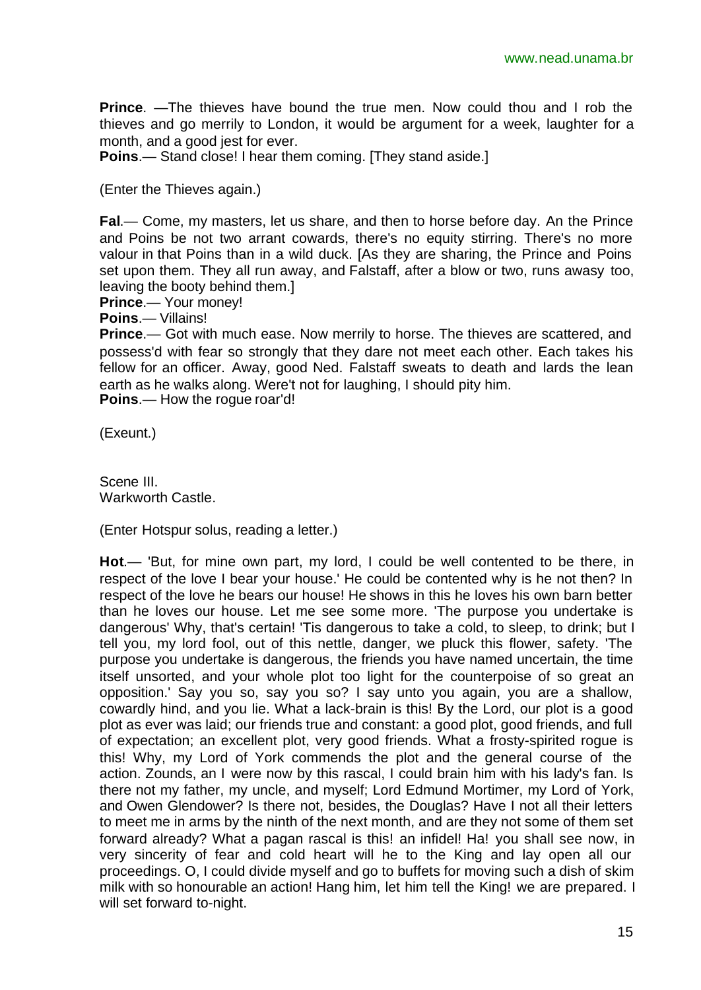**Prince**. —The thieves have bound the true men. Now could thou and I rob the thieves and go merrily to London, it would be argument for a week, laughter for a month, and a good jest for ever.

**Poins**.— Stand close! I hear them coming. [They stand aside.]

(Enter the Thieves again.)

**Fal**.— Come, my masters, let us share, and then to horse before day. An the Prince and Poins be not two arrant cowards, there's no equity stirring. There's no more valour in that Poins than in a wild duck. [As they are sharing, the Prince and Poins set upon them. They all run away, and Falstaff, after a blow or two, runs awasy too, leaving the booty behind them.]

**Prince**.— Your money!

**Poins**.— Villains!

**Prince**.— Got with much ease. Now merrily to horse. The thieves are scattered, and possess'd with fear so strongly that they dare not meet each other. Each takes his fellow for an officer. Away, good Ned. Falstaff sweats to death and lards the lean earth as he walks along. Were't not for laughing, I should pity him.

**Poins**.— How the rogue roar'd!

(Exeunt.)

Scene III. Warkworth Castle.

(Enter Hotspur solus, reading a letter.)

**Hot**.— 'But, for mine own part, my lord, I could be well contented to be there, in respect of the love I bear your house.' He could be contented why is he not then? In respect of the love he bears our house! He shows in this he loves his own barn better than he loves our house. Let me see some more. 'The purpose you undertake is dangerous' Why, that's certain! 'Tis dangerous to take a cold, to sleep, to drink; but I tell you, my lord fool, out of this nettle, danger, we pluck this flower, safety. 'The purpose you undertake is dangerous, the friends you have named uncertain, the time itself unsorted, and your whole plot too light for the counterpoise of so great an opposition.' Say you so, say you so? I say unto you again, you are a shallow, cowardly hind, and you lie. What a lack-brain is this! By the Lord, our plot is a good plot as ever was laid; our friends true and constant: a good plot, good friends, and full of expectation; an excellent plot, very good friends. What a frosty-spirited rogue is this! Why, my Lord of York commends the plot and the general course of the action. Zounds, an I were now by this rascal, I could brain him with his lady's fan. Is there not my father, my uncle, and myself; Lord Edmund Mortimer, my Lord of York, and Owen Glendower? Is there not, besides, the Douglas? Have I not all their letters to meet me in arms by the ninth of the next month, and are they not some of them set forward already? What a pagan rascal is this! an infidel! Ha! you shall see now, in very sincerity of fear and cold heart will he to the King and lay open all our proceedings. O, I could divide myself and go to buffets for moving such a dish of skim milk with so honourable an action! Hang him, let him tell the King! we are prepared. I will set forward to-night.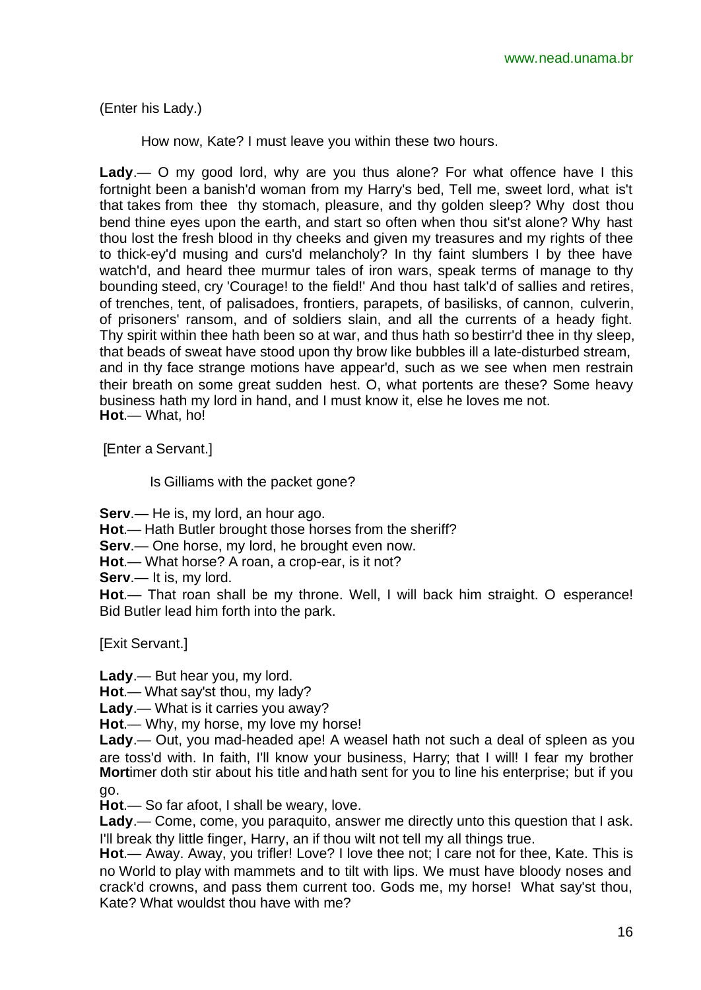(Enter his Lady.)

How now, Kate? I must leave you within these two hours.

**Lady**.— O my good lord, why are you thus alone? For what offence have I this fortnight been a banish'd woman from my Harry's bed, Tell me, sweet lord, what is't that takes from thee thy stomach, pleasure, and thy golden sleep? Why dost thou bend thine eyes upon the earth, and start so often when thou sit'st alone? Why hast thou lost the fresh blood in thy cheeks and given my treasures and my rights of thee to thick-ey'd musing and curs'd melancholy? In thy faint slumbers I by thee have watch'd, and heard thee murmur tales of iron wars, speak terms of manage to thy bounding steed, cry 'Courage! to the field!' And thou hast talk'd of sallies and retires, of trenches, tent, of palisadoes, frontiers, parapets, of basilisks, of cannon, culverin, of prisoners' ransom, and of soldiers slain, and all the currents of a heady fight. Thy spirit within thee hath been so at war, and thus hath so bestirr'd thee in thy sleep, that beads of sweat have stood upon thy brow like bubbles ill a late-disturbed stream, and in thy face strange motions have appear'd, such as we see when men restrain their breath on some great sudden hest. O, what portents are these? Some heavy business hath my lord in hand, and I must know it, else he loves me not. **Hot**.— What, ho!

[Enter a Servant.]

Is Gilliams with the packet gone?

**Serv**.— He is, my lord, an hour ago.

**Hot**.— Hath Butler brought those horses from the sheriff?

**Serv**.— One horse, my lord, he brought even now.

**Hot**.— What horse? A roan, a crop-ear, is it not?

**Serv**.— It is, my lord.

**Hot**.— That roan shall be my throne. Well, I will back him straight. O esperance! Bid Butler lead him forth into the park.

[Exit Servant.]

**Lady**.— But hear you, my lord.

**Hot**.— What say'st thou, my lady?

**Lady**.— What is it carries you away?

**Hot**.— Why, my horse, my love my horse!

**Lady**.— Out, you mad-headed ape! A weasel hath not such a deal of spleen as you are toss'd with. In faith, I'll know your business, Harry; that I will! I fear my brother **Mort**imer doth stir about his title and hath sent for you to line his enterprise; but if you go.

**Hot**.— So far afoot, I shall be weary, love.

**Lady**.— Come, come, you paraquito, answer me directly unto this question that I ask. I'll break thy little finger, Harry, an if thou wilt not tell my all things true.

**Hot**.— Away. Away, you trifler! Love? I love thee not; I care not for thee, Kate. This is no World to play with mammets and to tilt with lips. We must have bloody noses and crack'd crowns, and pass them current too. Gods me, my horse! What say'st thou, Kate? What wouldst thou have with me?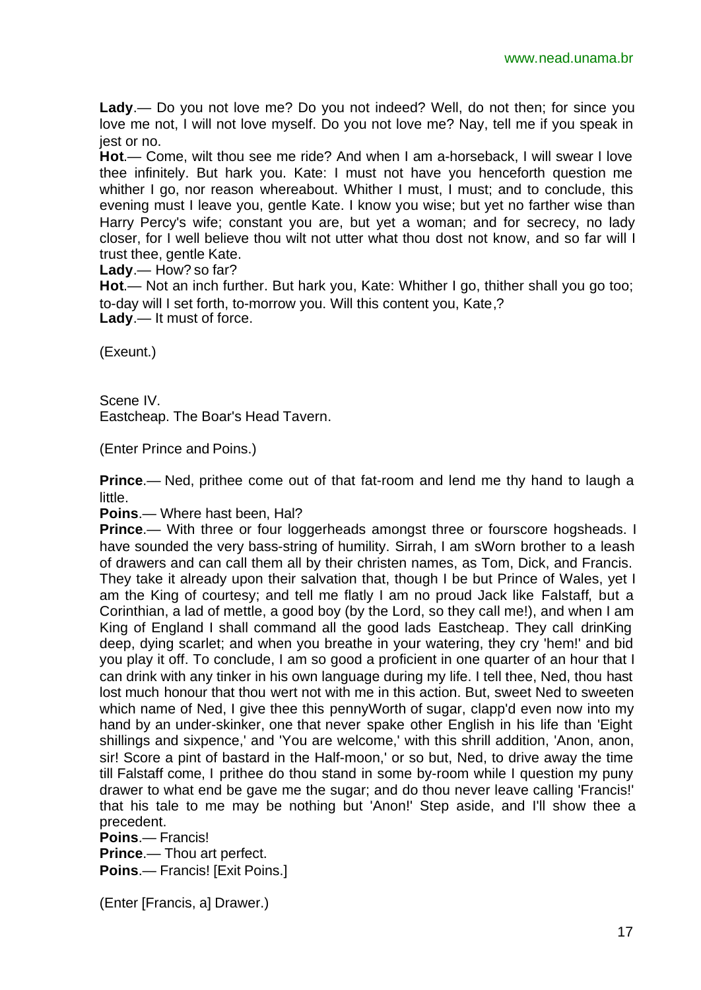**Lady**.— Do you not love me? Do you not indeed? Well, do not then; for since you love me not, I will not love myself. Do you not love me? Nay, tell me if you speak in jest or no.

**Hot**.— Come, wilt thou see me ride? And when I am a-horseback, I will swear I love thee infinitely. But hark you. Kate: I must not have you henceforth question me whither I go, nor reason whereabout. Whither I must, I must; and to conclude, this evening must I leave you, gentle Kate. I know you wise; but yet no farther wise than Harry Percy's wife; constant you are, but yet a woman; and for secrecy, no lady closer, for I well believe thou wilt not utter what thou dost not know, and so far will I trust thee, gentle Kate.

**Lady**.— How? so far?

**Hot**.— Not an inch further. But hark you, Kate: Whither I go, thither shall you go too; to-day will I set forth, to-morrow you. Will this content you, Kate,? **Lady**.— It must of force.

(Exeunt.)

Scene IV. Eastcheap. The Boar's Head Tavern.

(Enter Prince and Poins.)

**Prince**.— Ned, prithee come out of that fat-room and lend me thy hand to laugh a little.

**Poins**.— Where hast been, Hal?

**Prince.**— With three or four loggerheads amongst three or fourscore hogsheads. I have sounded the very bass-string of humility. Sirrah, I am sWorn brother to a leash of drawers and can call them all by their christen names, as Tom, Dick, and Francis. They take it already upon their salvation that, though I be but Prince of Wales, yet I am the King of courtesy; and tell me flatly I am no proud Jack like Falstaff, but a Corinthian, a lad of mettle, a good boy (by the Lord, so they call me!), and when I am King of England I shall command all the good lads Eastcheap. They call drinKing deep, dying scarlet; and when you breathe in your watering, they cry 'hem!' and bid you play it off. To conclude, I am so good a proficient in one quarter of an hour that I can drink with any tinker in his own language during my life. I tell thee, Ned, thou hast lost much honour that thou wert not with me in this action. But, sweet Ned to sweeten which name of Ned, I give thee this pennyWorth of sugar, clapp'd even now into my hand by an under-skinker, one that never spake other English in his life than 'Eight shillings and sixpence,' and 'You are welcome,' with this shrill addition, 'Anon, anon, sir! Score a pint of bastard in the Half-moon,' or so but, Ned, to drive away the time till Falstaff come, I prithee do thou stand in some by-room while I question my puny drawer to what end be gave me the sugar; and do thou never leave calling 'Francis!' that his tale to me may be nothing but 'Anon!' Step aside, and I'll show thee a precedent.

**Poins**.— Francis!

**Prince**.— Thou art perfect.

**Poins**.— Francis! [Exit Poins.]

(Enter [Francis, a] Drawer.)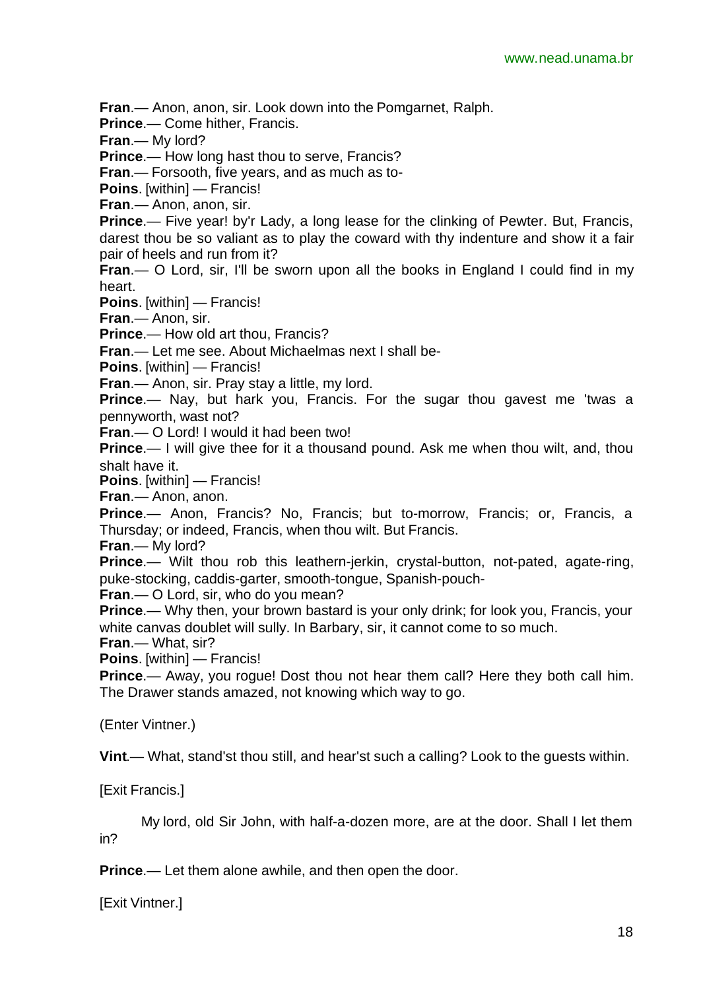**Fran**.— Anon, anon, sir. Look down into the Pomgarnet, Ralph.

**Prince**.— Come hither, Francis.

**Fran**.— My lord?

**Prince.**— How long hast thou to serve, Francis?

**Fran**.— Forsooth, five years, and as much as to-

**Poins**. [within] — Francis!

**Fran**.— Anon, anon, sir.

**Prince.**— Five year! by'r Lady, a long lease for the clinking of Pewter. But, Francis, darest thou be so valiant as to play the coward with thy indenture and show it a fair pair of heels and run from it?

**Fran.**— O Lord, sir, I'll be sworn upon all the books in England I could find in my heart.

**Poins**. [within] — Francis!

**Fran**.— Anon, sir.

**Prince**.— How old art thou, Francis?

**Fran**.— Let me see. About Michaelmas next I shall be-

**Poins**. [within] — Francis!

**Fran**.— Anon, sir. Pray stay a little, my lord.

**Prince**.— Nay, but hark you, Francis. For the sugar thou gavest me 'twas a pennyworth, wast not?

**Fran**.— O Lord! I would it had been two!

**Prince.**— I will give thee for it a thousand pound. Ask me when thou wilt, and, thou shalt have it.

**Poins**. [within] — Francis!

**Fran**.— Anon, anon.

**Prince**.— Anon, Francis? No, Francis; but to-morrow, Francis; or, Francis, a Thursday; or indeed, Francis, when thou wilt. But Francis.

**Fran**.— My lord?

**Prince.**— Wilt thou rob this leathern-jerkin, crystal-button, not-pated, agate-ring, puke-stocking, caddis-garter, smooth-tongue, Spanish-pouch-

**Fran**.— O Lord, sir, who do you mean?

**Prince.**— Why then, your brown bastard is your only drink; for look you, Francis, your white canvas doublet will sully. In Barbary, sir, it cannot come to so much.

**Fran**.— What, sir?

**Poins**. [within] — Francis!

**Prince.**— Away, you roque! Dost thou not hear them call? Here they both call him. The Drawer stands amazed, not knowing which way to go.

(Enter Vintner.)

**Vint**.— What, stand'st thou still, and hear'st such a calling? Look to the guests within.

[Exit Francis.]

My lord, old Sir John, with half-a-dozen more, are at the door. Shall I let them in?

**Prince**.— Let them alone awhile, and then open the door.

[Exit Vintner.]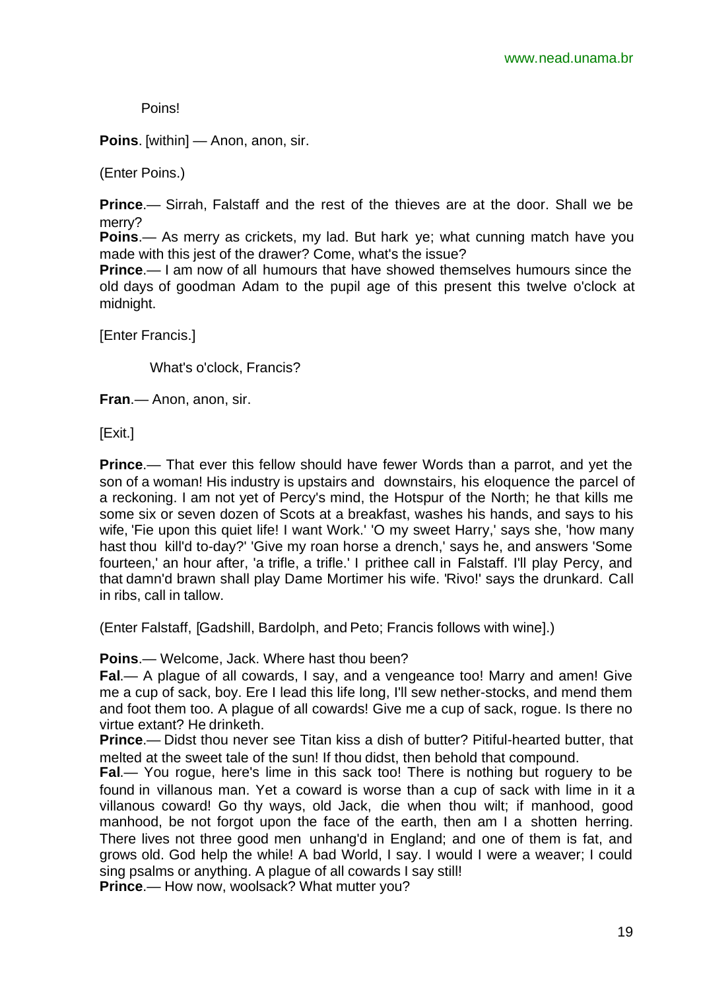Poins!

**Poins**. [within] — Anon, anon, sir.

(Enter Poins.)

**Prince**.— Sirrah, Falstaff and the rest of the thieves are at the door. Shall we be merry?

**Poins**.— As merry as crickets, my lad. But hark ye; what cunning match have you made with this jest of the drawer? Come, what's the issue?

**Prince.**— I am now of all humours that have showed themselves humours since the old days of goodman Adam to the pupil age of this present this twelve o'clock at midnight.

[Enter Francis.]

What's o'clock, Francis?

**Fran**.— Anon, anon, sir.

[Exit.]

**Prince**.— That ever this fellow should have fewer Words than a parrot, and yet the son of a woman! His industry is upstairs and downstairs, his eloquence the parcel of a reckoning. I am not yet of Percy's mind, the Hotspur of the North; he that kills me some six or seven dozen of Scots at a breakfast, washes his hands, and says to his wife, 'Fie upon this quiet life! I want Work.' 'O my sweet Harry,' says she, 'how many hast thou kill'd to-day?' 'Give my roan horse a drench,' says he, and answers 'Some fourteen,' an hour after, 'a trifle, a trifle.' I prithee call in Falstaff. I'll play Percy, and that damn'd brawn shall play Dame Mortimer his wife. 'Rivo!' says the drunkard. Call in ribs, call in tallow.

(Enter Falstaff, [Gadshill, Bardolph, and Peto; Francis follows with wine].)

**Poins**.— Welcome, Jack. Where hast thou been?

**Fal**.— A plague of all cowards, I say, and a vengeance too! Marry and amen! Give me a cup of sack, boy. Ere I lead this life long, I'll sew nether-stocks, and mend them and foot them too. A plague of all cowards! Give me a cup of sack, rogue. Is there no virtue extant? He drinketh.

**Prince**.— Didst thou never see Titan kiss a dish of butter? Pitiful-hearted butter, that melted at the sweet tale of the sun! If thou didst, then behold that compound.

**Fal**.— You rogue, here's lime in this sack too! There is nothing but roguery to be found in villanous man. Yet a coward is worse than a cup of sack with lime in it a villanous coward! Go thy ways, old Jack, die when thou wilt; if manhood, good manhood, be not forgot upon the face of the earth, then am I a shotten herring. There lives not three good men unhang'd in England; and one of them is fat, and grows old. God help the while! A bad World, I say. I would I were a weaver; I could sing psalms or anything. A plague of all cowards I say still!

**Prince**.— How now, woolsack? What mutter you?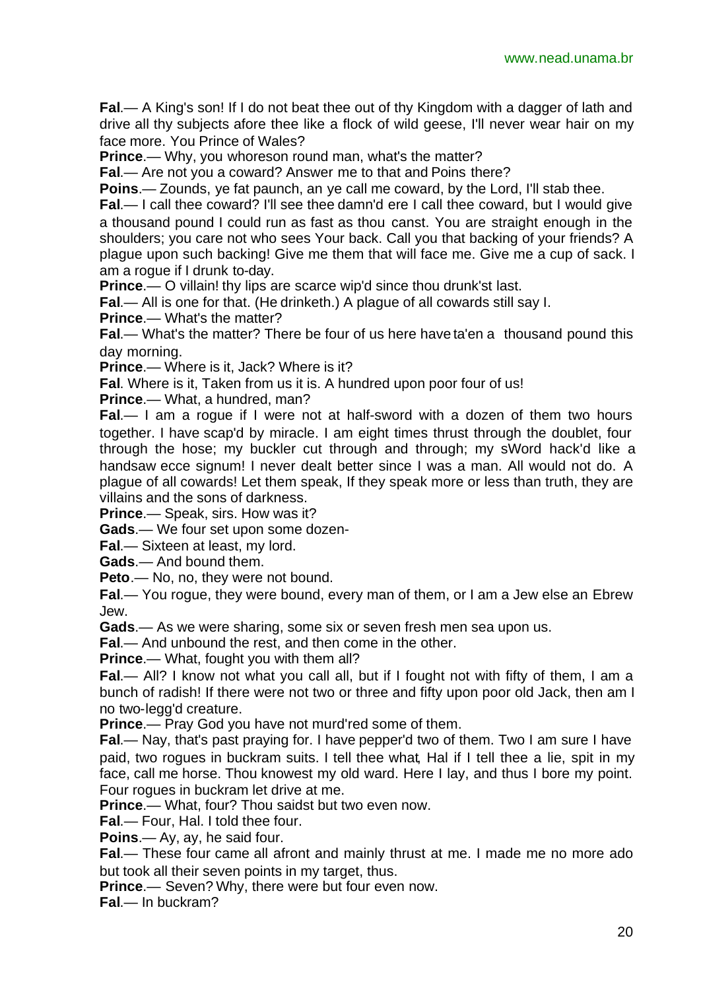**Fal**.— A King's son! If I do not beat thee out of thy Kingdom with a dagger of lath and drive all thy subjects afore thee like a flock of wild geese, I'll never wear hair on my face more. You Prince of Wales?

**Prince**.— Why, you whoreson round man, what's the matter?

**Fal**.— Are not you a coward? Answer me to that and Poins there?

**Poins**.— Zounds, ye fat paunch, an ye call me coward, by the Lord, I'll stab thee.

**Fal.**— I call thee coward? I'll see thee damn'd ere I call thee coward, but I would give a thousand pound I could run as fast as thou canst. You are straight enough in the shoulders; you care not who sees Your back. Call you that backing of your friends? A plague upon such backing! Give me them that will face me. Give me a cup of sack. I am a rogue if I drunk to-day.

**Prince.**— O villain! thy lips are scarce wip'd since thou drunk'st last.

**Fal**.— All is one for that. (He drinketh.) A plague of all cowards still say I.

**Prince**.— What's the matter?

**Fal**.— What's the matter? There be four of us here have ta'en a thousand pound this day morning.

**Prince**.— Where is it, Jack? Where is it?

**Fal**. Where is it, Taken from us it is. A hundred upon poor four of us!

**Prince**.— What, a hundred, man?

**Fal**.— I am a rogue if I were not at half-sword with a dozen of them two hours together. I have scap'd by miracle. I am eight times thrust through the doublet, four through the hose; my buckler cut through and through; my sWord hack'd like a handsaw ecce signum! I never dealt better since I was a man. All would not do. A plague of all cowards! Let them speak, If they speak more or less than truth, they are villains and the sons of darkness.

**Prince**.— Speak, sirs. How was it?

**Gads**.— We four set upon some dozen-

**Fal**.— Sixteen at least, my lord.

**Gads**.— And bound them.

**Peto**.— No, no, they were not bound.

**Fal**.— You rogue, they were bound, every man of them, or I am a Jew else an Ebrew Jew.

**Gads**.— As we were sharing, some six or seven fresh men sea upon us.

**Fal**.— And unbound the rest, and then come in the other.

**Prince**.— What, fought you with them all?

**Fal**.— All? I know not what you call all, but if I fought not with fifty of them, I am a bunch of radish! If there were not two or three and fifty upon poor old Jack, then am I no two-legg'd creature.

**Prince.**— Pray God you have not murd'red some of them.

**Fal.**— Nay, that's past praying for. I have pepper'd two of them. Two I am sure I have paid, two rogues in buckram suits. I tell thee what, Hal if I tell thee a lie, spit in my face, call me horse. Thou knowest my old ward. Here I lay, and thus I bore my point. Four rogues in buckram let drive at me.

**Prince**.— What, four? Thou saidst but two even now.

**Fal**.— Four, Hal. I told thee four.

**Poins**.— Ay, ay, he said four.

**Fal**.— These four came all afront and mainly thrust at me. I made me no more ado but took all their seven points in my target, thus.

**Prince**.— Seven? Why, there were but four even now.

**Fal**.— In buckram?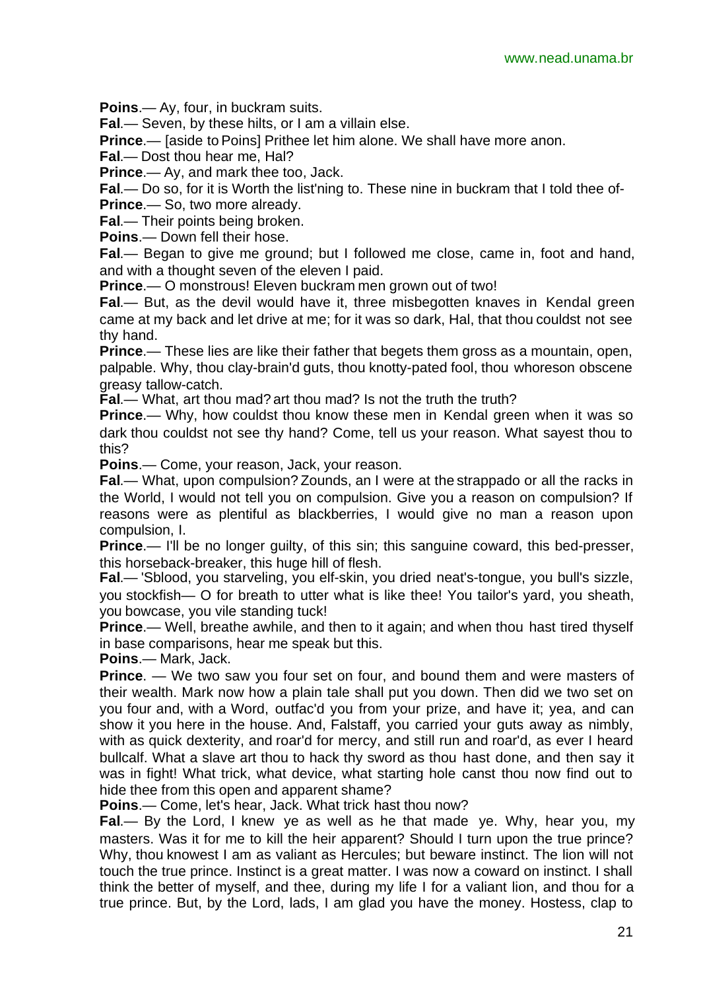**Poins**.— Ay, four, in buckram suits.

**Fal**.— Seven, by these hilts, or I am a villain else.

**Prince**.— [aside to Poins] Prithee let him alone. We shall have more anon.

**Fal**.— Dost thou hear me, Hal?

**Prince**.— Ay, and mark thee too, Jack.

**Fal**.— Do so, for it is Worth the list'ning to. These nine in buckram that I told thee of-**Prince**.— So, two more already.

**Fal**.— Their points being broken.

**Poins**.— Down fell their hose.

**Fal**.— Began to give me ground; but I followed me close, came in, foot and hand, and with a thought seven of the eleven I paid.

**Prince**.— O monstrous! Eleven buckram men grown out of two!

**Fal**.— But, as the devil would have it, three misbegotten knaves in Kendal green came at my back and let drive at me; for it was so dark, Hal, that thou couldst not see thy hand.

**Prince**.— These lies are like their father that begets them gross as a mountain, open, palpable. Why, thou clay-brain'd guts, thou knotty-pated fool, thou whoreson obscene greasy tallow-catch.

**Fal.**— What, art thou mad? art thou mad? Is not the truth the truth?

**Prince.**— Why, how couldst thou know these men in Kendal green when it was so dark thou couldst not see thy hand? Come, tell us your reason. What sayest thou to this?

**Poins**.— Come, your reason, Jack, your reason.

**Fal**.— What, upon compulsion? Zounds, an I were at the strappado or all the racks in the World, I would not tell you on compulsion. Give you a reason on compulsion? If reasons were as plentiful as blackberries, I would give no man a reason upon compulsion, I.

**Prince.**— I'll be no longer guilty, of this sin; this sanguine coward, this bed-presser, this horseback-breaker, this huge hill of flesh.

**Fal**.— 'Sblood, you starveling, you elf-skin, you dried neat's-tongue, you bull's sizzle, you stockfish— O for breath to utter what is like thee! You tailor's yard, you sheath, you bowcase, you vile standing tuck!

**Prince.**— Well, breathe awhile, and then to it again; and when thou hast tired thyself in base comparisons, hear me speak but this.

**Poins**.— Mark, Jack.

**Prince.** — We two saw you four set on four, and bound them and were masters of their wealth. Mark now how a plain tale shall put you down. Then did we two set on you four and, with a Word, outfac'd you from your prize, and have it; yea, and can show it you here in the house. And, Falstaff, you carried your guts away as nimbly, with as quick dexterity, and roar'd for mercy, and still run and roar'd, as ever I heard bullcalf. What a slave art thou to hack thy sword as thou hast done, and then say it was in fight! What trick, what device, what starting hole canst thou now find out to hide thee from this open and apparent shame?

**Poins**.— Come, let's hear, Jack. What trick hast thou now?

**Fal**.— By the Lord, I knew ye as well as he that made ye. Why, hear you, my masters. Was it for me to kill the heir apparent? Should I turn upon the true prince? Why, thou knowest I am as valiant as Hercules; but beware instinct. The lion will not touch the true prince. Instinct is a great matter. I was now a coward on instinct. I shall think the better of myself, and thee, during my life I for a valiant lion, and thou for a true prince. But, by the Lord, lads, I am glad you have the money. Hostess, clap to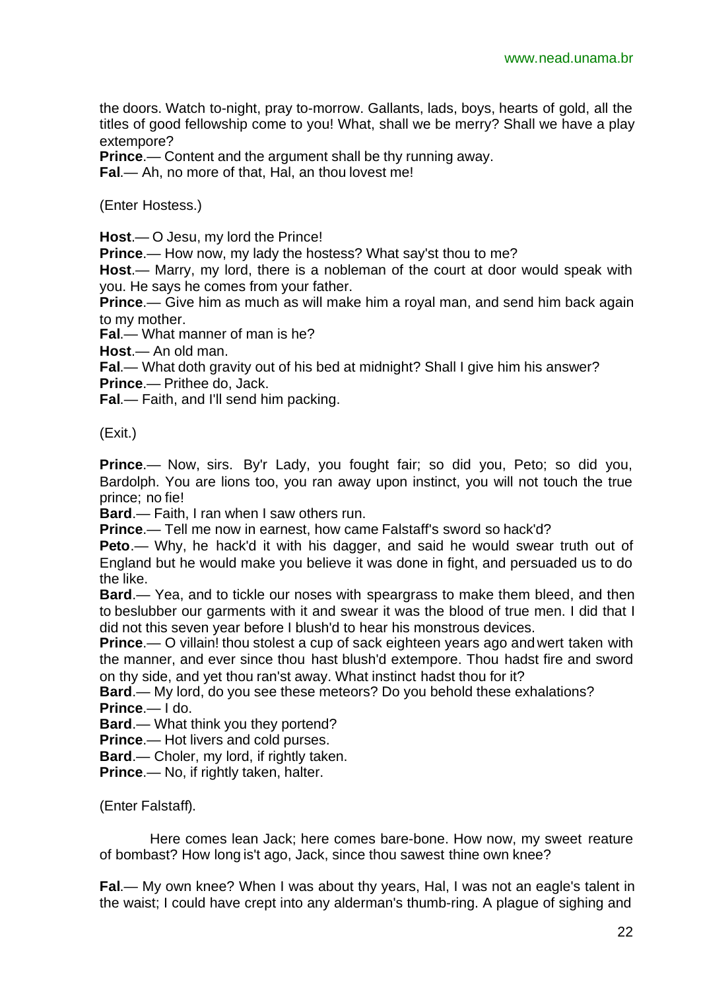the doors. Watch to-night, pray to-morrow. Gallants, lads, boys, hearts of gold, all the titles of good fellowship come to you! What, shall we be merry? Shall we have a play extempore?

**Prince**.— Content and the argument shall be thy running away.

**Fal**.— Ah, no more of that, Hal, an thou lovest me!

(Enter Hostess.)

**Host**.— O Jesu, my lord the Prince!

**Prince**.— How now, my lady the hostess? What say'st thou to me?

**Host**.— Marry, my lord, there is a nobleman of the court at door would speak with you. He says he comes from your father.

**Prince**.— Give him as much as will make him a royal man, and send him back again to my mother.

**Fal**.— What manner of man is he?

**Host**.— An old man.

**Fal**.— What doth gravity out of his bed at midnight? Shall I give him his answer?

**Prince**.— Prithee do, Jack.

**Fal**.— Faith, and I'll send him packing.

(Exit.)

**Prince**.— Now, sirs. By'r Lady, you fought fair; so did you, Peto; so did you, Bardolph. You are lions too, you ran away upon instinct, you will not touch the true prince; no fie!

**Bard**.— Faith, I ran when I saw others run.

**Prince**.— Tell me now in earnest, how came Falstaff's sword so hack'd?

**Peto**.— Why, he hack'd it with his dagger, and said he would swear truth out of England but he would make you believe it was done in fight, and persuaded us to do the like.

**Bard**.— Yea, and to tickle our noses with speargrass to make them bleed, and then to beslubber our garments with it and swear it was the blood of true men. I did that I did not this seven year before I blush'd to hear his monstrous devices.

**Prince**.— O villain! thou stolest a cup of sack eighteen years ago and wert taken with the manner, and ever since thou hast blush'd extempore. Thou hadst fire and sword on thy side, and yet thou ran'st away. What instinct hadst thou for it?

**Bard**.— My lord, do you see these meteors? Do you behold these exhalations? **Prince**.— I do.

**Bard**.— What think you they portend?

**Prince**.— Hot livers and cold purses.

**Bard**.— Choler, my lord, if rightly taken.

**Prince**.— No, if rightly taken, halter.

(Enter Falstaff).

Here comes lean Jack; here comes bare-bone. How now, my sweet reature of bombast? How long is't ago, Jack, since thou sawest thine own knee?

**Fal**.— My own knee? When I was about thy years, Hal, I was not an eagle's talent in the waist; I could have crept into any alderman's thumb-ring. A plague of sighing and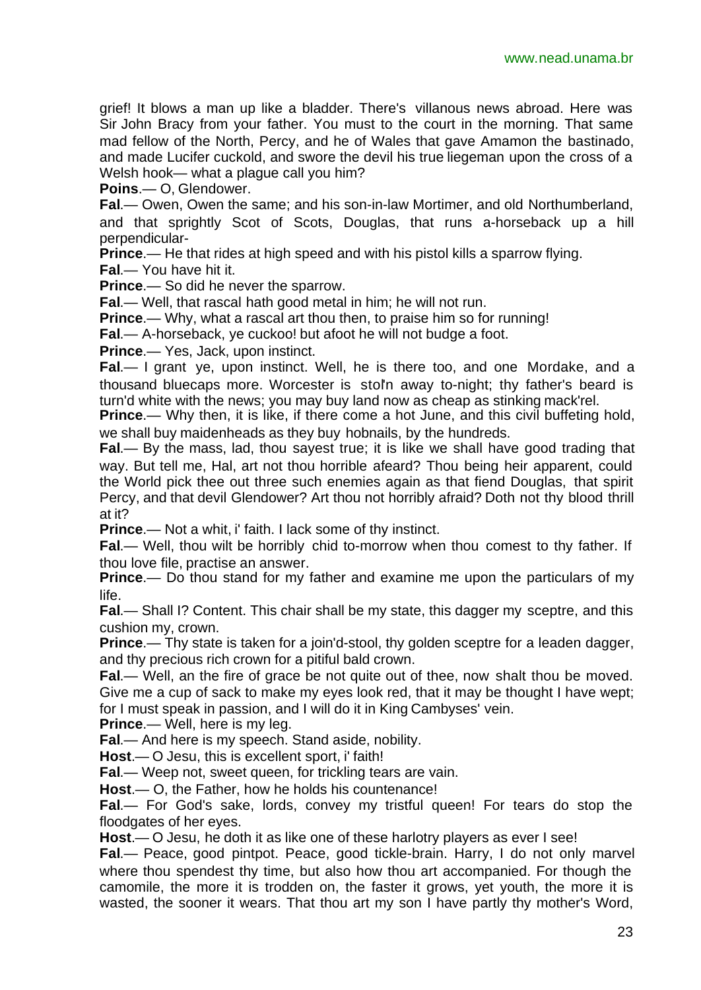grief! It blows a man up like a bladder. There's villanous news abroad. Here was Sir John Bracy from your father. You must to the court in the morning. That same mad fellow of the North, Percy, and he of Wales that gave Amamon the bastinado, and made Lucifer cuckold, and swore the devil his true liegeman upon the cross of a Welsh hook— what a plague call you him?

**Poins**.— O, Glendower.

**Fal**.— Owen, Owen the same; and his son-in-law Mortimer, and old Northumberland, and that sprightly Scot of Scots, Douglas, that runs a-horseback up a hill perpendicular-

**Prince**.— He that rides at high speed and with his pistol kills a sparrow flying.

**Fal**.— You have hit it.

**Prince**.— So did he never the sparrow.

**Fal**.— Well, that rascal hath good metal in him; he will not run.

**Prince**.— Why, what a rascal art thou then, to praise him so for running!

**Fal**.— A-horseback, ye cuckoo! but afoot he will not budge a foot.

**Prince**.— Yes, Jack, upon instinct.

**Fal**.— I grant ye, upon instinct. Well, he is there too, and one Mordake, and a thousand bluecaps more. Worcester is stol'n away to-night; thy father's beard is turn'd white with the news; you may buy land now as cheap as stinking mack'rel.

**Prince.**— Why then, it is like, if there come a hot June, and this civil buffeting hold, we shall buy maidenheads as they buy hobnails, by the hundreds.

**Fal**.— By the mass, lad, thou sayest true; it is like we shall have good trading that way. But tell me, Hal, art not thou horrible afeard? Thou being heir apparent, could the World pick thee out three such enemies again as that fiend Douglas, that spirit Percy, and that devil Glendower? Art thou not horribly afraid? Doth not thy blood thrill at it?

**Prince.**— Not a whit, i' faith. I lack some of thy instinct.

**Fal**.— Well, thou wilt be horribly chid to-morrow when thou comest to thy father. If thou love file, practise an answer.

**Prince.**— Do thou stand for my father and examine me upon the particulars of my life.

**Fal**.— Shall I? Content. This chair shall be my state, this dagger my sceptre, and this cushion my, crown.

**Prince**.— Thy state is taken for a join'd-stool, thy golden sceptre for a leaden dagger, and thy precious rich crown for a pitiful bald crown.

**Fal**.— Well, an the fire of grace be not quite out of thee, now shalt thou be moved. Give me a cup of sack to make my eyes look red, that it may be thought I have wept; for I must speak in passion, and I will do it in King Cambyses' vein.

**Prince.**— Well, here is my leg.

**Fal**.— And here is my speech. Stand aside, nobility.

**Host**.— O Jesu, this is excellent sport, i' faith!

**Fal**.— Weep not, sweet queen, for trickling tears are vain.

**Host**.— O, the Father, how he holds his countenance!

**Fal**.— For God's sake, lords, convey my tristful queen! For tears do stop the floodgates of her eyes.

**Host**.— O Jesu, he doth it as like one of these harlotry players as ever I see!

**Fal**.— Peace, good pintpot. Peace, good tickle-brain. Harry, I do not only marvel where thou spendest thy time, but also how thou art accompanied. For though the camomile, the more it is trodden on, the faster it grows, yet youth, the more it is wasted, the sooner it wears. That thou art my son I have partly thy mother's Word,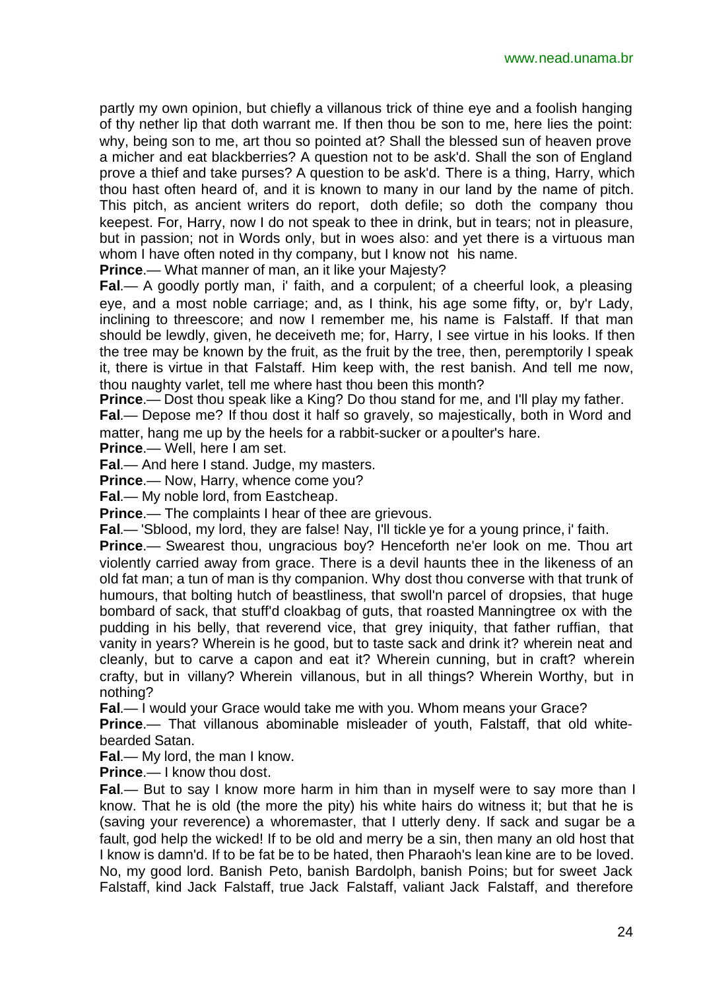partly my own opinion, but chiefly a villanous trick of thine eye and a foolish hanging of thy nether lip that doth warrant me. If then thou be son to me, here lies the point: why, being son to me, art thou so pointed at? Shall the blessed sun of heaven prove a micher and eat blackberries? A question not to be ask'd. Shall the son of England prove a thief and take purses? A question to be ask'd. There is a thing, Harry, which thou hast often heard of, and it is known to many in our land by the name of pitch. This pitch, as ancient writers do report, doth defile; so doth the company thou keepest. For, Harry, now I do not speak to thee in drink, but in tears; not in pleasure, but in passion; not in Words only, but in woes also: and yet there is a virtuous man whom I have often noted in thy company, but I know not his name.

**Prince**.— What manner of man, an it like your Majesty?

**Fal**.— A goodly portly man, i' faith, and a corpulent; of a cheerful look, a pleasing eye, and a most noble carriage; and, as I think, his age some fifty, or, by'r Lady, inclining to threescore; and now I remember me, his name is Falstaff. If that man should be lewdly, given, he deceiveth me; for, Harry, I see virtue in his looks. If then the tree may be known by the fruit, as the fruit by the tree, then, peremptorily I speak it, there is virtue in that Falstaff. Him keep with, the rest banish. And tell me now, thou naughty varlet, tell me where hast thou been this month?

**Prince**.— Dost thou speak like a King? Do thou stand for me, and I'll play my father.

**Fal**.— Depose me? If thou dost it half so gravely, so majestically, both in Word and matter, hang me up by the heels for a rabbit-sucker or a poulter's hare.

**Prince**.— Well, here I am set.

**Fal**.— And here I stand. Judge, my masters.

**Prince**.— Now, Harry, whence come you?

**Fal**.— My noble lord, from Eastcheap.

**Prince.**— The complaints I hear of thee are grievous.

**Fal**.— 'Sblood, my lord, they are false! Nay, I'll tickle ye for a young prince, i' faith.

**Prince.**— Swearest thou, ungracious boy? Henceforth ne'er look on me. Thou art violently carried away from grace. There is a devil haunts thee in the likeness of an old fat man; a tun of man is thy companion. Why dost thou converse with that trunk of humours, that bolting hutch of beastliness, that swoll'n parcel of dropsies, that huge bombard of sack, that stuff'd cloakbag of guts, that roasted Manningtree ox with the pudding in his belly, that reverend vice, that grey iniquity, that father ruffian, that vanity in years? Wherein is he good, but to taste sack and drink it? wherein neat and cleanly, but to carve a capon and eat it? Wherein cunning, but in craft? wherein crafty, but in villany? Wherein villanous, but in all things? Wherein Worthy, but in nothing?

**Fal**.— I would your Grace would take me with you. Whom means your Grace?

**Prince**.— That villanous abominable misleader of youth, Falstaff, that old whitebearded Satan.

**Fal**.— My lord, the man I know.

**Prince**.— I know thou dost.

**Fal**.— But to say I know more harm in him than in myself were to say more than I know. That he is old (the more the pity) his white hairs do witness it; but that he is (saving your reverence) a whoremaster, that I utterly deny. If sack and sugar be a fault, god help the wicked! If to be old and merry be a sin, then many an old host that I know is damn'd. If to be fat be to be hated, then Pharaoh's lean kine are to be loved. No, my good lord. Banish Peto, banish Bardolph, banish Poins; but for sweet Jack Falstaff, kind Jack Falstaff, true Jack Falstaff, valiant Jack Falstaff, and therefore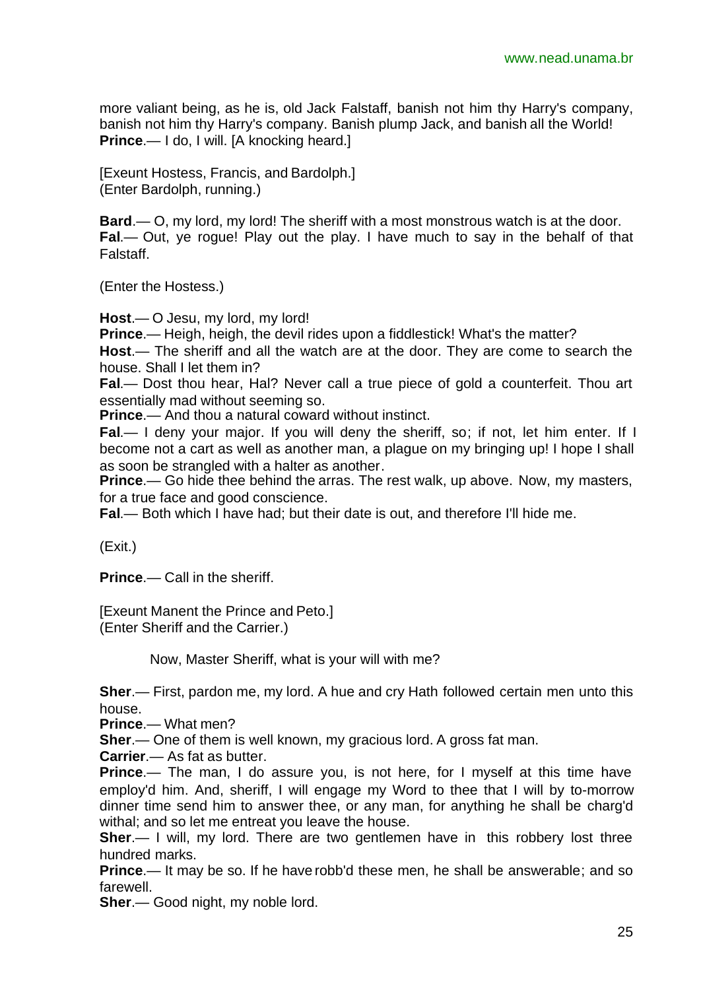more valiant being, as he is, old Jack Falstaff, banish not him thy Harry's company, banish not him thy Harry's company. Banish plump Jack, and banish all the World! **Prince.**— I do, I will. [A knocking heard.]

[Exeunt Hostess, Francis, and Bardolph.] (Enter Bardolph, running.)

**Bard.**— O, my lord, my lord! The sheriff with a most monstrous watch is at the door. **Fal**.— Out, ye rogue! Play out the play. I have much to say in the behalf of that Falstaff.

(Enter the Hostess.)

**Host**.— O Jesu, my lord, my lord!

**Prince**.— Heigh, heigh, the devil rides upon a fiddlestick! What's the matter? **Host**.— The sheriff and all the watch are at the door. They are come to search the house. Shall I let them in?

**Fal**.— Dost thou hear, Hal? Never call a true piece of gold a counterfeit. Thou art essentially mad without seeming so.

**Prince**.— And thou a natural coward without instinct.

**Fal.**— I deny your major. If you will deny the sheriff, so; if not, let him enter. If I become not a cart as well as another man, a plague on my bringing up! I hope I shall as soon be strangled with a halter as another.

**Prince.**— Go hide thee behind the arras. The rest walk, up above. Now, my masters, for a true face and good conscience.

**Fal**.— Both which I have had; but their date is out, and therefore I'll hide me.

(Exit.)

**Prince**.— Call in the sheriff.

[Exeunt Manent the Prince and Peto.] (Enter Sheriff and the Carrier.)

Now, Master Sheriff, what is your will with me?

**Sher**.— First, pardon me, my lord. A hue and cry Hath followed certain men unto this house.

**Prince**.— What men?

**Sher**.— One of them is well known, my gracious lord. A gross fat man.

**Carrier**.— As fat as butter.

**Prince.**— The man, I do assure you, is not here, for I myself at this time have employ'd him. And, sheriff, I will engage my Word to thee that I will by to-morrow dinner time send him to answer thee, or any man, for anything he shall be charg'd withal; and so let me entreat you leave the house.

**Sher.**— I will, my lord. There are two gentlemen have in this robbery lost three hundred marks.

**Prince**.— It may be so. If he have robb'd these men, he shall be answerable; and so farewell.

**Sher**.— Good night, my noble lord.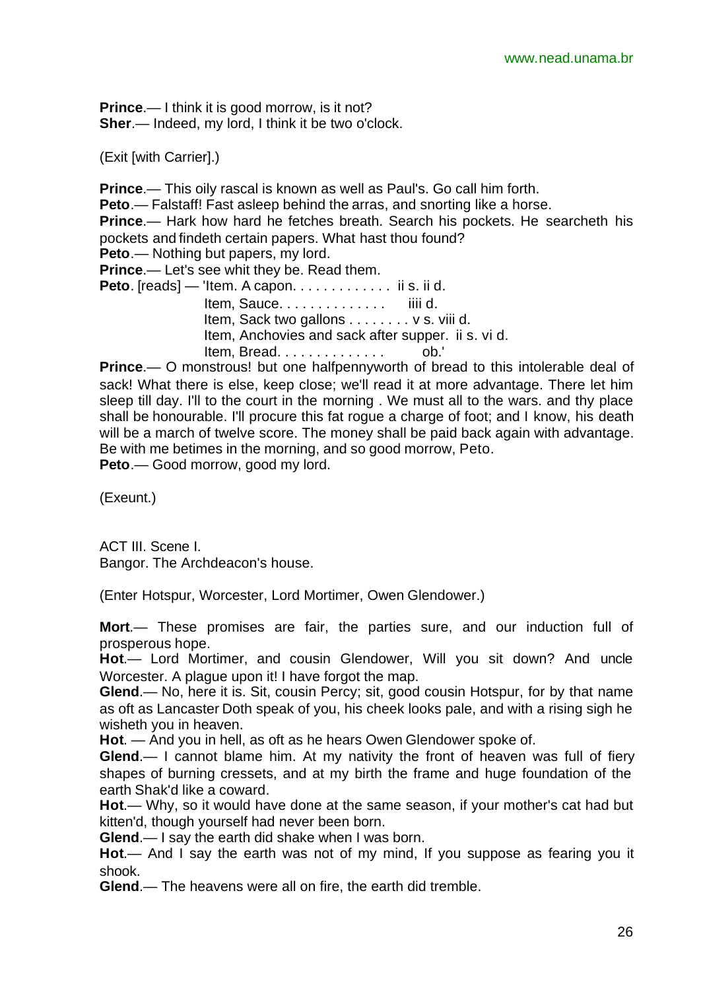**Prince.**— I think it is good morrow, is it not? **Sher**.— Indeed, my lord, I think it be two o'clock.

(Exit [with Carrier].)

**Prince**.— This oily rascal is known as well as Paul's. Go call him forth. **Peto**.— Falstaff! Fast asleep behind the arras, and snorting like a horse. **Prince**.— Hark how hard he fetches breath. Search his pockets. He searcheth his pockets and findeth certain papers. What hast thou found? **Peto**.— Nothing but papers, my lord. **Prince**.— Let's see whit they be. Read them. **Peto**. [reads] — 'Item. A capon. . . . . . . . . . . . ii s. ii d. Item, Sauce. . . . . . . . . . . . . . iiii d. Item, Sack two gallons . . . . . . . . v s. viii d. Item, Anchovies and sack after supper. ii s. vi d. Item, Bread. . . . . . . . . . . . . . ob.' **Prince.**— O monstrous! but one halfpennyworth of bread to this intolerable deal of

sack! What there is else, keep close; we'll read it at more advantage. There let him sleep till day. I'll to the court in the morning . We must all to the wars. and thy place shall be honourable. I'll procure this fat rogue a charge of foot; and I know, his death will be a march of twelve score. The money shall be paid back again with advantage. Be with me betimes in the morning, and so good morrow, Peto.

**Peto**.— Good morrow, good my lord.

(Exeunt.)

ACT III. Scene I. Bangor. The Archdeacon's house.

(Enter Hotspur, Worcester, Lord Mortimer, Owen Glendower.)

**Mort**.— These promises are fair, the parties sure, and our induction full of prosperous hope.

**Hot**.— Lord Mortimer, and cousin Glendower, Will you sit down? And uncle Worcester. A plaque upon it! I have forgot the map.

**Glend**.— No, here it is. Sit, cousin Percy; sit, good cousin Hotspur, for by that name as oft as Lancaster Doth speak of you, his cheek looks pale, and with a rising sigh he wisheth you in heaven.

**Hot**. — And you in hell, as oft as he hears Owen Glendower spoke of.

**Glend**.— I cannot blame him. At my nativity the front of heaven was full of fiery shapes of burning cressets, and at my birth the frame and huge foundation of the earth Shak'd like a coward.

**Hot**.— Why, so it would have done at the same season, if your mother's cat had but kitten'd, though yourself had never been born.

**Glend**.— I say the earth did shake when I was born.

**Hot**.— And I say the earth was not of my mind, If you suppose as fearing you it shook.

**Glend**.— The heavens were all on fire, the earth did tremble.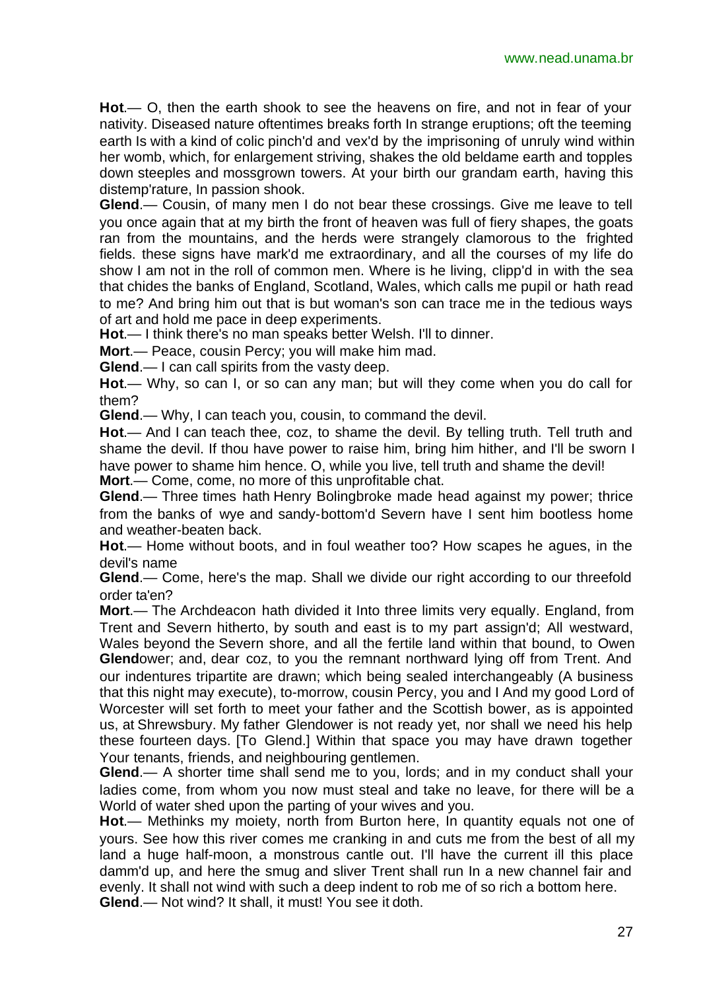**Hot**.— O, then the earth shook to see the heavens on fire, and not in fear of your nativity. Diseased nature oftentimes breaks forth In strange eruptions; oft the teeming earth Is with a kind of colic pinch'd and vex'd by the imprisoning of unruly wind within her womb, which, for enlargement striving, shakes the old beldame earth and topples down steeples and mossgrown towers. At your birth our grandam earth, having this distemp'rature, In passion shook.

**Glend**.— Cousin, of many men I do not bear these crossings. Give me leave to tell you once again that at my birth the front of heaven was full of fiery shapes, the goats ran from the mountains, and the herds were strangely clamorous to the frighted fields. these signs have mark'd me extraordinary, and all the courses of my life do show I am not in the roll of common men. Where is he living, clipp'd in with the sea that chides the banks of England, Scotland, Wales, which calls me pupil or hath read to me? And bring him out that is but woman's son can trace me in the tedious ways of art and hold me pace in deep experiments.

**Hot**.— I think there's no man speaks better Welsh. I'll to dinner.

**Mort**.— Peace, cousin Percy; you will make him mad.

**Glend.**— I can call spirits from the vasty deep.

**Hot**.— Why, so can I, or so can any man; but will they come when you do call for them?

**Glend**.— Why, I can teach you, cousin, to command the devil.

**Hot**.— And I can teach thee, coz, to shame the devil. By telling truth. Tell truth and shame the devil. If thou have power to raise him, bring him hither, and I'll be sworn I have power to shame him hence. O, while you live, tell truth and shame the devil! **Mort**.— Come, come, no more of this unprofitable chat.

**Glend**.— Three times hath Henry Bolingbroke made head against my power; thrice from the banks of wye and sandy-bottom'd Severn have I sent him bootless home and weather-beaten back.

**Hot**.— Home without boots, and in foul weather too? How scapes he agues, in the devil's name

**Glend**.— Come, here's the map. Shall we divide our right according to our threefold order ta'en?

**Mort**.— The Archdeacon hath divided it Into three limits very equally. England, from Trent and Severn hitherto, by south and east is to my part assign'd; All westward, Wales beyond the Severn shore, and all the fertile land within that bound, to Owen **Glend**ower; and, dear coz, to you the remnant northward lying off from Trent. And our indentures tripartite are drawn; which being sealed interchangeably (A business that this night may execute), to-morrow, cousin Percy, you and I And my good Lord of Worcester will set forth to meet your father and the Scottish bower, as is appointed us, at Shrewsbury. My father Glendower is not ready yet, nor shall we need his help these fourteen days. [To Glend.] Within that space you may have drawn together Your tenants, friends, and neighbouring gentlemen.

**Glend**.— A shorter time shall send me to you, lords; and in my conduct shall your ladies come, from whom you now must steal and take no leave, for there will be a World of water shed upon the parting of your wives and you.

**Hot**.— Methinks my moiety, north from Burton here, In quantity equals not one of yours. See how this river comes me cranking in and cuts me from the best of all my land a huge half-moon, a monstrous cantle out. I'll have the current ill this place damm'd up, and here the smug and sliver Trent shall run In a new channel fair and evenly. It shall not wind with such a deep indent to rob me of so rich a bottom here. **Glend**.— Not wind? It shall, it must! You see it doth.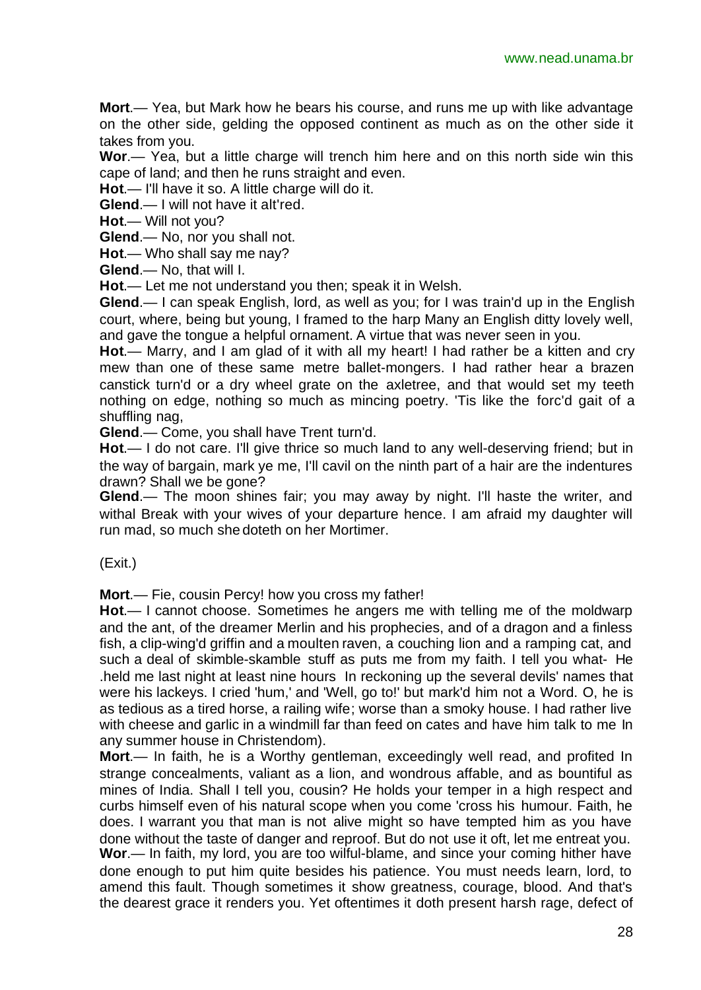**Mort**.— Yea, but Mark how he bears his course, and runs me up with like advantage on the other side, gelding the opposed continent as much as on the other side it takes from you.

**Wor**.— Yea, but a little charge will trench him here and on this north side win this cape of land; and then he runs straight and even.

**Hot**.— I'll have it so. A little charge will do it.

**Glend**.— I will not have it alt'red.

**Hot**.— Will not you?

**Glend**.— No, nor you shall not.

**Hot**.— Who shall say me nay?

**Glend**.— No, that will I.

**Hot**.— Let me not understand you then; speak it in Welsh.

**Glend**.— I can speak English, lord, as well as you; for I was train'd up in the English court, where, being but young, I framed to the harp Many an English ditty lovely well, and gave the tongue a helpful ornament. A virtue that was never seen in you.

**Hot**.— Marry, and I am glad of it with all my heart! I had rather be a kitten and cry mew than one of these same metre ballet-mongers. I had rather hear a brazen canstick turn'd or a dry wheel grate on the axletree, and that would set my teeth nothing on edge, nothing so much as mincing poetry. 'Tis like the forc'd gait of a shuffling nag,

**Glend**.— Come, you shall have Trent turn'd.

**Hot**.— I do not care. I'll give thrice so much land to any well-deserving friend; but in the way of bargain, mark ye me, I'll cavil on the ninth part of a hair are the indentures drawn? Shall we be gone?

**Glend**.— The moon shines fair; you may away by night. I'll haste the writer, and withal Break with your wives of your departure hence. I am afraid my daughter will run mad, so much she doteth on her Mortimer.

(Exit.)

**Mort**.— Fie, cousin Percy! how you cross my father!

**Hot**.— I cannot choose. Sometimes he angers me with telling me of the moldwarp and the ant, of the dreamer Merlin and his prophecies, and of a dragon and a finless fish, a clip-wing'd griffin and a moulten raven, a couching lion and a ramping cat, and such a deal of skimble-skamble stuff as puts me from my faith. I tell you what- He .held me last night at least nine hours In reckoning up the several devils' names that were his lackeys. I cried 'hum,' and 'Well, go to!' but mark'd him not a Word. O, he is as tedious as a tired horse, a railing wife; worse than a smoky house. I had rather live with cheese and garlic in a windmill far than feed on cates and have him talk to me In any summer house in Christendom).

**Mort**.— In faith, he is a Worthy gentleman, exceedingly well read, and profited In strange concealments, valiant as a lion, and wondrous affable, and as bountiful as mines of India. Shall I tell you, cousin? He holds your temper in a high respect and curbs himself even of his natural scope when you come 'cross his humour. Faith, he does. I warrant you that man is not alive might so have tempted him as you have done without the taste of danger and reproof. But do not use it oft, let me entreat you. **Wor**.— In faith, my lord, you are too wilful-blame, and since your coming hither have done enough to put him quite besides his patience. You must needs learn, lord, to amend this fault. Though sometimes it show greatness, courage, blood. And that's the dearest grace it renders you. Yet oftentimes it doth present harsh rage, defect of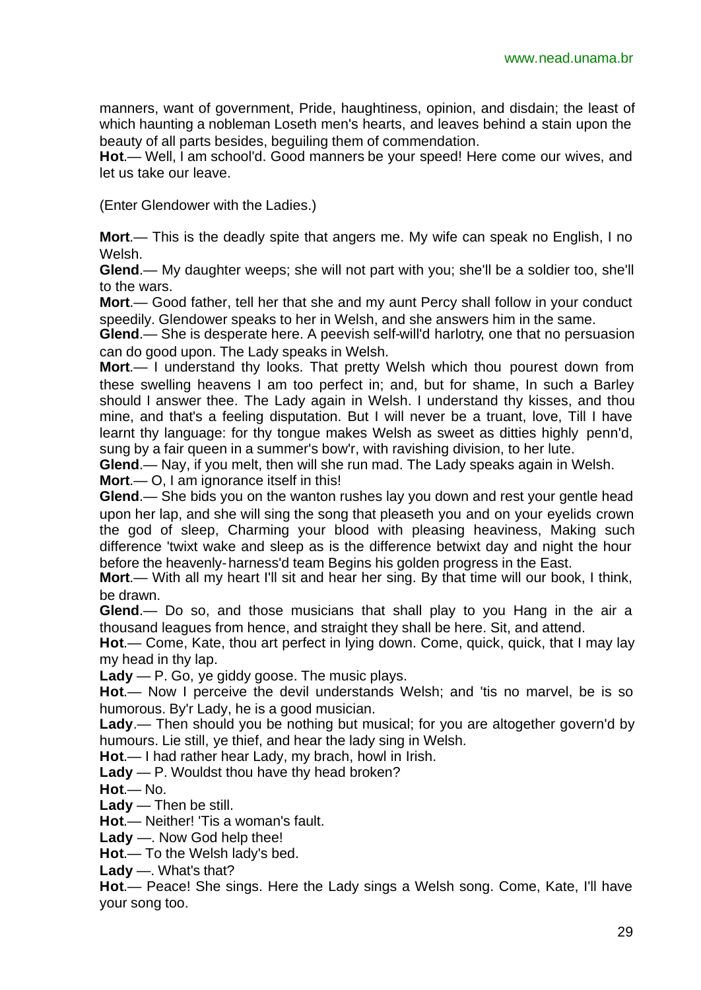manners, want of government, Pride, haughtiness, opinion, and disdain; the least of which haunting a nobleman Loseth men's hearts, and leaves behind a stain upon the beauty of all parts besides, beguiling them of commendation.

**Hot**.— Well, I am school'd. Good manners be your speed! Here come our wives, and let us take our leave.

(Enter Glendower with the Ladies.)

**Mort**.— This is the deadly spite that angers me. My wife can speak no English, I no Welsh.

**Glend**.— My daughter weeps; she will not part with you; she'll be a soldier too, she'll to the wars.

**Mort**.— Good father, tell her that she and my aunt Percy shall follow in your conduct speedily. Glendower speaks to her in Welsh, and she answers him in the same.

**Glend**.— She is desperate here. A peevish self-will'd harlotry, one that no persuasion can do good upon. The Lady speaks in Welsh.

**Mort**.— I understand thy looks. That pretty Welsh which thou pourest down from these swelling heavens I am too perfect in; and, but for shame, In such a Barley should I answer thee. The Lady again in Welsh. I understand thy kisses, and thou mine, and that's a feeling disputation. But I will never be a truant, love, Till I have learnt thy language: for thy tongue makes Welsh as sweet as ditties highly penn'd, sung by a fair queen in a summer's bow'r, with ravishing division, to her lute.

**Glend**.— Nay, if you melt, then will she run mad. The Lady speaks again in Welsh. **Mort**.— O, I am ignorance itself in this!

**Glend**.— She bids you on the wanton rushes lay you down and rest your gentle head upon her lap, and she will sing the song that pleaseth you and on your eyelids crown the god of sleep, Charming your blood with pleasing heaviness, Making such difference 'twixt wake and sleep as is the difference betwixt day and night the hour before the heavenly-harness'd team Begins his golden progress in the East.

**Mort**.— With all my heart I'll sit and hear her sing. By that time will our book, I think, be drawn.

**Glend**.— Do so, and those musicians that shall play to you Hang in the air a thousand leagues from hence, and straight they shall be here. Sit, and attend.

**Hot**.— Come, Kate, thou art perfect in lying down. Come, quick, quick, that I may lay my head in thy lap.

**Lady** — P. Go, ye giddy goose. The music plays.

**Hot**.— Now I perceive the devil understands Welsh; and 'tis no marvel, be is so humorous. By'r Lady, he is a good musician.

**Lady**.— Then should you be nothing but musical; for you are altogether govern'd by humours. Lie still, ye thief, and hear the lady sing in Welsh.

**Hot**.— I had rather hear Lady, my brach, howl in Irish.

**Lady** — P. Wouldst thou have thy head broken?

**Hot**.— No.

**Lady** — Then be still.

**Hot**.— Neither! 'Tis a woman's fault.

**Lady** —. Now God help thee!

**Hot**.— To the Welsh lady's bed.

**Lady** —. What's that?

**Hot**.— Peace! She sings. Here the Lady sings a Welsh song. Come, Kate, I'll have your song too.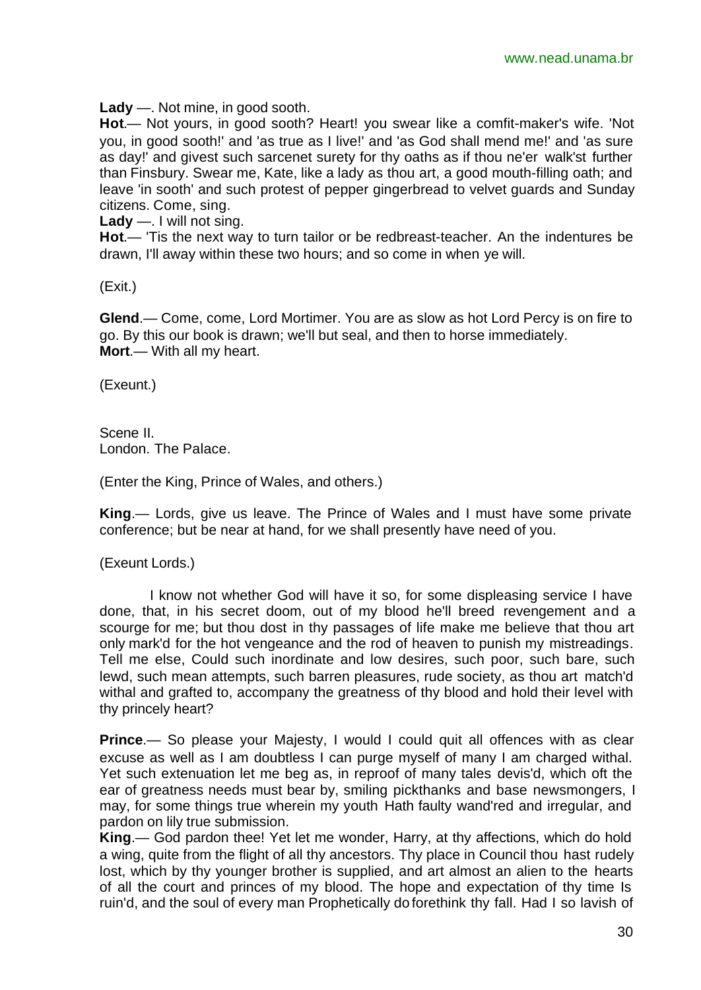**Lady** —. Not mine, in good sooth.

**Hot**.— Not yours, in good sooth? Heart! you swear like a comfit-maker's wife. 'Not you, in good sooth!' and 'as true as I live!' and 'as God shall mend me!' and 'as sure as day!' and givest such sarcenet surety for thy oaths as if thou ne'er walk'st further than Finsbury. Swear me, Kate, like a lady as thou art, a good mouth-filling oath; and leave 'in sooth' and such protest of pepper gingerbread to velvet guards and Sunday citizens. Come, sing.

**Lady** —. I will not sing.

**Hot**.— 'Tis the next way to turn tailor or be redbreast-teacher. An the indentures be drawn, I'll away within these two hours; and so come in when ye will.

(Exit.)

**Glend**.— Come, come, Lord Mortimer. You are as slow as hot Lord Percy is on fire to go. By this our book is drawn; we'll but seal, and then to horse immediately. **Mort**.— With all my heart.

(Exeunt.)

Scene II. London. The Palace.

(Enter the King, Prince of Wales, and others.)

**King**.— Lords, give us leave. The Prince of Wales and I must have some private conference; but be near at hand, for we shall presently have need of you.

(Exeunt Lords.)

I know not whether God will have it so, for some displeasing service I have done, that, in his secret doom, out of my blood he'll breed revengement and a scourge for me; but thou dost in thy passages of life make me believe that thou art only mark'd for the hot vengeance and the rod of heaven to punish my mistreadings. Tell me else, Could such inordinate and low desires, such poor, such bare, such lewd, such mean attempts, such barren pleasures, rude society, as thou art match'd withal and grafted to, accompany the greatness of thy blood and hold their level with thy princely heart?

**Prince.**— So please your Majesty, I would I could quit all offences with as clear excuse as well as I am doubtless I can purge myself of many I am charged withal. Yet such extenuation let me beg as, in reproof of many tales devis'd, which oft the ear of greatness needs must bear by, smiling pickthanks and base newsmongers, I may, for some things true wherein my youth Hath faulty wand'red and irregular, and pardon on lily true submission.

**King**.— God pardon thee! Yet let me wonder, Harry, at thy affections, which do hold a wing, quite from the flight of all thy ancestors. Thy place in Council thou hast rudely lost, which by thy younger brother is supplied, and art almost an alien to the hearts of all the court and princes of my blood. The hope and expectation of thy time Is ruin'd, and the soul of every man Prophetically do forethink thy fall. Had I so lavish of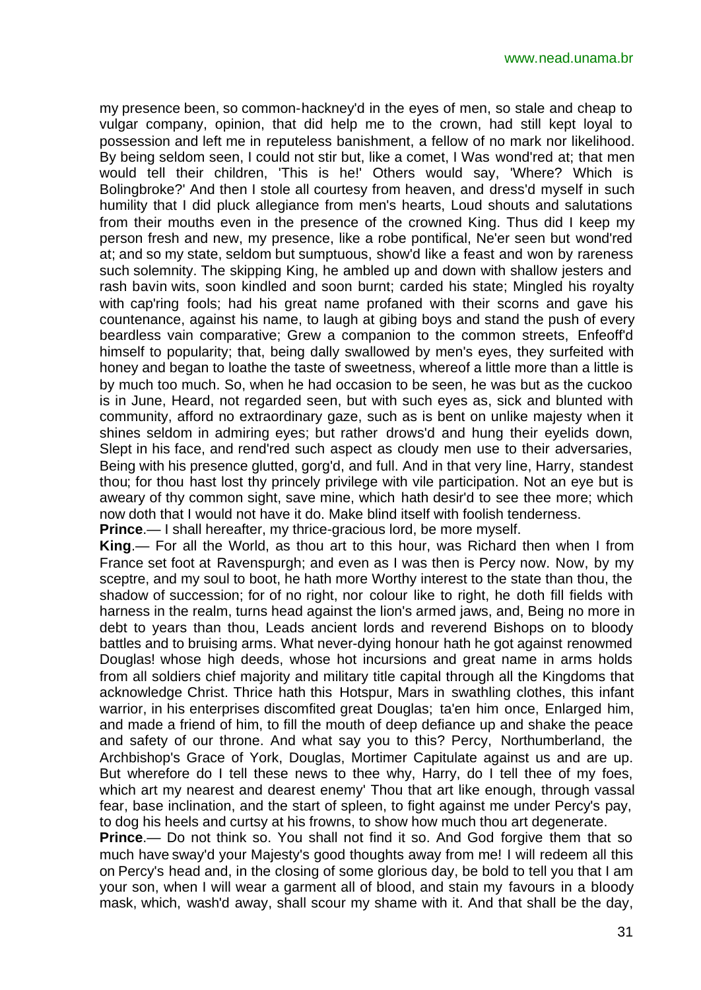my presence been, so common-hackney'd in the eyes of men, so stale and cheap to vulgar company, opinion, that did help me to the crown, had still kept loyal to possession and left me in reputeless banishment, a fellow of no mark nor likelihood. By being seldom seen, I could not stir but, like a comet, I Was wond'red at; that men would tell their children, 'This is he!' Others would say, 'Where? Which is Bolingbroke?' And then I stole all courtesy from heaven, and dress'd myself in such humility that I did pluck allegiance from men's hearts, Loud shouts and salutations from their mouths even in the presence of the crowned King. Thus did I keep my person fresh and new, my presence, like a robe pontifical, Ne'er seen but wond'red at; and so my state, seldom but sumptuous, show'd like a feast and won by rareness such solemnity. The skipping King, he ambled up and down with shallow jesters and rash bavin wits, soon kindled and soon burnt; carded his state; Mingled his royalty with cap'ring fools; had his great name profaned with their scorns and gave his countenance, against his name, to laugh at gibing boys and stand the push of every beardless vain comparative; Grew a companion to the common streets, Enfeoff'd himself to popularity; that, being dally swallowed by men's eyes, they surfeited with honey and began to loathe the taste of sweetness, whereof a little more than a little is by much too much. So, when he had occasion to be seen, he was but as the cuckoo is in June, Heard, not regarded seen, but with such eyes as, sick and blunted with community, afford no extraordinary gaze, such as is bent on unlike majesty when it shines seldom in admiring eyes; but rather drows'd and hung their eyelids down, Slept in his face, and rend'red such aspect as cloudy men use to their adversaries, Being with his presence glutted, gorg'd, and full. And in that very line, Harry, standest thou; for thou hast lost thy princely privilege with vile participation. Not an eye but is aweary of thy common sight, save mine, which hath desir'd to see thee more; which now doth that I would not have it do. Make blind itself with foolish tenderness. **Prince**.— I shall hereafter, my thrice-gracious lord, be more myself.

**King**.— For all the World, as thou art to this hour, was Richard then when I from France set foot at Ravenspurgh; and even as I was then is Percy now. Now, by my sceptre, and my soul to boot, he hath more Worthy interest to the state than thou, the shadow of succession; for of no right, nor colour like to right, he doth fill fields with harness in the realm, turns head against the lion's armed jaws, and, Being no more in debt to years than thou, Leads ancient lords and reverend Bishops on to bloody battles and to bruising arms. What never-dying honour hath he got against renowmed Douglas! whose high deeds, whose hot incursions and great name in arms holds from all soldiers chief majority and military title capital through all the Kingdoms that acknowledge Christ. Thrice hath this Hotspur, Mars in swathling clothes, this infant warrior, in his enterprises discomfited great Douglas; ta'en him once, Enlarged him, and made a friend of him, to fill the mouth of deep defiance up and shake the peace and safety of our throne. And what say you to this? Percy, Northumberland, the Archbishop's Grace of York, Douglas, Mortimer Capitulate against us and are up. But wherefore do I tell these news to thee why, Harry, do I tell thee of my foes, which art my nearest and dearest enemy' Thou that art like enough, through vassal fear, base inclination, and the start of spleen, to fight against me under Percy's pay, to dog his heels and curtsy at his frowns, to show how much thou art degenerate.

**Prince.**— Do not think so. You shall not find it so. And God forgive them that so much have sway'd your Majesty's good thoughts away from me! I will redeem all this on Percy's head and, in the closing of some glorious day, be bold to tell you that I am your son, when I will wear a garment all of blood, and stain my favours in a bloody mask, which, wash'd away, shall scour my shame with it. And that shall be the day,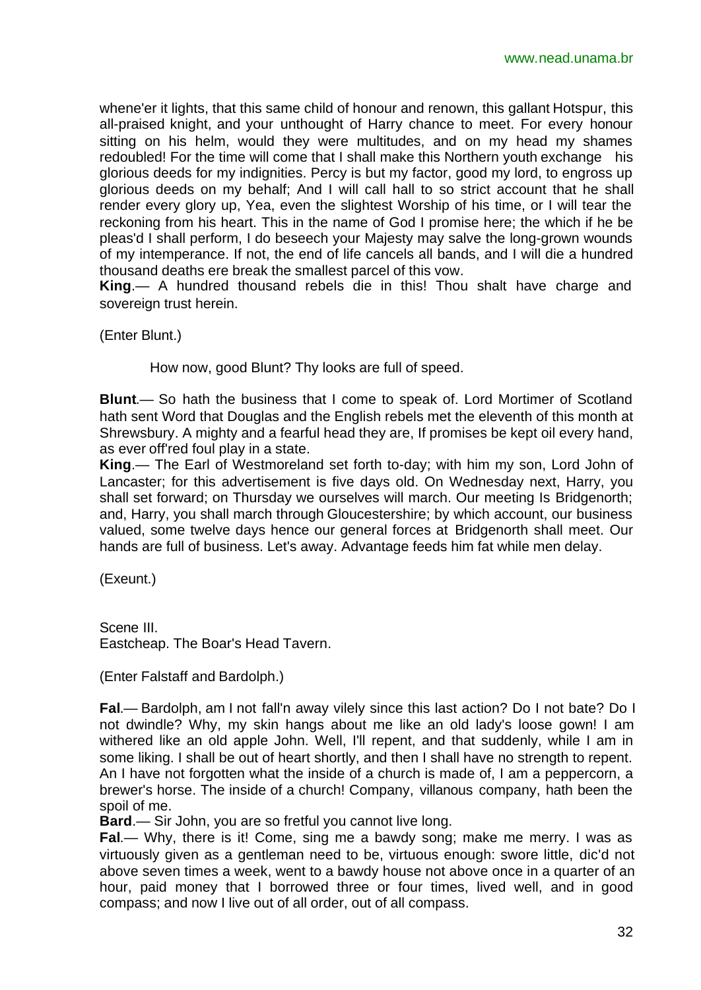whene'er it lights, that this same child of honour and renown, this gallant Hotspur, this all-praised knight, and your unthought of Harry chance to meet. For every honour sitting on his helm, would they were multitudes, and on my head my shames redoubled! For the time will come that I shall make this Northern youth exchange his glorious deeds for my indignities. Percy is but my factor, good my lord, to engross up glorious deeds on my behalf; And I will call hall to so strict account that he shall render every glory up, Yea, even the slightest Worship of his time, or I will tear the reckoning from his heart. This in the name of God I promise here; the which if he be pleas'd I shall perform, I do beseech your Majesty may salve the long-grown wounds of my intemperance. If not, the end of life cancels all bands, and I will die a hundred thousand deaths ere break the smallest parcel of this vow.

**King**.— A hundred thousand rebels die in this! Thou shalt have charge and sovereign trust herein.

(Enter Blunt.)

How now, good Blunt? Thy looks are full of speed.

**Blunt**.— So hath the business that I come to speak of. Lord Mortimer of Scotland hath sent Word that Douglas and the English rebels met the eleventh of this month at Shrewsbury. A mighty and a fearful head they are, If promises be kept oil every hand, as ever off'red foul play in a state.

**King**.— The Earl of Westmoreland set forth to-day; with him my son, Lord John of Lancaster; for this advertisement is five days old. On Wednesday next, Harry, you shall set forward; on Thursday we ourselves will march. Our meeting Is Bridgenorth; and, Harry, you shall march through Gloucestershire; by which account, our business valued, some twelve days hence our general forces at Bridgenorth shall meet. Our hands are full of business. Let's away. Advantage feeds him fat while men delay.

(Exeunt.)

Scene III. Eastcheap. The Boar's Head Tavern.

(Enter Falstaff and Bardolph.)

**Fal**.— Bardolph, am I not fall'n away vilely since this last action? Do I not bate? Do I not dwindle? Why, my skin hangs about me like an old lady's loose gown! I am withered like an old apple John. Well, I'll repent, and that suddenly, while I am in some liking. I shall be out of heart shortly, and then I shall have no strength to repent. An I have not forgotten what the inside of a church is made of, I am a peppercorn, a brewer's horse. The inside of a church! Company, villanous company, hath been the spoil of me.

**Bard**.— Sir John, you are so fretful you cannot live long.

**Fal**.— Why, there is it! Come, sing me a bawdy song; make me merry. I was as virtuously given as a gentleman need to be, virtuous enough: swore little, dic'd not above seven times a week, went to a bawdy house not above once in a quarter of an hour, paid money that I borrowed three or four times, lived well, and in good compass; and now I live out of all order, out of all compass.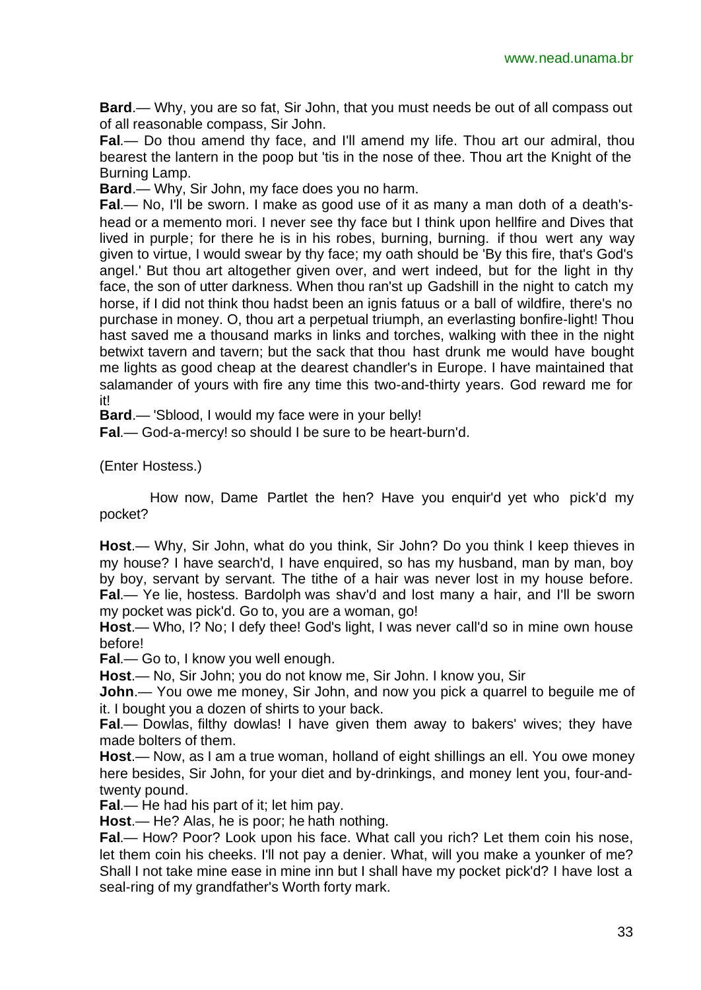**Bard**.— Why, you are so fat, Sir John, that you must needs be out of all compass out of all reasonable compass, Sir John.

**Fal**.— Do thou amend thy face, and I'll amend my life. Thou art our admiral, thou bearest the lantern in the poop but 'tis in the nose of thee. Thou art the Knight of the Burning Lamp.

**Bard**.— Why, Sir John, my face does you no harm.

**Fal**.— No, I'll be sworn. I make as good use of it as many a man doth of a death'shead or a memento mori. I never see thy face but I think upon hellfire and Dives that lived in purple; for there he is in his robes, burning, burning. if thou wert any way given to virtue, I would swear by thy face; my oath should be 'By this fire, that's God's angel.' But thou art altogether given over, and wert indeed, but for the light in thy face, the son of utter darkness. When thou ran'st up Gadshill in the night to catch my horse, if I did not think thou hadst been an ignis fatuus or a ball of wildfire, there's no purchase in money. O, thou art a perpetual triumph, an everlasting bonfire-light! Thou hast saved me a thousand marks in links and torches, walking with thee in the night betwixt tavern and tavern; but the sack that thou hast drunk me would have bought me lights as good cheap at the dearest chandler's in Europe. I have maintained that salamander of yours with fire any time this two-and-thirty years. God reward me for it!

**Bard**.— 'Sblood, I would my face were in your belly!

**Fal**.— God-a-mercy! so should I be sure to be heart-burn'd.

(Enter Hostess.)

How now, Dame Partlet the hen? Have you enquir'd yet who pick'd my pocket?

**Host**.— Why, Sir John, what do you think, Sir John? Do you think I keep thieves in my house? I have search'd, I have enquired, so has my husband, man by man, boy by boy, servant by servant. The tithe of a hair was never lost in my house before. **Fal**.— Ye lie, hostess. Bardolph was shav'd and lost many a hair, and I'll be sworn my pocket was pick'd. Go to, you are a woman, go!

**Host**.— Who, I? No; I defy thee! God's light, I was never call'd so in mine own house before!

**Fal**.— Go to, I know you well enough.

**Host**.— No, Sir John; you do not know me, Sir John. I know you, Sir

**John**.— You owe me money, Sir John, and now you pick a quarrel to beguile me of it. I bought you a dozen of shirts to your back.

**Fal**.— Dowlas, filthy dowlas! I have given them away to bakers' wives; they have made bolters of them.

**Host**.— Now, as I am a true woman, holland of eight shillings an ell. You owe money here besides, Sir John, for your diet and by-drinkings, and money lent you, four-andtwenty pound.

**Fal**.— He had his part of it; let him pay.

**Host**.— He? Alas, he is poor; he hath nothing.

**Fal**.— How? Poor? Look upon his face. What call you rich? Let them coin his nose, let them coin his cheeks. I'll not pay a denier. What, will you make a younker of me? Shall I not take mine ease in mine inn but I shall have my pocket pick'd? I have lost a seal-ring of my grandfather's Worth forty mark.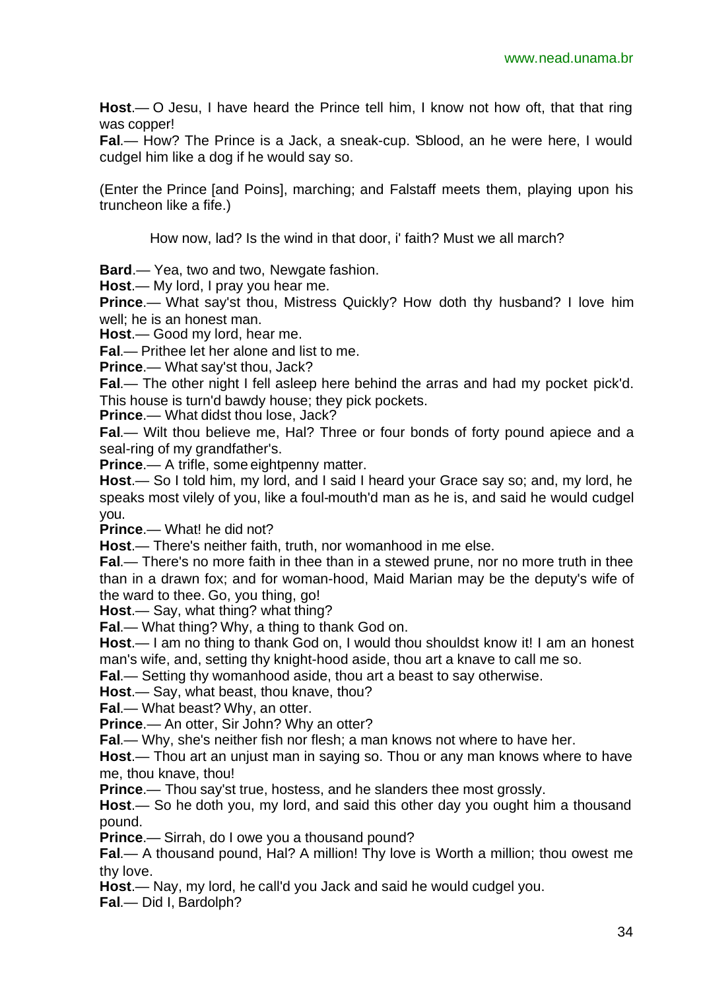**Host**.— O Jesu, I have heard the Prince tell him, I know not how oft, that that ring was copper!

**Fal**.— How? The Prince is a Jack, a sneak-cup. 'Sblood, an he were here, I would cudgel him like a dog if he would say so.

(Enter the Prince [and Poins], marching; and Falstaff meets them, playing upon his truncheon like a fife.)

How now, lad? Is the wind in that door, i' faith? Must we all march?

**Bard**.— Yea, two and two, Newgate fashion.

**Host**.— My lord, I pray you hear me.

**Prince**.— What say'st thou, Mistress Quickly? How doth thy husband? I love him well; he is an honest man.

**Host**.— Good my lord, hear me.

**Fal**.— Prithee let her alone and list to me.

**Prince**.— What say'st thou, Jack?

**Fal**.— The other night I fell asleep here behind the arras and had my pocket pick'd. This house is turn'd bawdy house; they pick pockets.

**Prince**.— What didst thou lose, Jack?

**Fal**.— Wilt thou believe me, Hal? Three or four bonds of forty pound apiece and a seal-ring of my grandfather's.

**Prince.**— A trifle, some eightpenny matter.

**Host**.— So I told him, my lord, and I said I heard your Grace say so; and, my lord, he speaks most vilely of you, like a foul-mouth'd man as he is, and said he would cudgel you.

**Prince**.— What! he did not?

**Host**.— There's neither faith, truth, nor womanhood in me else.

**Fal**.— There's no more faith in thee than in a stewed prune, nor no more truth in thee than in a drawn fox; and for woman-hood, Maid Marian may be the deputy's wife of the ward to thee. Go, you thing, go!

**Host**.— Say, what thing? what thing?

**Fal**.— What thing? Why, a thing to thank God on.

**Host**.— I am no thing to thank God on, I would thou shouldst know it! I am an honest man's wife, and, setting thy knight-hood aside, thou art a knave to call me so.

**Fal**.— Setting thy womanhood aside, thou art a beast to say otherwise.

**Host**.— Say, what beast, thou knave, thou?

**Fal**.— What beast? Why, an otter.

**Prince**.— An otter, Sir John? Why an otter?

**Fal**.— Why, she's neither fish nor flesh; a man knows not where to have her.

**Host**.— Thou art an unjust man in saying so. Thou or any man knows where to have me, thou knave, thou!

**Prince.**— Thou say'st true, hostess, and he slanders thee most grossly.

**Host**.— So he doth you, my lord, and said this other day you ought him a thousand pound.

**Prince**.— Sirrah, do I owe you a thousand pound?

**Fal**.— A thousand pound, Hal? A million! Thy love is Worth a million; thou owest me thy love.

**Host**.— Nay, my lord, he call'd you Jack and said he would cudgel you.

**Fal**.— Did I, Bardolph?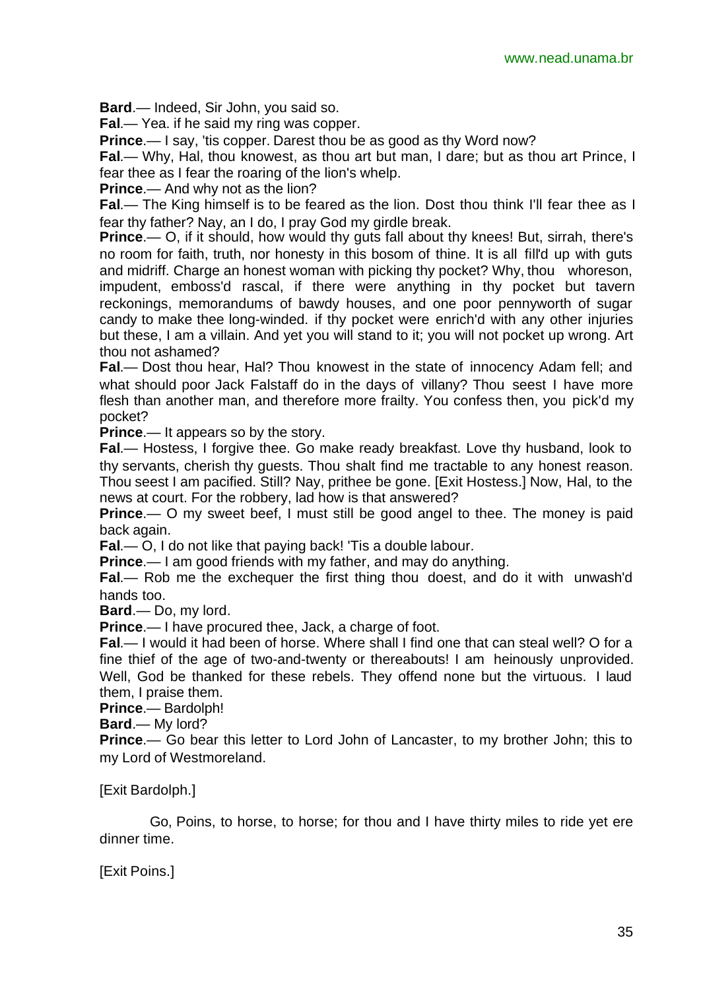**Bard**.— Indeed, Sir John, you said so.

**Fal**.— Yea. if he said my ring was copper.

**Prince.**— I say, 'tis copper. Darest thou be as good as thy Word now?

**Fal**.— Why, Hal, thou knowest, as thou art but man, I dare; but as thou art Prince, I fear thee as I fear the roaring of the lion's whelp.

**Prince**.— And why not as the lion?

**Fal**.— The King himself is to be feared as the lion. Dost thou think I'll fear thee as I fear thy father? Nay, an I do, I pray God my girdle break.

**Prince**.— O, if it should, how would thy guts fall about thy knees! But, sirrah, there's no room for faith, truth, nor honesty in this bosom of thine. It is all fill'd up with guts and midriff. Charge an honest woman with picking thy pocket? Why, thou whoreson, impudent, emboss'd rascal, if there were anything in thy pocket but tavern reckonings, memorandums of bawdy houses, and one poor pennyworth of sugar candy to make thee long-winded. if thy pocket were enrich'd with any other injuries but these, I am a villain. And yet you will stand to it; you will not pocket up wrong. Art thou not ashamed?

**Fal**.— Dost thou hear, Hal? Thou knowest in the state of innocency Adam fell; and what should poor Jack Falstaff do in the days of villany? Thou seest I have more flesh than another man, and therefore more frailty. You confess then, you pick'd my pocket?

**Prince**.— It appears so by the story.

**Fal**.— Hostess, I forgive thee. Go make ready breakfast. Love thy husband, look to thy servants, cherish thy guests. Thou shalt find me tractable to any honest reason. Thou seest I am pacified. Still? Nay, prithee be gone. [Exit Hostess.] Now, Hal, to the news at court. For the robbery, lad how is that answered?

**Prince.**— O my sweet beef, I must still be good angel to thee. The money is paid back again.

**Fal**.— O, I do not like that paying back! 'Tis a double labour.

**Prince**.— I am good friends with my father, and may do anything.

**Fal**.— Rob me the exchequer the first thing thou doest, and do it with unwash'd hands too.

**Bard**.— Do, my lord.

**Prince**.— I have procured thee, Jack, a charge of foot.

**Fal**.— I would it had been of horse. Where shall I find one that can steal well? O for a fine thief of the age of two-and-twenty or thereabouts! I am heinously unprovided. Well, God be thanked for these rebels. They offend none but the virtuous. I laud them, I praise them.

**Prince**.— Bardolph!

**Bard**.— My lord?

**Prince.**— Go bear this letter to Lord John of Lancaster, to my brother John; this to my Lord of Westmoreland.

[Exit Bardolph.]

Go, Poins, to horse, to horse; for thou and I have thirty miles to ride yet ere dinner time.

[Exit Poins.]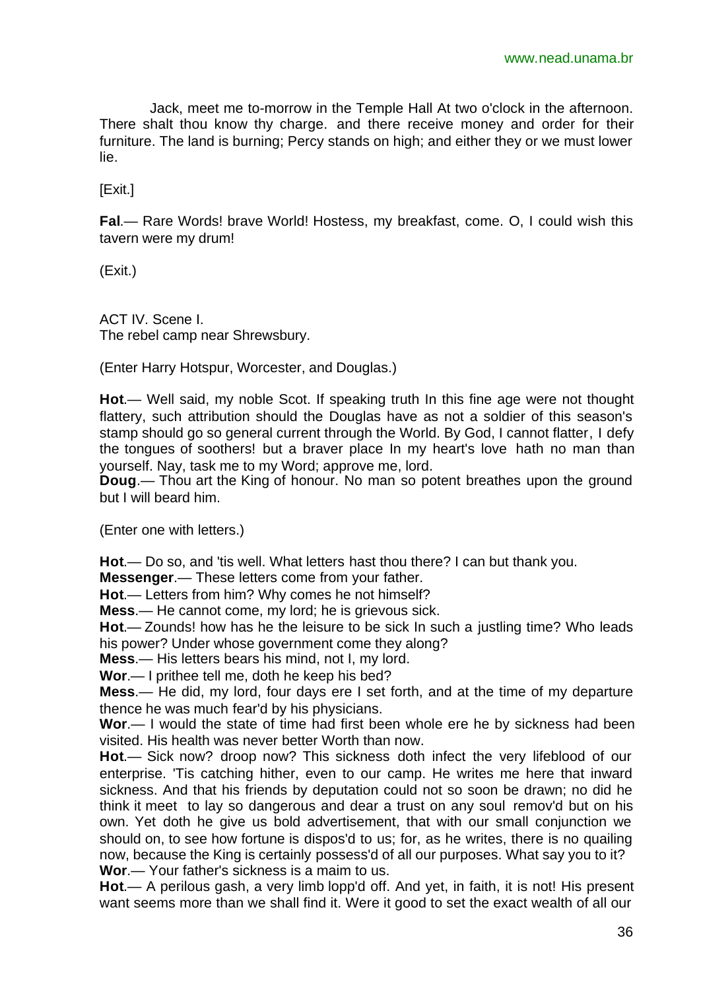Jack, meet me to-morrow in the Temple Hall At two o'clock in the afternoon. There shalt thou know thy charge. and there receive money and order for their furniture. The land is burning; Percy stands on high; and either they or we must lower lie.

[Exit.]

**Fal**.— Rare Words! brave World! Hostess, my breakfast, come. O, I could wish this tavern were my drum!

(Exit.)

ACT IV. Scene I. The rebel camp near Shrewsbury.

(Enter Harry Hotspur, Worcester, and Douglas.)

**Hot**.— Well said, my noble Scot. If speaking truth In this fine age were not thought flattery, such attribution should the Douglas have as not a soldier of this season's stamp should go so general current through the World. By God, I cannot flatter, I defy the tongues of soothers! but a braver place In my heart's love hath no man than yourself. Nay, task me to my Word; approve me, lord.

**Doug**.— Thou art the King of honour. No man so potent breathes upon the ground but I will beard him.

(Enter one with letters.)

**Hot**.— Do so, and 'tis well. What letters hast thou there? I can but thank you.

**Messenger**.— These letters come from your father.

**Hot**.— Letters from him? Why comes he not himself?

**Mess**.— He cannot come, my lord; he is grievous sick.

**Hot**.— Zounds! how has he the leisure to be sick In such a justling time? Who leads his power? Under whose government come they along?

**Mess**.— His letters bears his mind, not I, my lord.

**Wor**.— I prithee tell me, doth he keep his bed?

**Mess**.— He did, my lord, four days ere I set forth, and at the time of my departure thence he was much fear'd by his physicians.

**Wor**.— I would the state of time had first been whole ere he by sickness had been visited. His health was never better Worth than now.

**Hot**.— Sick now? droop now? This sickness doth infect the very lifeblood of our enterprise. 'Tis catching hither, even to our camp. He writes me here that inward sickness. And that his friends by deputation could not so soon be drawn; no did he think it meet to lay so dangerous and dear a trust on any soul remov'd but on his own. Yet doth he give us bold advertisement, that with our small conjunction we should on, to see how fortune is dispos'd to us; for, as he writes, there is no quailing now, because the King is certainly possess'd of all our purposes. What say you to it? **Wor**.— Your father's sickness is a maim to us.

**Hot**.— A perilous gash, a very limb lopp'd off. And yet, in faith, it is not! His present want seems more than we shall find it. Were it good to set the exact wealth of all our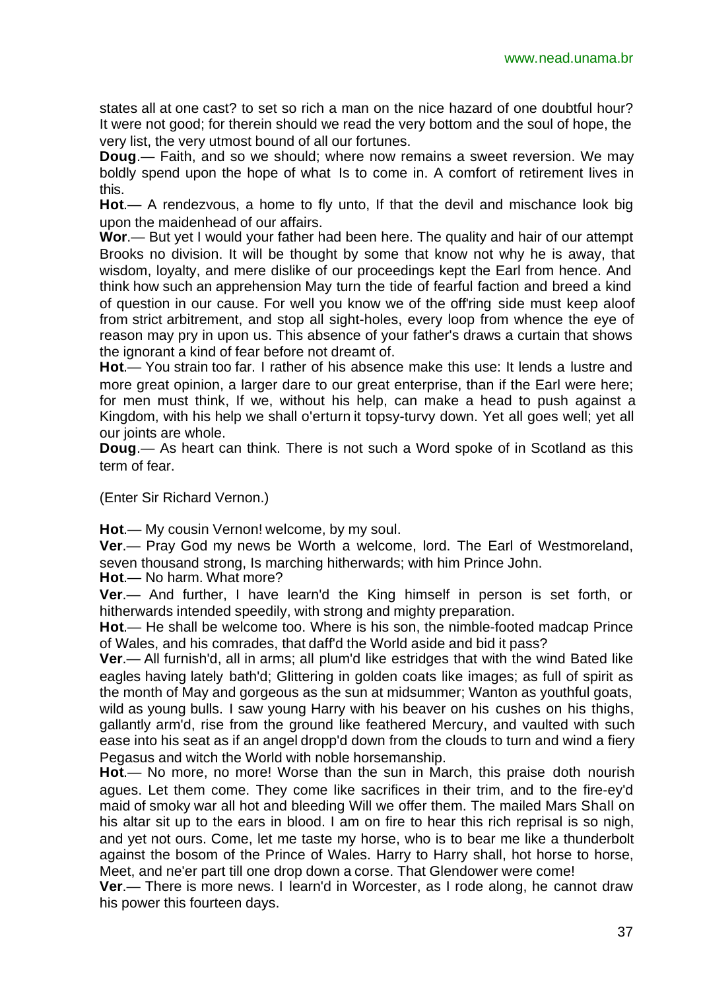states all at one cast? to set so rich a man on the nice hazard of one doubtful hour? It were not good; for therein should we read the very bottom and the soul of hope, the very list, the very utmost bound of all our fortunes.

**Doug**.— Faith, and so we should; where now remains a sweet reversion. We may boldly spend upon the hope of what Is to come in. A comfort of retirement lives in this.

**Hot**.— A rendezvous, a home to fly unto, If that the devil and mischance look big upon the maidenhead of our affairs.

**Wor**.— But yet I would your father had been here. The quality and hair of our attempt Brooks no division. It will be thought by some that know not why he is away, that wisdom, loyalty, and mere dislike of our proceedings kept the Earl from hence. And think how such an apprehension May turn the tide of fearful faction and breed a kind of question in our cause. For well you know we of the off'ring side must keep aloof from strict arbitrement, and stop all sight-holes, every loop from whence the eye of reason may pry in upon us. This absence of your father's draws a curtain that shows the ignorant a kind of fear before not dreamt of.

**Hot**.— You strain too far. I rather of his absence make this use: It lends a lustre and more great opinion, a larger dare to our great enterprise, than if the Earl were here; for men must think, If we, without his help, can make a head to push against a Kingdom, with his help we shall o'erturn it topsy-turvy down. Yet all goes well; yet all our joints are whole.

**Doug**.— As heart can think. There is not such a Word spoke of in Scotland as this term of fear.

(Enter Sir Richard Vernon.)

**Hot**.— My cousin Vernon! welcome, by my soul.

**Ver**.— Pray God my news be Worth a welcome, lord. The Earl of Westmoreland, seven thousand strong, Is marching hitherwards; with him Prince John.

**Hot**.— No harm. What more?

**Ver**.— And further, I have learn'd the King himself in person is set forth, or hitherwards intended speedily, with strong and mighty preparation.

**Hot**.— He shall be welcome too. Where is his son, the nimble-footed madcap Prince of Wales, and his comrades, that daff'd the World aside and bid it pass?

**Ver**.— All furnish'd, all in arms; all plum'd like estridges that with the wind Bated like eagles having lately bath'd; Glittering in golden coats like images; as full of spirit as the month of May and gorgeous as the sun at midsummer; Wanton as youthful goats,

wild as young bulls. I saw young Harry with his beaver on his cushes on his thighs, gallantly arm'd, rise from the ground like feathered Mercury, and vaulted with such ease into his seat as if an angel dropp'd down from the clouds to turn and wind a fiery Pegasus and witch the World with noble horsemanship.

**Hot**.— No more, no more! Worse than the sun in March, this praise doth nourish agues. Let them come. They come like sacrifices in their trim, and to the fire-ey'd maid of smoky war all hot and bleeding Will we offer them. The mailed Mars Shall on his altar sit up to the ears in blood. I am on fire to hear this rich reprisal is so nigh, and yet not ours. Come, let me taste my horse, who is to bear me like a thunderbolt against the bosom of the Prince of Wales. Harry to Harry shall, hot horse to horse, Meet, and ne'er part till one drop down a corse. That Glendower were come!

**Ver**.— There is more news. I learn'd in Worcester, as I rode along, he cannot draw his power this fourteen days.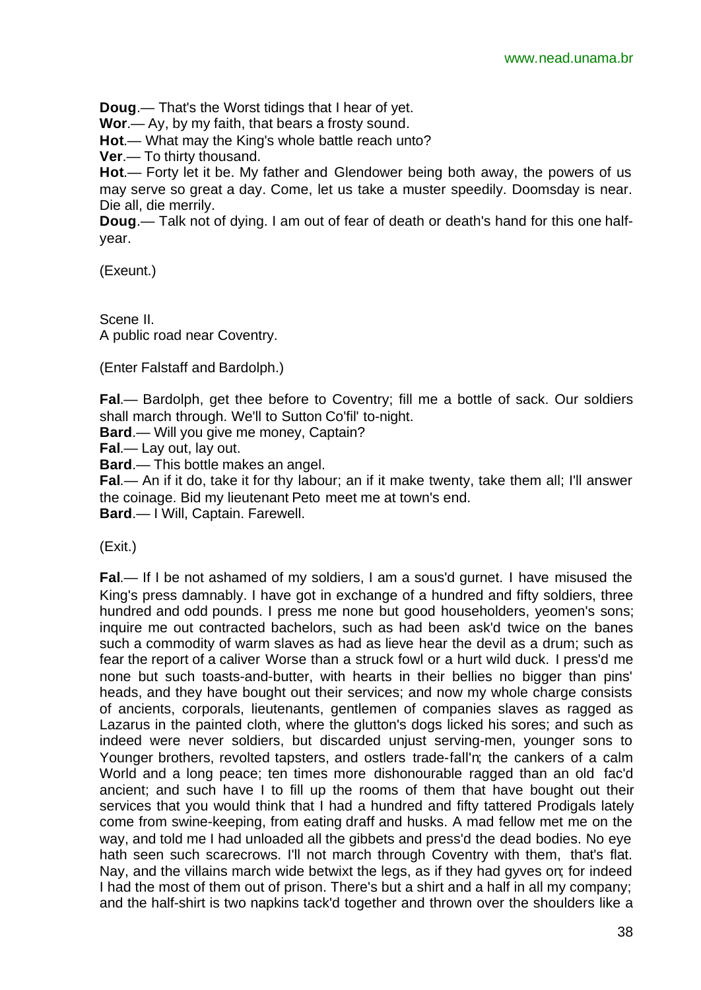**Doug**.— That's the Worst tidings that I hear of yet.

**Wor**.— Ay, by my faith, that bears a frosty sound.

**Hot**.— What may the King's whole battle reach unto?

**Ver**.— To thirty thousand.

**Hot**.— Forty let it be. My father and Glendower being both away, the powers of us may serve so great a day. Come, let us take a muster speedily. Doomsday is near. Die all, die merrily.

**Doug**.— Talk not of dying. I am out of fear of death or death's hand for this one halfyear.

(Exeunt.)

Scene II. A public road near Coventry.

(Enter Falstaff and Bardolph.)

**Fal**.— Bardolph, get thee before to Coventry; fill me a bottle of sack. Our soldiers shall march through. We'll to Sutton Co'fil' to-night.

**Bard**.— Will you give me money, Captain?

**Fal**.— Lay out, lay out.

**Bard**.— This bottle makes an angel.

**Fal**.— An if it do, take it for thy labour; an if it make twenty, take them all; I'll answer the coinage. Bid my lieutenant Peto meet me at town's end.

**Bard**.— I Will, Captain. Farewell.

(Exit.)

**Fal**.— If I be not ashamed of my soldiers, I am a sous'd gurnet. I have misused the King's press damnably. I have got in exchange of a hundred and fifty soldiers, three hundred and odd pounds. I press me none but good householders, yeomen's sons; inquire me out contracted bachelors, such as had been ask'd twice on the banes such a commodity of warm slaves as had as lieve hear the devil as a drum; such as fear the report of a caliver Worse than a struck fowl or a hurt wild duck. I press'd me none but such toasts-and-butter, with hearts in their bellies no bigger than pins' heads, and they have bought out their services; and now my whole charge consists of ancients, corporals, lieutenants, gentlemen of companies slaves as ragged as Lazarus in the painted cloth, where the glutton's dogs licked his sores; and such as indeed were never soldiers, but discarded unjust serving-men, younger sons to Younger brothers, revolted tapsters, and ostlers trade-fall'n; the cankers of a calm World and a long peace; ten times more dishonourable ragged than an old fac'd ancient; and such have I to fill up the rooms of them that have bought out their services that you would think that I had a hundred and fifty tattered Prodigals lately come from swine-keeping, from eating draff and husks. A mad fellow met me on the way, and told me I had unloaded all the gibbets and press'd the dead bodies. No eye hath seen such scarecrows. I'll not march through Coventry with them, that's flat. Nay, and the villains march wide betwixt the legs, as if they had gyves on; for indeed I had the most of them out of prison. There's but a shirt and a half in all my company; and the half-shirt is two napkins tack'd together and thrown over the shoulders like a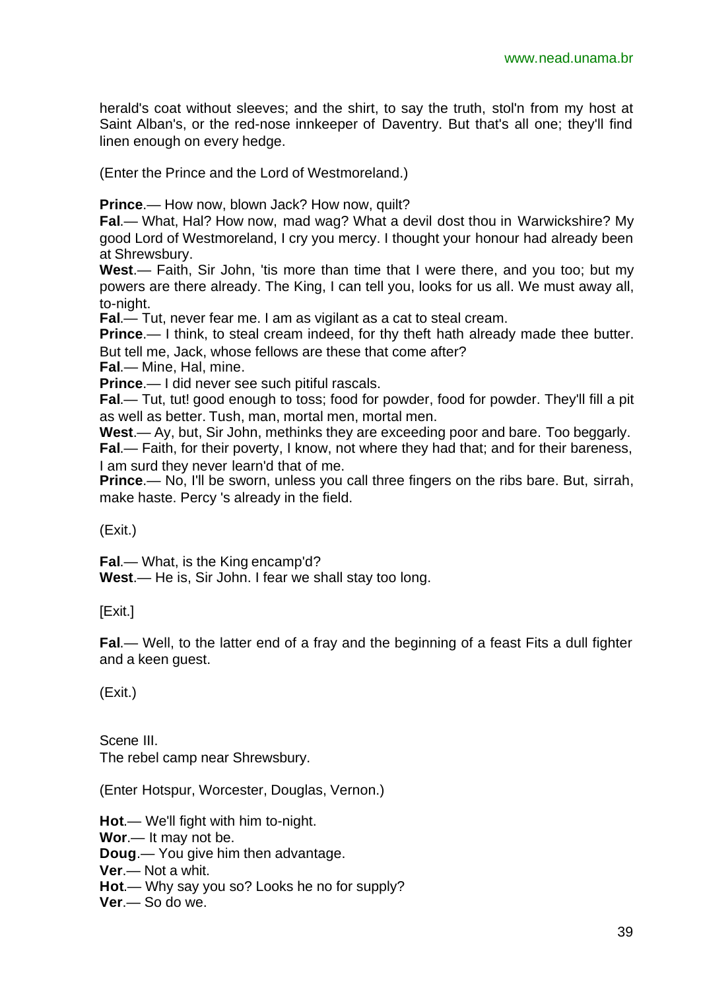herald's coat without sleeves; and the shirt, to say the truth, stol'n from my host at Saint Alban's, or the red-nose innkeeper of Daventry. But that's all one; they'll find linen enough on every hedge.

(Enter the Prince and the Lord of Westmoreland.)

**Prince.**— How now, blown Jack? How now, quilt?

**Fal**.— What, Hal? How now, mad wag? What a devil dost thou in Warwickshire? My good Lord of Westmoreland, I cry you mercy. I thought your honour had already been at Shrewsbury.

**West**.— Faith, Sir John, 'tis more than time that I were there, and you too; but my powers are there already. The King, I can tell you, looks for us all. We must away all, to-night.

**Fal**.— Tut, never fear me. I am as vigilant as a cat to steal cream.

**Prince.**— I think, to steal cream indeed, for thy theft hath already made thee butter. But tell me, Jack, whose fellows are these that come after?

**Fal**.— Mine, Hal, mine.

**Prince**.— I did never see such pitiful rascals.

**Fal.**— Tut, tut! good enough to toss; food for powder, food for powder. They'll fill a pit as well as better. Tush, man, mortal men, mortal men.

**West**.— Ay, but, Sir John, methinks they are exceeding poor and bare. Too beggarly. **Fal**.— Faith, for their poverty, I know, not where they had that; and for their bareness, I am surd they never learn'd that of me.

**Prince**.— No, I'll be sworn, unless you call three fingers on the ribs bare. But, sirrah, make haste. Percy 's already in the field.

(Exit.)

**Fal**.— What, is the King encamp'd?

**West**.— He is, Sir John. I fear we shall stay too long.

[Exit.]

**Fal**.— Well, to the latter end of a fray and the beginning of a feast Fits a dull fighter and a keen guest.

(Exit.)

Scene III. The rebel camp near Shrewsbury.

(Enter Hotspur, Worcester, Douglas, Vernon.)

**Hot**.— We'll fight with him to-night.

**Wor**.— It may not be.

**Doug**.— You give him then advantage.

**Ver**.— Not a whit.

**Hot**.— Why say you so? Looks he no for supply?

**Ver**.— So do we.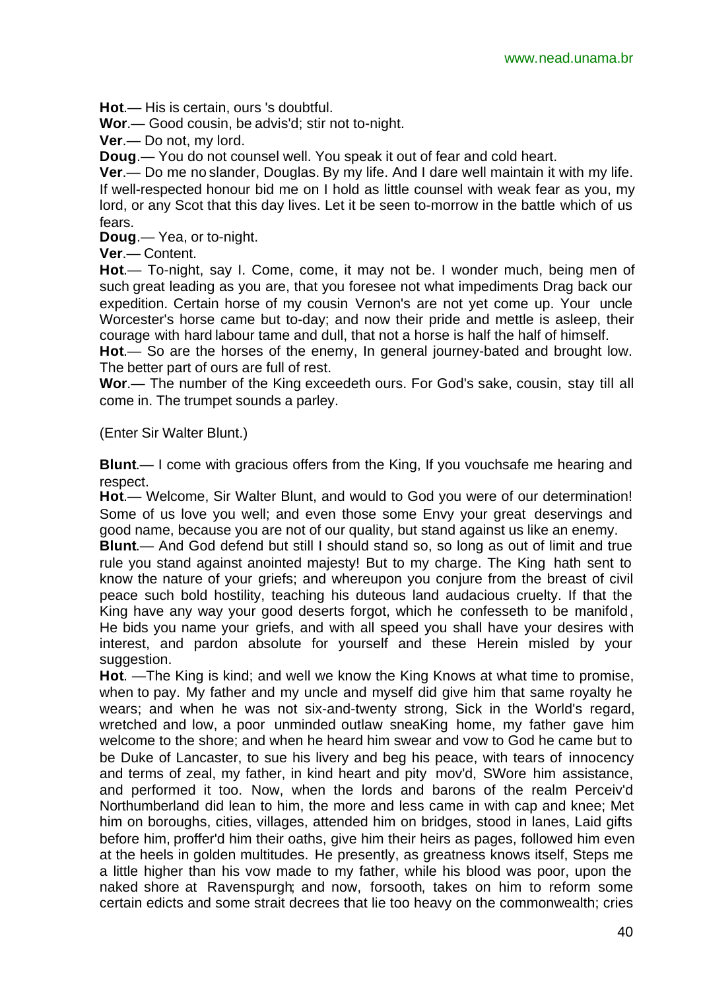**Hot**.— His is certain, ours 's doubtful.

**Wor**.— Good cousin, be advis'd; stir not to-night.

**Ver**.— Do not, my lord.

**Doug**.— You do not counsel well. You speak it out of fear and cold heart.

**Ver**.— Do me no slander, Douglas. By my life. And I dare well maintain it with my life. If well-respected honour bid me on I hold as little counsel with weak fear as you, my lord, or any Scot that this day lives. Let it be seen to-morrow in the battle which of us fears.

**Doug**.— Yea, or to-night.

**Ver**.— Content.

**Hot**.— To-night, say I. Come, come, it may not be. I wonder much, being men of such great leading as you are, that you foresee not what impediments Drag back our expedition. Certain horse of my cousin Vernon's are not yet come up. Your uncle Worcester's horse came but to-day; and now their pride and mettle is asleep, their courage with hard labour tame and dull, that not a horse is half the half of himself.

**Hot**.— So are the horses of the enemy, In general journey-bated and brought low. The better part of ours are full of rest.

**Wor**.— The number of the King exceedeth ours. For God's sake, cousin, stay till all come in. The trumpet sounds a parley.

(Enter Sir Walter Blunt.)

**Blunt**.— I come with gracious offers from the King, If you vouchsafe me hearing and respect.

**Hot**.— Welcome, Sir Walter Blunt, and would to God you were of our determination! Some of us love you well; and even those some Envy your great deservings and good name, because you are not of our quality, but stand against us like an enemy.

**Blunt**.— And God defend but still I should stand so, so long as out of limit and true rule you stand against anointed majesty! But to my charge. The King hath sent to know the nature of your griefs; and whereupon you conjure from the breast of civil peace such bold hostility, teaching his duteous land audacious cruelty. If that the King have any way your good deserts forgot, which he confesseth to be manifold, He bids you name your griefs, and with all speed you shall have your desires with interest, and pardon absolute for yourself and these Herein misled by your suggestion.

**Hot**. —The King is kind; and well we know the King Knows at what time to promise, when to pay. My father and my uncle and myself did give him that same royalty he wears; and when he was not six-and-twenty strong, Sick in the World's regard, wretched and low, a poor unminded outlaw sneaKing home, my father gave him welcome to the shore; and when he heard him swear and vow to God he came but to be Duke of Lancaster, to sue his livery and beg his peace, with tears of innocency and terms of zeal, my father, in kind heart and pity mov'd, SWore him assistance, and performed it too. Now, when the lords and barons of the realm Perceiv'd Northumberland did lean to him, the more and less came in with cap and knee; Met him on boroughs, cities, villages, attended him on bridges, stood in lanes, Laid gifts before him, proffer'd him their oaths, give him their heirs as pages, followed him even at the heels in golden multitudes. He presently, as greatness knows itself, Steps me a little higher than his vow made to my father, while his blood was poor, upon the naked shore at Ravenspurgh; and now, forsooth, takes on him to reform some certain edicts and some strait decrees that lie too heavy on the commonwealth; cries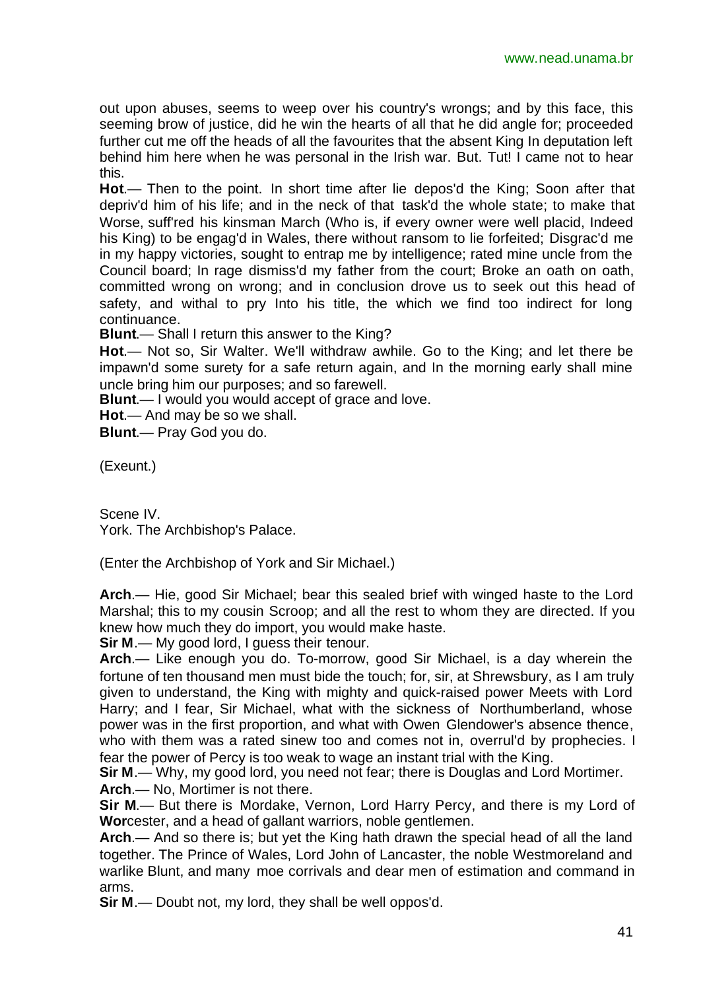out upon abuses, seems to weep over his country's wrongs; and by this face, this seeming brow of justice, did he win the hearts of all that he did angle for; proceeded further cut me off the heads of all the favourites that the absent King In deputation left behind him here when he was personal in the Irish war. But. Tut! I came not to hear this.

**Hot**.— Then to the point. In short time after lie depos'd the King; Soon after that depriv'd him of his life; and in the neck of that task'd the whole state; to make that Worse, suff'red his kinsman March (Who is, if every owner were well placid, Indeed his King) to be engag'd in Wales, there without ransom to lie forfeited; Disgrac'd me in my happy victories, sought to entrap me by intelligence; rated mine uncle from the Council board; In rage dismiss'd my father from the court; Broke an oath on oath, committed wrong on wrong; and in conclusion drove us to seek out this head of safety, and withal to pry Into his title, the which we find too indirect for long continuance.

**Blunt**.— Shall I return this answer to the King?

**Hot**.— Not so, Sir Walter. We'll withdraw awhile. Go to the King; and let there be impawn'd some surety for a safe return again, and In the morning early shall mine uncle bring him our purposes; and so farewell.

**Blunt**.— I would you would accept of grace and love.

**Hot**.— And may be so we shall.

**Blunt**.— Pray God you do.

(Exeunt.)

Scene IV. York. The Archbishop's Palace.

(Enter the Archbishop of York and Sir Michael.)

**Arch**.— Hie, good Sir Michael; bear this sealed brief with winged haste to the Lord Marshal; this to my cousin Scroop; and all the rest to whom they are directed. If you knew how much they do import, you would make haste.

**Sir M**.— My good lord, I guess their tenour.

**Arch**.— Like enough you do. To-morrow, good Sir Michael, is a day wherein the fortune of ten thousand men must bide the touch; for, sir, at Shrewsbury, as I am truly given to understand, the King with mighty and quick-raised power Meets with Lord Harry; and I fear, Sir Michael, what with the sickness of Northumberland, whose power was in the first proportion, and what with Owen Glendower's absence thence, who with them was a rated sinew too and comes not in, overrul'd by prophecies. I fear the power of Percy is too weak to wage an instant trial with the King.

**Sir M**.— Why, my good lord, you need not fear; there is Douglas and Lord Mortimer.

**Arch**.— No, Mortimer is not there.

**Sir M**.— But there is Mordake, Vernon, Lord Harry Percy, and there is my Lord of **Wor**cester, and a head of gallant warriors, noble gentlemen.

**Arch**.— And so there is; but yet the King hath drawn the special head of all the land together. The Prince of Wales, Lord John of Lancaster, the noble Westmoreland and warlike Blunt, and many moe corrivals and dear men of estimation and command in arms.

**Sir M**.— Doubt not, my lord, they shall be well oppos'd.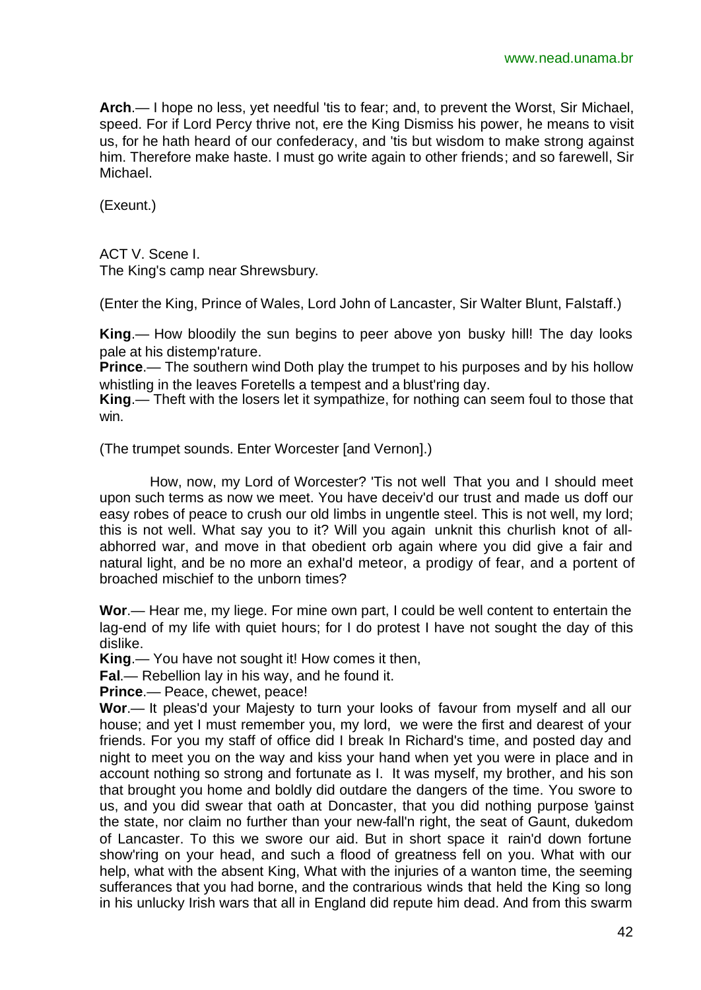**Arch**.— I hope no less, yet needful 'tis to fear; and, to prevent the Worst, Sir Michael, speed. For if Lord Percy thrive not, ere the King Dismiss his power, he means to visit us, for he hath heard of our confederacy, and 'tis but wisdom to make strong against him. Therefore make haste. I must go write again to other friends; and so farewell, Sir Michael.

(Exeunt.)

ACT V. Scene I.

The King's camp near Shrewsbury.

(Enter the King, Prince of Wales, Lord John of Lancaster, Sir Walter Blunt, Falstaff.)

**King**.— How bloodily the sun begins to peer above yon busky hill! The day looks pale at his distemp'rature.

**Prince**.— The southern wind Doth play the trumpet to his purposes and by his hollow whistling in the leaves Foretells a tempest and a blust'ring day.

**King**.— Theft with the losers let it sympathize, for nothing can seem foul to those that win.

(The trumpet sounds. Enter Worcester [and Vernon].)

How, now, my Lord of Worcester? 'Tis not well That you and I should meet upon such terms as now we meet. You have deceiv'd our trust and made us doff our easy robes of peace to crush our old limbs in ungentle steel. This is not well, my lord; this is not well. What say you to it? Will you again unknit this churlish knot of allabhorred war, and move in that obedient orb again where you did give a fair and natural light, and be no more an exhal'd meteor, a prodigy of fear, and a portent of broached mischief to the unborn times?

**Wor**.— Hear me, my liege. For mine own part, I could be well content to entertain the lag-end of my life with quiet hours; for I do protest I have not sought the day of this dislike.

**King**.— You have not sought it! How comes it then,

**Fal**.— Rebellion lay in his way, and he found it.

**Prince**.— Peace, chewet, peace!

**Wor**.— It pleas'd your Majesty to turn your looks of favour from myself and all our house; and yet I must remember you, my lord, we were the first and dearest of your friends. For you my staff of office did I break In Richard's time, and posted day and night to meet you on the way and kiss your hand when yet you were in place and in account nothing so strong and fortunate as I. It was myself, my brother, and his son that brought you home and boldly did outdare the dangers of the time. You swore to us, and you did swear that oath at Doncaster, that you did nothing purpose 'gainst the state, nor claim no further than your new-fall'n right, the seat of Gaunt, dukedom of Lancaster. To this we swore our aid. But in short space it rain'd down fortune show'ring on your head, and such a flood of greatness fell on you. What with our help, what with the absent King, What with the injuries of a wanton time, the seeming sufferances that you had borne, and the contrarious winds that held the King so long in his unlucky Irish wars that all in England did repute him dead. And from this swarm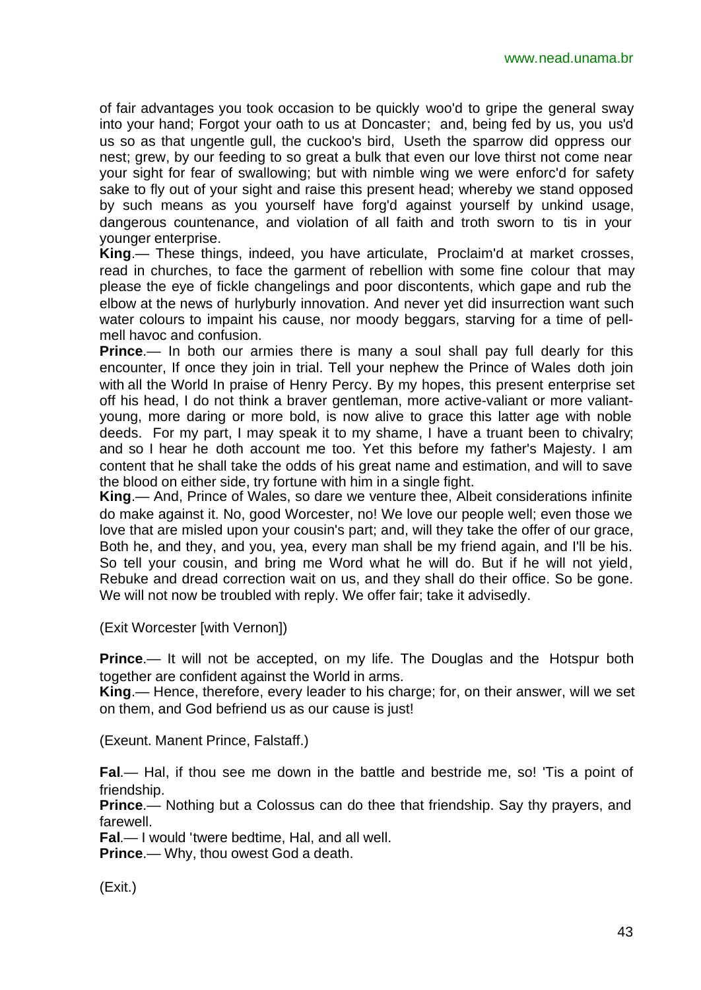of fair advantages you took occasion to be quickly woo'd to gripe the general sway into your hand; Forgot your oath to us at Doncaster; and, being fed by us, you us'd us so as that ungentle gull, the cuckoo's bird, Useth the sparrow did oppress our nest; grew, by our feeding to so great a bulk that even our love thirst not come near your sight for fear of swallowing; but with nimble wing we were enforc'd for safety sake to fly out of your sight and raise this present head; whereby we stand opposed by such means as you yourself have forg'd against yourself by unkind usage, dangerous countenance, and violation of all faith and troth sworn to tis in your younger enterprise.

**King**.— These things, indeed, you have articulate, Proclaim'd at market crosses, read in churches, to face the garment of rebellion with some fine colour that may please the eye of fickle changelings and poor discontents, which gape and rub the elbow at the news of hurlyburly innovation. And never yet did insurrection want such water colours to impaint his cause, nor moody beggars, starving for a time of pellmell havoc and confusion.

**Prince.**— In both our armies there is many a soul shall pay full dearly for this encounter, If once they join in trial. Tell your nephew the Prince of Wales doth join with all the World In praise of Henry Percy. By my hopes, this present enterprise set off his head, I do not think a braver gentleman, more active-valiant or more valiantyoung, more daring or more bold, is now alive to grace this latter age with noble deeds. For my part, I may speak it to my shame, I have a truant been to chivalry; and so I hear he doth account me too. Yet this before my father's Majesty. I am content that he shall take the odds of his great name and estimation, and will to save the blood on either side, try fortune with him in a single fight.

**King**.— And, Prince of Wales, so dare we venture thee, Albeit considerations infinite do make against it. No, good Worcester, no! We love our people well; even those we love that are misled upon your cousin's part; and, will they take the offer of our grace, Both he, and they, and you, yea, every man shall be my friend again, and I'll be his. So tell your cousin, and bring me Word what he will do. But if he will not yield, Rebuke and dread correction wait on us, and they shall do their office. So be gone. We will not now be troubled with reply. We offer fair; take it advisedly.

(Exit Worcester [with Vernon])

**Prince.**— It will not be accepted, on my life. The Douglas and the Hotspur both together are confident against the World in arms.

**King**.— Hence, therefore, every leader to his charge; for, on their answer, will we set on them, and God befriend us as our cause is just!

(Exeunt. Manent Prince, Falstaff.)

**Fal**.— Hal, if thou see me down in the battle and bestride me, so! 'Tis a point of friendship.

**Prince**.— Nothing but a Colossus can do thee that friendship. Say thy prayers, and farewell.

**Fal**.— I would 'twere bedtime, Hal, and all well.

**Prince**.— Why, thou owest God a death.

(Exit.)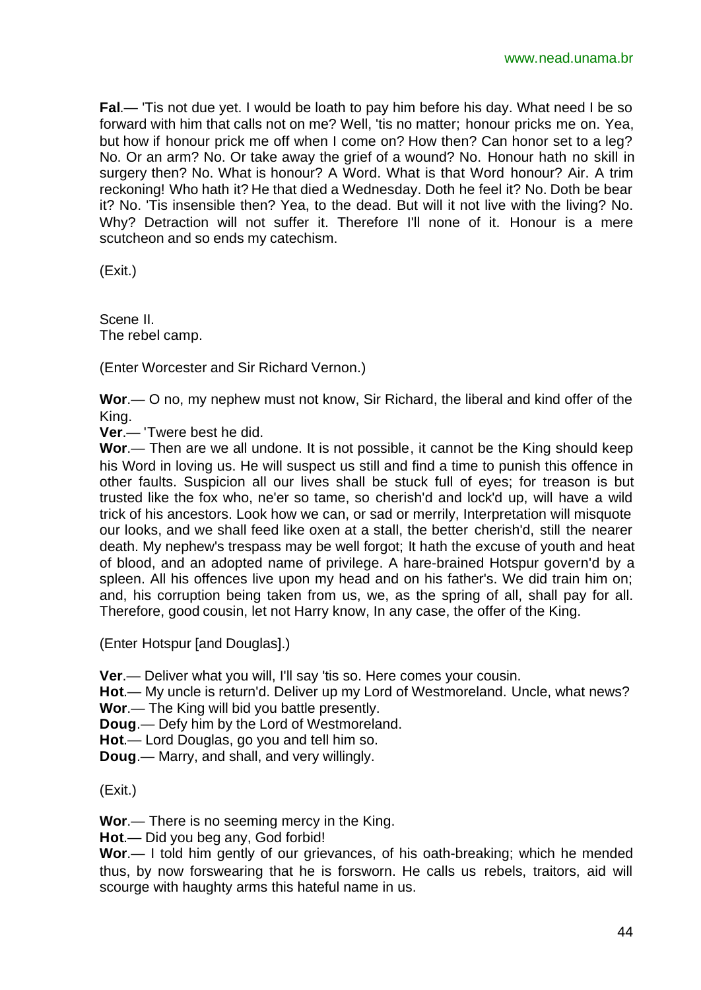**Fal**.— 'Tis not due yet. I would be loath to pay him before his day. What need I be so forward with him that calls not on me? Well, 'tis no matter; honour pricks me on. Yea, but how if honour prick me off when I come on? How then? Can honor set to a leg? No. Or an arm? No. Or take away the grief of a wound? No. Honour hath no skill in surgery then? No. What is honour? A Word. What is that Word honour? Air. A trim reckoning! Who hath it? He that died a Wednesday. Doth he feel it? No. Doth be bear it? No. 'Tis insensible then? Yea, to the dead. But will it not live with the living? No. Why? Detraction will not suffer it. Therefore I'll none of it. Honour is a mere scutcheon and so ends my catechism.

(Exit.)

Scene II. The rebel camp.

(Enter Worcester and Sir Richard Vernon.)

**Wor**.— O no, my nephew must not know, Sir Richard, the liberal and kind offer of the King.

**Ver**.— 'Twere best he did.

**Wor**.— Then are we all undone. It is not possible, it cannot be the King should keep his Word in loving us. He will suspect us still and find a time to punish this offence in other faults. Suspicion all our lives shall be stuck full of eyes; for treason is but trusted like the fox who, ne'er so tame, so cherish'd and lock'd up, will have a wild trick of his ancestors. Look how we can, or sad or merrily, Interpretation will misquote our looks, and we shall feed like oxen at a stall, the better cherish'd, still the nearer death. My nephew's trespass may be well forgot; It hath the excuse of youth and heat of blood, and an adopted name of privilege. A hare-brained Hotspur govern'd by a spleen. All his offences live upon my head and on his father's. We did train him on; and, his corruption being taken from us, we, as the spring of all, shall pay for all. Therefore, good cousin, let not Harry know, In any case, the offer of the King.

(Enter Hotspur [and Douglas].)

**Ver**.— Deliver what you will, I'll say 'tis so. Here comes your cousin.

**Hot**.— My uncle is return'd. Deliver up my Lord of Westmoreland. Uncle, what news? **Wor**.— The King will bid you battle presently.

**Doug**.— Defy him by the Lord of Westmoreland.

**Hot**.— Lord Douglas, go you and tell him so.

**Doug**.— Marry, and shall, and very willingly.

(Exit.)

**Wor**.— There is no seeming mercy in the King.

**Hot**.— Did you beg any, God forbid!

**Wor**.— I told him gently of our grievances, of his oath-breaking; which he mended thus, by now forswearing that he is forsworn. He calls us rebels, traitors, aid will scourge with haughty arms this hateful name in us.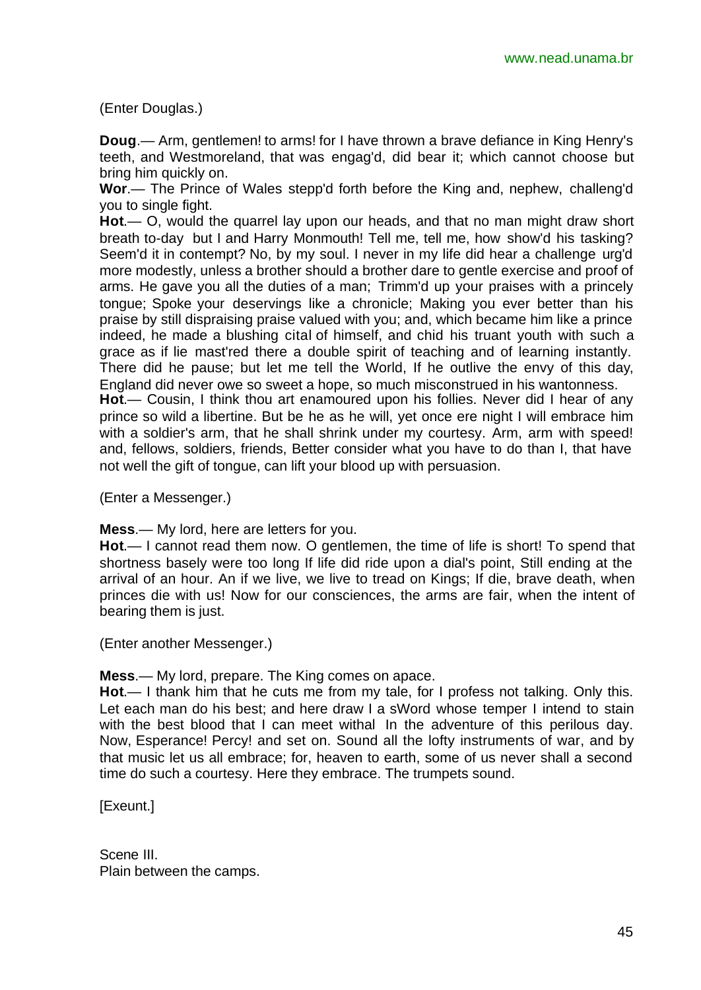(Enter Douglas.)

**Doug**.— Arm, gentlemen! to arms! for I have thrown a brave defiance in King Henry's teeth, and Westmoreland, that was engag'd, did bear it; which cannot choose but bring him quickly on.

**Wor**.— The Prince of Wales stepp'd forth before the King and, nephew, challeng'd you to single fight.

**Hot**.— O, would the quarrel lay upon our heads, and that no man might draw short breath to-day but I and Harry Monmouth! Tell me, tell me, how show'd his tasking? Seem'd it in contempt? No, by my soul. I never in my life did hear a challenge urg'd more modestly, unless a brother should a brother dare to gentle exercise and proof of arms. He gave you all the duties of a man; Trimm'd up your praises with a princely tongue; Spoke your deservings like a chronicle; Making you ever better than his praise by still dispraising praise valued with you; and, which became him like a prince indeed, he made a blushing cital of himself, and chid his truant youth with such a grace as if lie mast'red there a double spirit of teaching and of learning instantly. There did he pause; but let me tell the World, If he outlive the envy of this day, England did never owe so sweet a hope, so much misconstrued in his wantonness.

**Hot**.— Cousin, I think thou art enamoured upon his follies. Never did I hear of any prince so wild a libertine. But be he as he will, yet once ere night I will embrace him with a soldier's arm, that he shall shrink under my courtesy. Arm, arm with speed! and, fellows, soldiers, friends, Better consider what you have to do than I, that have not well the gift of tongue, can lift your blood up with persuasion.

(Enter a Messenger.)

**Mess**.— My lord, here are letters for you.

**Hot**.— I cannot read them now. O gentlemen, the time of life is short! To spend that shortness basely were too long If life did ride upon a dial's point, Still ending at the arrival of an hour. An if we live, we live to tread on Kings; If die, brave death, when princes die with us! Now for our consciences, the arms are fair, when the intent of bearing them is just.

(Enter another Messenger.)

**Mess**.— My lord, prepare. The King comes on apace.

**Hot**.— I thank him that he cuts me from my tale, for I profess not talking. Only this. Let each man do his best; and here draw I a sWord whose temper I intend to stain with the best blood that I can meet withal In the adventure of this perilous day. Now, Esperance! Percy! and set on. Sound all the lofty instruments of war, and by that music let us all embrace; for, heaven to earth, some of us never shall a second time do such a courtesy. Here they embrace. The trumpets sound.

[Exeunt.]

Scene III. Plain between the camps.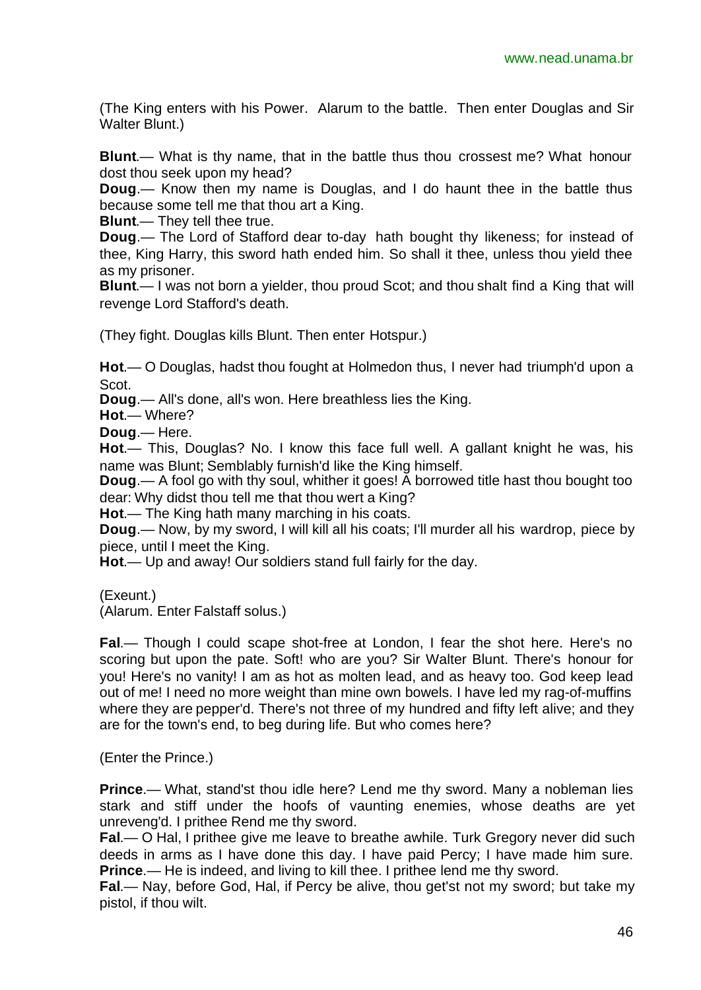(The King enters with his Power. Alarum to the battle. Then enter Douglas and Sir Walter Blunt.)

**Blunt**.— What is thy name, that in the battle thus thou crossest me? What honour dost thou seek upon my head?

**Doug**.— Know then my name is Douglas, and I do haunt thee in the battle thus because some tell me that thou art a King.

**Blunt**.— They tell thee true.

**Doug**.— The Lord of Stafford dear to-day hath bought thy likeness; for instead of thee, King Harry, this sword hath ended him. So shall it thee, unless thou yield thee as my prisoner.

**Blunt**.— I was not born a yielder, thou proud Scot; and thou shalt find a King that will revenge Lord Stafford's death.

(They fight. Douglas kills Blunt. Then enter Hotspur.)

**Hot**.— O Douglas, hadst thou fought at Holmedon thus, I never had triumph'd upon a Scot.

**Doug**.— All's done, all's won. Here breathless lies the King.

**Hot**.— Where?

**Doug**.— Here.

**Hot**.— This, Douglas? No. I know this face full well. A gallant knight he was, his name was Blunt; Semblably furnish'd like the King himself.

**Doug**.— A fool go with thy soul, whither it goes! A borrowed title hast thou bought too dear: Why didst thou tell me that thou wert a King?

**Hot**.— The King hath many marching in his coats.

**Doug**.— Now, by my sword, I will kill all his coats; I'll murder all his wardrop, piece by piece, until I meet the King.

**Hot**.— Up and away! Our soldiers stand full fairly for the day.

(Exeunt.)

(Alarum. Enter Falstaff solus.)

**Fal**.— Though I could scape shot-free at London, I fear the shot here. Here's no scoring but upon the pate. Soft! who are you? Sir Walter Blunt. There's honour for you! Here's no vanity! I am as hot as molten lead, and as heavy too. God keep lead out of me! I need no more weight than mine own bowels. I have led my rag-of-muffins where they are pepper'd. There's not three of my hundred and fifty left alive; and they are for the town's end, to beg during life. But who comes here?

(Enter the Prince.)

**Prince.**— What, stand'st thou idle here? Lend me thy sword. Many a nobleman lies stark and stiff under the hoofs of vaunting enemies, whose deaths are yet unreveng'd. I prithee Rend me thy sword.

**Fal**.— O Hal, I prithee give me leave to breathe awhile. Turk Gregory never did such deeds in arms as I have done this day. I have paid Percy; I have made him sure. **Prince**.— He is indeed, and living to kill thee. I prithee lend me thy sword.

**Fal**.— Nay, before God, Hal, if Percy be alive, thou get'st not my sword; but take my pistol, if thou wilt.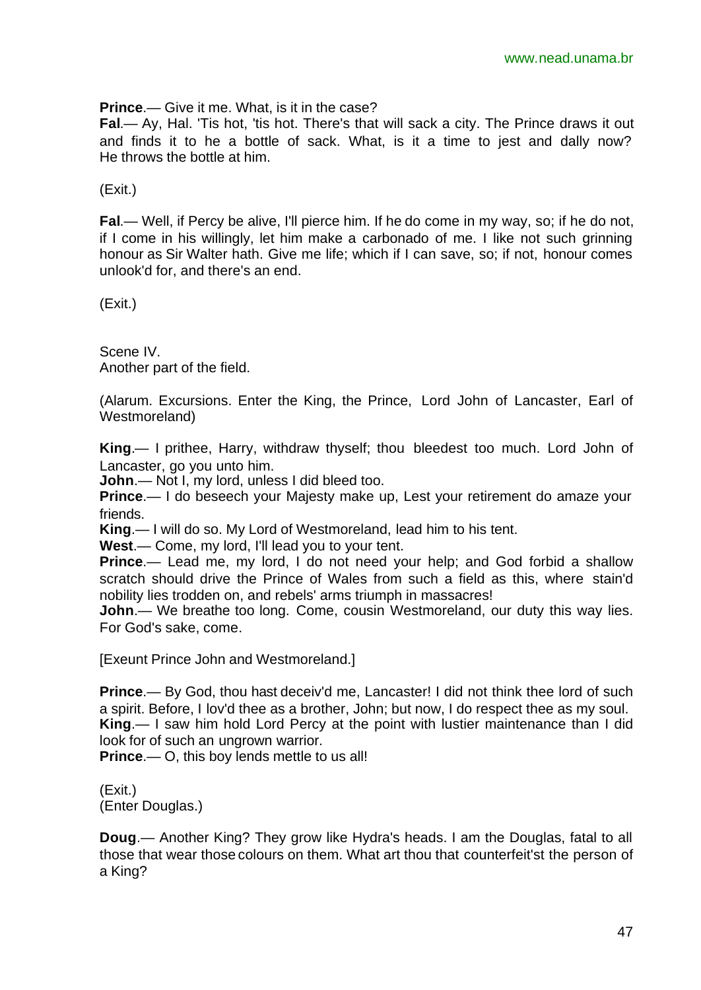**Prince**.— Give it me. What, is it in the case?

**Fal**.— Ay, Hal. 'Tis hot, 'tis hot. There's that will sack a city. The Prince draws it out and finds it to he a bottle of sack. What, is it a time to jest and dally now? He throws the bottle at him.

(Exit.)

**Fal**.— Well, if Percy be alive, I'll pierce him. If he do come in my way, so; if he do not, if I come in his willingly, let him make a carbonado of me. I like not such grinning honour as Sir Walter hath. Give me life; which if I can save, so; if not, honour comes unlook'd for, and there's an end.

(Exit.)

Scene IV. Another part of the field.

(Alarum. Excursions. Enter the King, the Prince, Lord John of Lancaster, Earl of Westmoreland)

**King**.— I prithee, Harry, withdraw thyself; thou bleedest too much. Lord John of Lancaster, go you unto him.

**John**.— Not I, my lord, unless I did bleed too.

**Prince.**— I do beseech your Majesty make up, Lest your retirement do amaze your friends.

**King**.— I will do so. My Lord of Westmoreland, lead him to his tent.

**West**.— Come, my lord, I'll lead you to your tent.

**Prince.**— Lead me, my lord, I do not need your help; and God forbid a shallow scratch should drive the Prince of Wales from such a field as this, where stain'd nobility lies trodden on, and rebels' arms triumph in massacres!

**John.**— We breathe too long. Come, cousin Westmoreland, our duty this way lies. For God's sake, come.

[Exeunt Prince John and Westmoreland.]

**Prince.**— By God, thou hast deceiv'd me, Lancaster! I did not think thee lord of such a spirit. Before, I lov'd thee as a brother, John; but now, I do respect thee as my soul. **King**.— I saw him hold Lord Percy at the point with lustier maintenance than I did look for of such an ungrown warrior.

**Prince**.— O, this boy lends mettle to us all!

(Exit.) (Enter Douglas.)

**Doug**.— Another King? They grow like Hydra's heads. I am the Douglas, fatal to all those that wear those colours on them. What art thou that counterfeit'st the person of a King?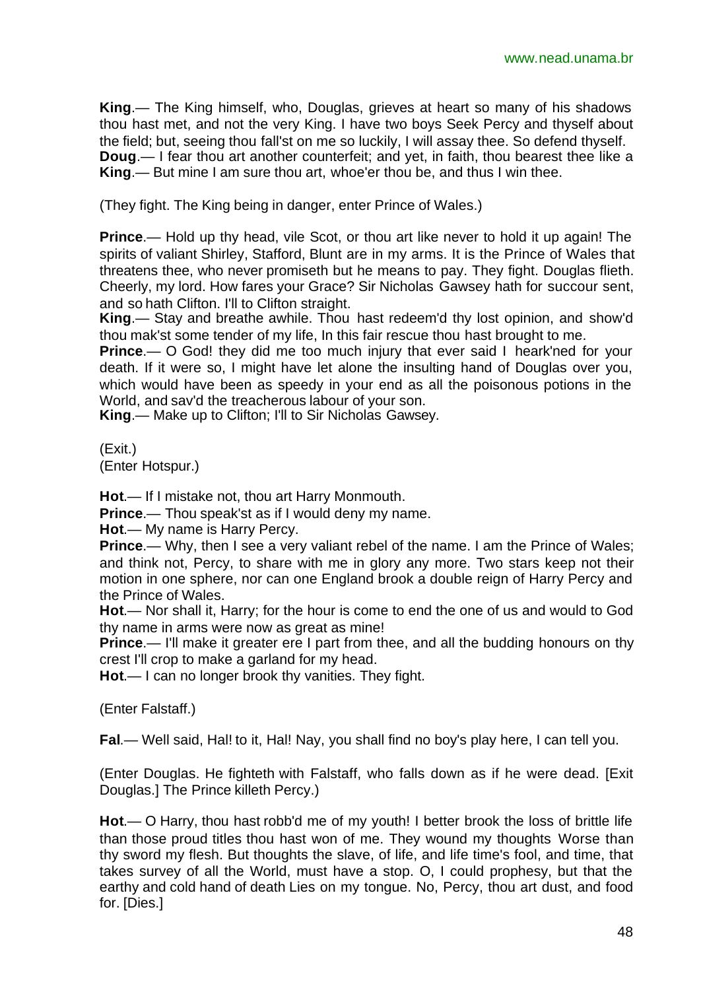**King**.— The King himself, who, Douglas, grieves at heart so many of his shadows thou hast met, and not the very King. I have two boys Seek Percy and thyself about the field; but, seeing thou fall'st on me so luckily, I will assay thee. So defend thyself. **Doug**.— I fear thou art another counterfeit; and yet, in faith, thou bearest thee like a **King**.— But mine I am sure thou art, whoe'er thou be, and thus I win thee.

(They fight. The King being in danger, enter Prince of Wales.)

**Prince.**— Hold up thy head, vile Scot, or thou art like never to hold it up again! The spirits of valiant Shirley, Stafford, Blunt are in my arms. It is the Prince of Wales that threatens thee, who never promiseth but he means to pay. They fight. Douglas flieth. Cheerly, my lord. How fares your Grace? Sir Nicholas Gawsey hath for succour sent, and so hath Clifton. I'll to Clifton straight.

**King**.— Stay and breathe awhile. Thou hast redeem'd thy lost opinion, and show'd thou mak'st some tender of my life, In this fair rescue thou hast brought to me.

**Prince.**— O God! they did me too much injury that ever said I heark'ned for your death. If it were so, I might have let alone the insulting hand of Douglas over you, which would have been as speedy in your end as all the poisonous potions in the World, and sav'd the treacherous labour of your son.

**King**.— Make up to Clifton; I'll to Sir Nicholas Gawsey.

(Exit.) (Enter Hotspur.)

**Hot**.— If I mistake not, thou art Harry Monmouth.

**Prince.**— Thou speak'st as if I would deny my name.

**Hot**.— My name is Harry Percy.

**Prince.**— Why, then I see a very valiant rebel of the name. I am the Prince of Wales; and think not, Percy, to share with me in glory any more. Two stars keep not their motion in one sphere, nor can one England brook a double reign of Harry Percy and the Prince of Wales.

**Hot**.— Nor shall it, Harry; for the hour is come to end the one of us and would to God thy name in arms were now as great as mine!

**Prince**.— I'll make it greater ere I part from thee, and all the budding honours on thy crest I'll crop to make a garland for my head.

**Hot**.— I can no longer brook thy vanities. They fight.

(Enter Falstaff.)

**Fal**.— Well said, Hal! to it, Hal! Nay, you shall find no boy's play here, I can tell you.

(Enter Douglas. He fighteth with Falstaff, who falls down as if he were dead. [Exit Douglas.] The Prince killeth Percy.)

**Hot**.— O Harry, thou hast robb'd me of my youth! I better brook the loss of brittle life than those proud titles thou hast won of me. They wound my thoughts Worse than thy sword my flesh. But thoughts the slave, of life, and life time's fool, and time, that takes survey of all the World, must have a stop. O, I could prophesy, but that the earthy and cold hand of death Lies on my tongue. No, Percy, thou art dust, and food for. [Dies.]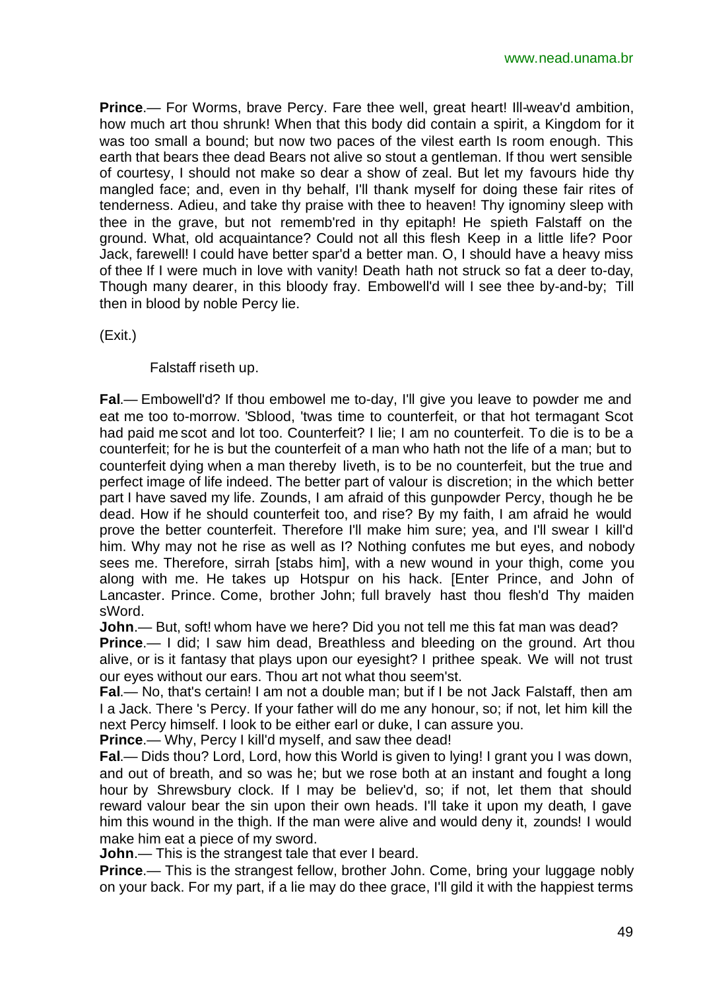**Prince**.— For Worms, brave Percy. Fare thee well, great heart! Ill-weav'd ambition, how much art thou shrunk! When that this body did contain a spirit, a Kingdom for it was too small a bound; but now two paces of the vilest earth Is room enough. This earth that bears thee dead Bears not alive so stout a gentleman. If thou wert sensible of courtesy, I should not make so dear a show of zeal. But let my favours hide thy mangled face; and, even in thy behalf, I'll thank myself for doing these fair rites of tenderness. Adieu, and take thy praise with thee to heaven! Thy ignominy sleep with thee in the grave, but not rememb'red in thy epitaph! He spieth Falstaff on the ground. What, old acquaintance? Could not all this flesh Keep in a little life? Poor Jack, farewell! I could have better spar'd a better man. O, I should have a heavy miss of thee If I were much in love with vanity! Death hath not struck so fat a deer to-day, Though many dearer, in this bloody fray. Embowell'd will I see thee by-and-by; Till then in blood by noble Percy lie.

(Exit.)

Falstaff riseth up.

**Fal**.— Embowell'd? If thou embowel me to-day, I'll give you leave to powder me and eat me too to-morrow. 'Sblood, 'twas time to counterfeit, or that hot termagant Scot had paid me scot and lot too. Counterfeit? I lie; I am no counterfeit. To die is to be a counterfeit; for he is but the counterfeit of a man who hath not the life of a man; but to counterfeit dying when a man thereby liveth, is to be no counterfeit, but the true and perfect image of life indeed. The better part of valour is discretion; in the which better part I have saved my life. Zounds, I am afraid of this gunpowder Percy, though he be dead. How if he should counterfeit too, and rise? By my faith, I am afraid he would prove the better counterfeit. Therefore I'll make him sure; yea, and I'll swear I kill'd him. Why may not he rise as well as I? Nothing confutes me but eyes, and nobody sees me. Therefore, sirrah [stabs him], with a new wound in your thigh, come you along with me. He takes up Hotspur on his hack. [Enter Prince, and John of Lancaster. Prince. Come, brother John; full bravely hast thou flesh'd Thy maiden sWord.

**John**.— But, soft! whom have we here? Did you not tell me this fat man was dead?

**Prince**.— I did; I saw him dead, Breathless and bleeding on the ground. Art thou alive, or is it fantasy that plays upon our eyesight? I prithee speak. We will not trust our eyes without our ears. Thou art not what thou seem'st.

**Fal**.— No, that's certain! I am not a double man; but if I be not Jack Falstaff, then am I a Jack. There 's Percy. If your father will do me any honour, so; if not, let him kill the next Percy himself. I look to be either earl or duke, I can assure you.

**Prince**.— Why, Percy I kill'd myself, and saw thee dead!

**Fal**.— Dids thou? Lord, Lord, how this World is given to lying! I grant you I was down, and out of breath, and so was he; but we rose both at an instant and fought a long hour by Shrewsbury clock. If I may be believ'd, so; if not, let them that should reward valour bear the sin upon their own heads. I'll take it upon my death, I gave him this wound in the thigh. If the man were alive and would deny it, zounds! I would make him eat a piece of my sword.

**John**.— This is the strangest tale that ever I beard.

**Prince.**— This is the strangest fellow, brother John. Come, bring your luggage nobly on your back. For my part, if a lie may do thee grace, I'll gild it with the happiest terms